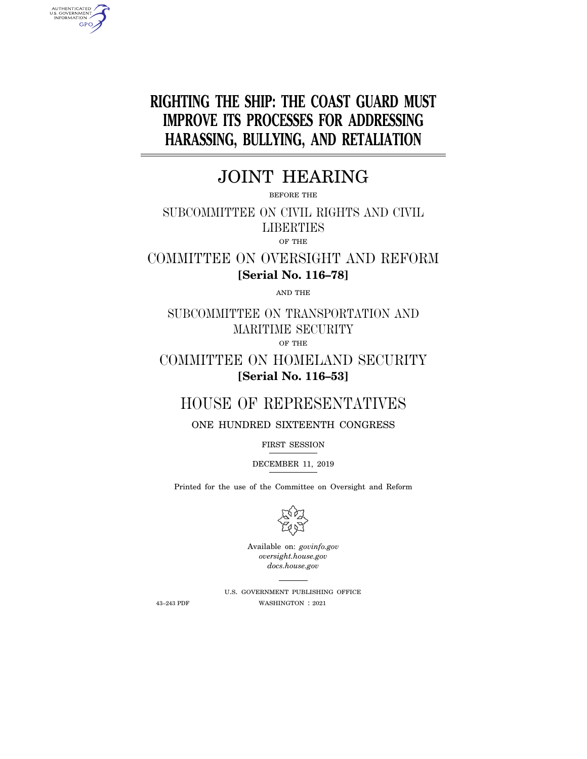# **RIGHTING THE SHIP: THE COAST GUARD MUST IMPROVE ITS PROCESSES FOR ADDRESSING HARASSING, BULLYING, AND RETALIATION**

# JOINT HEARING

BEFORE THE

SUBCOMMITTEE ON CIVIL RIGHTS AND CIVIL **LIBERTIES** OF THE

COMMITTEE ON OVERSIGHT AND REFORM **[Serial No. 116–78]** 

AND THE

SUBCOMMITTEE ON TRANSPORTATION AND MARITIME SECURITY OF THE

COMMITTEE ON HOMELAND SECURITY **[Serial No. 116–53]** 

## HOUSE OF REPRESENTATIVES

ONE HUNDRED SIXTEENTH CONGRESS

FIRST SESSION

DECEMBER 11, 2019

Printed for the use of the Committee on Oversight and Reform



Available on: *govinfo.gov oversight.house.gov docs.house.gov* 

U.S. GOVERNMENT PUBLISHING OFFICE 43–243 PDF WASHINGTON : 2021

AUTHENTICATED<br>U.S. GOVERNMENT<br>INFORMATION **GPO**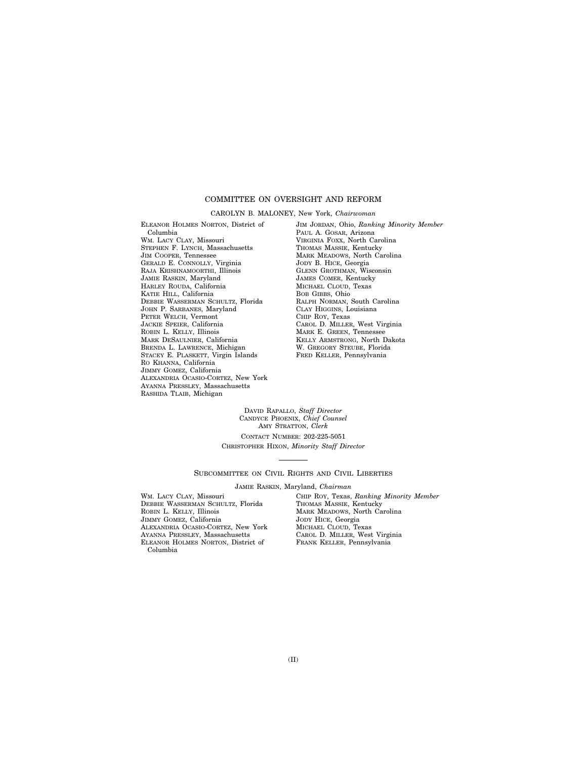## COMMITTEE ON OVERSIGHT AND REFORM

#### CAROLYN B. MALONEY, New York, *Chairwoman*

ELEANOR HOLMES NORTON, District of Columbia WM. LACY CLAY, Missouri STEPHEN F. LYNCH, Massachusetts JIM COOPER, Tennessee GERALD E. CONNOLLY, Virginia RAJA KRISHNAMOORTHI, Illinois JAMIE RASKIN, Maryland HARLEY ROUDA, California KATIE HILL, California DEBBIE WASSERMAN SCHULTZ, Florida JOHN P. SARBANES, Maryland PETER WELCH, Vermont JACKIE SPEIER, California ROBIN L. KELLY, Illinois MARK DESAULNIER, California BRENDA L. LAWRENCE, Michigan STACEY E. PLASKETT, Virgin Islands RO KHANNA, California JIMMY GOMEZ, California ALEXANDRIA OCASIO-CORTEZ, New York AYANNA PRESSLEY, Massachusetts RASHIDA TLAIB, Michigan

JIM JORDAN, Ohio, *Ranking Minority Member*  PAUL A. GOSAR, Arizona VIRGINIA FOXX, North Carolina THOMAS MASSIE, Kentucky MARK MEADOWS, North Carolina JODY B. HICE, Georgia GLENN GROTHMAN, Wisconsin JAMES COMER, Kentucky MICHAEL CLOUD, Texas BOB GIBBS, Ohio RALPH NORMAN, South Carolina CLAY HIGGINS, Louisiana CHIP ROY, Texas CAROL D. MILLER, West Virginia MARK E. GREEN, Tennessee KELLY ARMSTRONG, North Dakota W. GREGORY STEUBE, Florida FRED KELLER, Pennsylvania

DAVID RAPALLO, *Staff Director*  CANDYCE PHOENIX, *Chief Counsel*  AMY STRATTON, *Clerk* 

CONTACT NUMBER: 202-225-5051 CHRISTOPHER HIXON, *Minority Staff Director* 

SUBCOMMITTEE ON CIVIL RIGHTS AND CIVIL LIBERTIES

JAMIE RASKIN, Maryland, *Chairman* 

WM. LACY CLAY, Missouri DEBBIE WASSERMAN SCHULTZ, Florida ROBIN L. KELLY, Illinois JIMMY GOMEZ, California ALEXANDRIA OCASIO-CORTEZ, New York AYANNA PRESSLEY, Massachusetts ELEANOR HOLMES NORTON, District of Columbia

CHIP ROY, Texas, *Ranking Minority Member*  THOMAS MASSIE, Kentucky MARK MEADOWS, North Carolina JODY HICE, Georgia MICHAEL CLOUD, Texas CAROL D. MILLER, West Virginia FRANK KELLER, Pennsylvania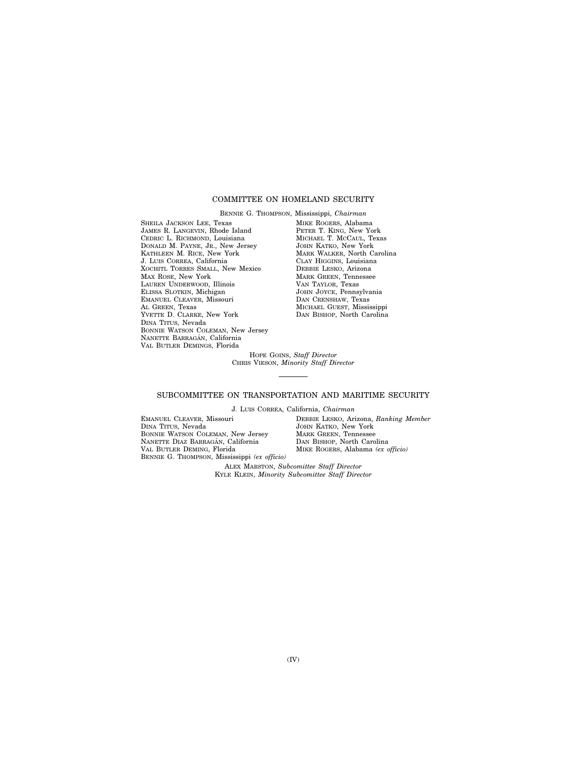## COMMITTEE ON HOMELAND SECURITY

BENNIE G. THOMPSON, Mississippi, *Chairman*  SHEILA JACKSON LEE, Texas JAMES R. LANGEVIN, Rhode Island CEDRIC L. RICHMOND, Louisiana DONALD M. PAYNE, JR., New Jersey KATHLEEN M. RICE, New York J. LUIS CORREA, California XOCHITL TORRES SMALL, New Mexico MAX ROSE, New York LAUREN UNDERWOOD, Illinois ELISSA SLOTKIN, Michigan EMANUEL CLEAVER, Missouri AL GREEN, Texas YVETTE D. CLARKE, New York DINA TITUS, Nevada BONNIE WATSON COLEMAN, New Jersey<br>NANETTE BARRAGÁN, California VAL BUTLER DEMINGS, Florida

MIKE ROGERS, Alabama PETER T. KING, New York MICHAEL T. MCCAUL, Texas JOHN KATKO, New York MARK WALKER, North Carolina CLAY HIGGINS, Louisiana DEBBIE LESKO, Arizona MARK GREEN, Tennessee VAN TAYLOR, Texas JOHN JOYCE, Pennsylvania DAN CRENSHAW, Texas MICHAEL GUEST, Mississippi DAN BISHOP, North Carolina

HOPE GOINS, *Staff Director*  CHRIS VIESON, *Minority Staff Director* 

## SUBCOMMITTEE ON TRANSPORTATION AND MARITIME SECURITY

J. LUIS CORREA, California, *Chairman* 

EMANUEL CLEAVER, Missouri DINA TITUS, Nevada BONNIE WATSON COLEMAN, New Jersey NANETTE DIAZ BARRAGÁN, California VAL BUTLER DEMING, Florida BENNIE G. THOMPSON, Mississippi *(ex officio)* 

DEBBIE LESKO, Arizona, *Ranking Member*  JOHN KATKO, New York MARK GREEN, Tennessee DAN BISHOP, North Carolina MIKE ROGERS, Alabama *(ex officio)* 

ALEX MARSTON, *Subcomittee Staff Director*  KYLE KLEIN, *Minority Subcomittee Staff Director*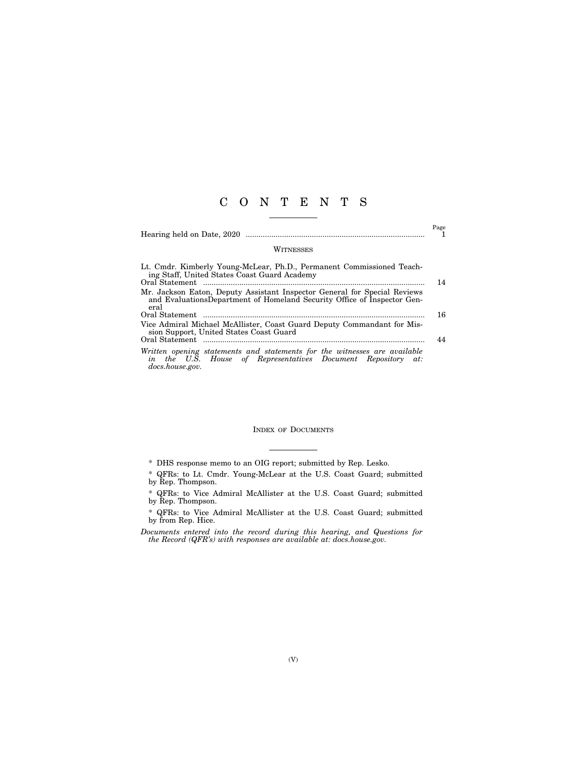## C O N T E N T S

Hearing held on Date, 2020 .................................................................................... 1

 $\overset{\text{Page}}{1}$ 

#### WITNESSES

| Lt. Cmdr. Kimberly Young-McLear, Ph.D., Permanent Commissioned Teach-<br>ing Staff, United States Coast Guard Academy                                        | 14 |
|--------------------------------------------------------------------------------------------------------------------------------------------------------------|----|
| Mr. Jackson Eaton, Deputy Assistant Inspector General for Special Reviews<br>and EvaluationsDepartment of Homeland Security Office of Inspector Gen-<br>eral |    |
|                                                                                                                                                              | 16 |
| Vice Admiral Michael McAllister, Coast Guard Deputy Commandant for Mis-<br>sion Support, United States Coast Guard                                           |    |
| Oral Statement                                                                                                                                               | 44 |
| Written opening statements and statements for the witnesses are available<br>in the U.S. House of Representatives Document Repository at:<br>docs.house.gov. |    |

#### INDEX OF DOCUMENTS

<sup>\*</sup> DHS response memo to an OIG report; submitted by Rep. Lesko.

<sup>\*</sup> QFRs: to Lt. Cmdr. Young-McLear at the U.S. Coast Guard; submitted by Rep. Thompson.

<sup>\*</sup> QFRs: to Vice Admiral McAllister at the U.S. Coast Guard; submitted by Rep. Thompson.

<sup>\*</sup> QFRs: to Vice Admiral McAllister at the U.S. Coast Guard; submitted by from Rep. Hice.

*Documents entered into the record during this hearing, and Questions for the Record (QFR's) with responses are available at: docs.house.gov.*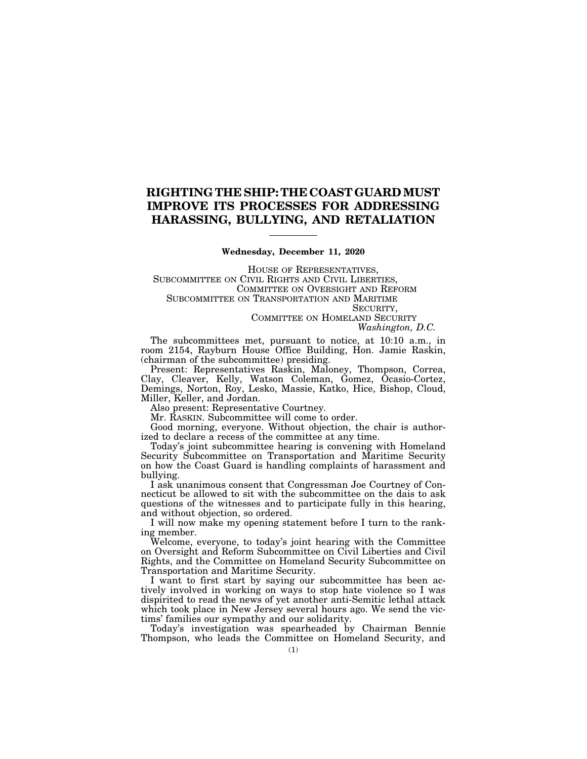## **RIGHTING THE SHIP: THE COAST GUARD MUST IMPROVE ITS PROCESSES FOR ADDRESSING HARASSING, BULLYING, AND RETALIATION**

### **Wednesday, December 11, 2020**

HOUSE OF REPRESENTATIVES, SUBCOMMITTEE ON CIVIL RIGHTS AND CIVIL LIBERTIES, COMMITTEE ON OVERSIGHT AND REFORM SUBCOMMITTEE ON TRANSPORTATION AND MARITIME SECURITY, COMMITTEE ON HOMELAND SECURITY

*Washington, D.C.* 

The subcommittees met, pursuant to notice, at 10:10 a.m., in room 2154, Rayburn House Office Building, Hon. Jamie Raskin, (chairman of the subcommittee) presiding.

Present: Representatives Raskin, Maloney, Thompson, Correa, Clay, Cleaver, Kelly, Watson Coleman, Gomez, Ocasio-Cortez, Demings, Norton, Roy, Lesko, Massie, Katko, Hice, Bishop, Cloud, Miller, Keller, and Jordan.

Also present: Representative Courtney.

Mr. RASKIN. Subcommittee will come to order.

Good morning, everyone. Without objection, the chair is authorized to declare a recess of the committee at any time.

Today's joint subcommittee hearing is convening with Homeland Security Subcommittee on Transportation and Maritime Security on how the Coast Guard is handling complaints of harassment and bullying.

I ask unanimous consent that Congressman Joe Courtney of Connecticut be allowed to sit with the subcommittee on the dais to ask questions of the witnesses and to participate fully in this hearing, and without objection, so ordered.

I will now make my opening statement before I turn to the ranking member.

Welcome, everyone, to today's joint hearing with the Committee on Oversight and Reform Subcommittee on Civil Liberties and Civil Rights, and the Committee on Homeland Security Subcommittee on Transportation and Maritime Security.

I want to first start by saying our subcommittee has been actively involved in working on ways to stop hate violence so I was dispirited to read the news of yet another anti-Semitic lethal attack which took place in New Jersey several hours ago. We send the victims' families our sympathy and our solidarity.

Today's investigation was spearheaded by Chairman Bennie Thompson, who leads the Committee on Homeland Security, and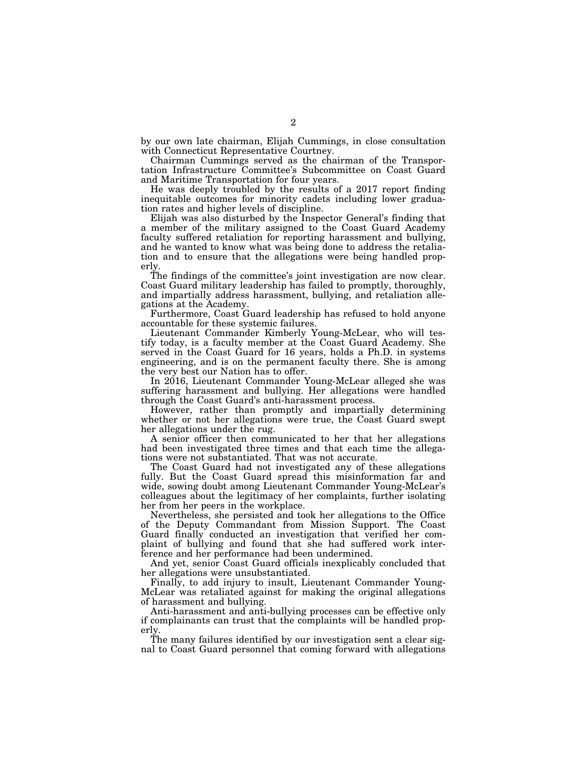by our own late chairman, Elijah Cummings, in close consultation with Connecticut Representative Courtney.

Chairman Cummings served as the chairman of the Transportation Infrastructure Committee's Subcommittee on Coast Guard and Maritime Transportation for four years.

He was deeply troubled by the results of a 2017 report finding inequitable outcomes for minority cadets including lower graduation rates and higher levels of discipline.

Elijah was also disturbed by the Inspector General's finding that a member of the military assigned to the Coast Guard Academy faculty suffered retaliation for reporting harassment and bullying, and he wanted to know what was being done to address the retaliation and to ensure that the allegations were being handled properly.

The findings of the committee's joint investigation are now clear. Coast Guard military leadership has failed to promptly, thoroughly, and impartially address harassment, bullying, and retaliation allegations at the Academy.

Furthermore, Coast Guard leadership has refused to hold anyone accountable for these systemic failures.

Lieutenant Commander Kimberly Young-McLear, who will testify today, is a faculty member at the Coast Guard Academy. She served in the Coast Guard for 16 years, holds a Ph.D. in systems engineering, and is on the permanent faculty there. She is among the very best our Nation has to offer.

In 2016, Lieutenant Commander Young-McLear alleged she was suffering harassment and bullying. Her allegations were handled through the Coast Guard's anti-harassment process.

However, rather than promptly and impartially determining whether or not her allegations were true, the Coast Guard swept her allegations under the rug.

A senior officer then communicated to her that her allegations had been investigated three times and that each time the allegations were not substantiated. That was not accurate.

The Coast Guard had not investigated any of these allegations fully. But the Coast Guard spread this misinformation far and wide, sowing doubt among Lieutenant Commander Young-McLear's colleagues about the legitimacy of her complaints, further isolating her from her peers in the workplace.

Nevertheless, she persisted and took her allegations to the Office of the Deputy Commandant from Mission Support. The Coast Guard finally conducted an investigation that verified her complaint of bullying and found that she had suffered work interference and her performance had been undermined.

And yet, senior Coast Guard officials inexplicably concluded that her allegations were unsubstantiated.

Finally, to add injury to insult, Lieutenant Commander Young-McLear was retaliated against for making the original allegations of harassment and bullying.

Anti-harassment and anti-bullying processes can be effective only if complainants can trust that the complaints will be handled properly.

The many failures identified by our investigation sent a clear signal to Coast Guard personnel that coming forward with allegations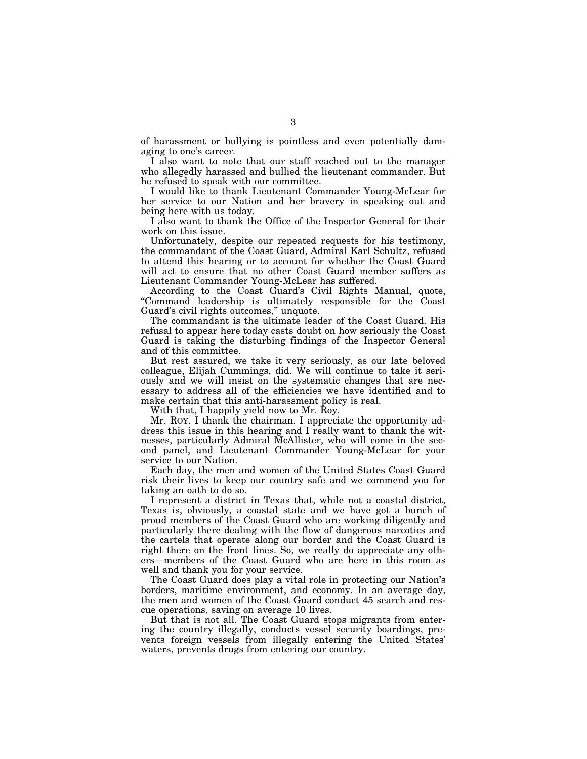of harassment or bullying is pointless and even potentially damaging to one's career.

I also want to note that our staff reached out to the manager who allegedly harassed and bullied the lieutenant commander. But he refused to speak with our committee.

I would like to thank Lieutenant Commander Young-McLear for her service to our Nation and her bravery in speaking out and being here with us today.

I also want to thank the Office of the Inspector General for their work on this issue.

Unfortunately, despite our repeated requests for his testimony, the commandant of the Coast Guard, Admiral Karl Schultz, refused to attend this hearing or to account for whether the Coast Guard will act to ensure that no other Coast Guard member suffers as Lieutenant Commander Young-McLear has suffered.

According to the Coast Guard's Civil Rights Manual, quote, ''Command leadership is ultimately responsible for the Coast Guard's civil rights outcomes,'' unquote.

The commandant is the ultimate leader of the Coast Guard. His refusal to appear here today casts doubt on how seriously the Coast Guard is taking the disturbing findings of the Inspector General and of this committee.

But rest assured, we take it very seriously, as our late beloved colleague, Elijah Cummings, did. We will continue to take it seriously and we will insist on the systematic changes that are necessary to address all of the efficiencies we have identified and to make certain that this anti-harassment policy is real.

With that, I happily yield now to Mr. Roy.

Mr. ROY. I thank the chairman. I appreciate the opportunity address this issue in this hearing and I really want to thank the witnesses, particularly Admiral McAllister, who will come in the second panel, and Lieutenant Commander Young-McLear for your service to our Nation.

Each day, the men and women of the United States Coast Guard risk their lives to keep our country safe and we commend you for taking an oath to do so.

I represent a district in Texas that, while not a coastal district, Texas is, obviously, a coastal state and we have got a bunch of proud members of the Coast Guard who are working diligently and particularly there dealing with the flow of dangerous narcotics and the cartels that operate along our border and the Coast Guard is right there on the front lines. So, we really do appreciate any others—members of the Coast Guard who are here in this room as well and thank you for your service.

The Coast Guard does play a vital role in protecting our Nation's borders, maritime environment, and economy. In an average day, the men and women of the Coast Guard conduct 45 search and rescue operations, saving on average 10 lives.

But that is not all. The Coast Guard stops migrants from entering the country illegally, conducts vessel security boardings, prevents foreign vessels from illegally entering the United States' waters, prevents drugs from entering our country.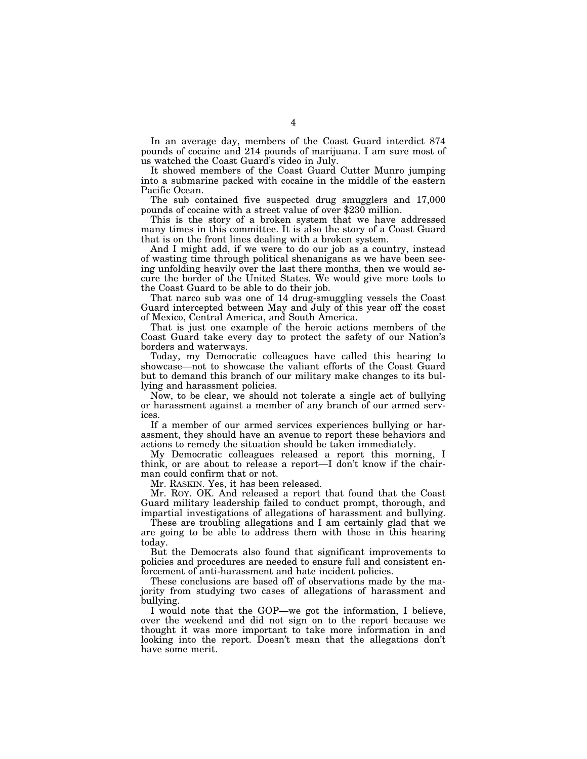In an average day, members of the Coast Guard interdict 874 pounds of cocaine and 214 pounds of marijuana. I am sure most of us watched the Coast Guard's video in July.

It showed members of the Coast Guard Cutter Munro jumping into a submarine packed with cocaine in the middle of the eastern Pacific Ocean.

The sub contained five suspected drug smugglers and 17,000 pounds of cocaine with a street value of over \$230 million.

This is the story of a broken system that we have addressed many times in this committee. It is also the story of a Coast Guard that is on the front lines dealing with a broken system.

And I might add, if we were to do our job as a country, instead of wasting time through political shenanigans as we have been seeing unfolding heavily over the last there months, then we would secure the border of the United States. We would give more tools to the Coast Guard to be able to do their job.

That narco sub was one of 14 drug-smuggling vessels the Coast Guard intercepted between May and July of this year off the coast of Mexico, Central America, and South America.

That is just one example of the heroic actions members of the Coast Guard take every day to protect the safety of our Nation's borders and waterways.

Today, my Democratic colleagues have called this hearing to showcase—not to showcase the valiant efforts of the Coast Guard but to demand this branch of our military make changes to its bullying and harassment policies.

Now, to be clear, we should not tolerate a single act of bullying or harassment against a member of any branch of our armed services.

If a member of our armed services experiences bullying or harassment, they should have an avenue to report these behaviors and actions to remedy the situation should be taken immediately.

My Democratic colleagues released a report this morning, I think, or are about to release a report—I don't know if the chairman could confirm that or not.

Mr. RASKIN. Yes, it has been released.

Mr. ROY. OK. And released a report that found that the Coast Guard military leadership failed to conduct prompt, thorough, and impartial investigations of allegations of harassment and bullying.

These are troubling allegations and I am certainly glad that we are going to be able to address them with those in this hearing today.

But the Democrats also found that significant improvements to policies and procedures are needed to ensure full and consistent enforcement of anti-harassment and hate incident policies.

These conclusions are based off of observations made by the majority from studying two cases of allegations of harassment and bullying.

I would note that the GOP—we got the information, I believe, over the weekend and did not sign on to the report because we thought it was more important to take more information in and looking into the report. Doesn't mean that the allegations don't have some merit.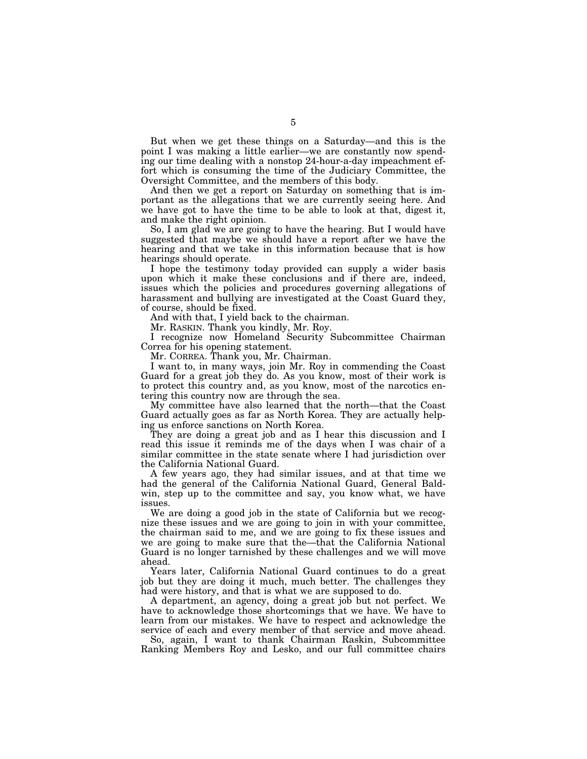But when we get these things on a Saturday—and this is the point I was making a little earlier—we are constantly now spending our time dealing with a nonstop 24-hour-a-day impeachment effort which is consuming the time of the Judiciary Committee, the Oversight Committee, and the members of this body.

And then we get a report on Saturday on something that is important as the allegations that we are currently seeing here. And we have got to have the time to be able to look at that, digest it, and make the right opinion.

So, I am glad we are going to have the hearing. But I would have suggested that maybe we should have a report after we have the hearing and that we take in this information because that is how hearings should operate.

I hope the testimony today provided can supply a wider basis upon which it make these conclusions and if there are, indeed, issues which the policies and procedures governing allegations of harassment and bullying are investigated at the Coast Guard they, of course, should be fixed.

And with that, I yield back to the chairman.

Mr. RASKIN. Thank you kindly, Mr. Roy.

I recognize now Homeland Security Subcommittee Chairman Correa for his opening statement.

Mr. CORREA. Thank you, Mr. Chairman.

I want to, in many ways, join Mr. Roy in commending the Coast Guard for a great job they do. As you know, most of their work is to protect this country and, as you know, most of the narcotics entering this country now are through the sea.

My committee have also learned that the north—that the Coast Guard actually goes as far as North Korea. They are actually helping us enforce sanctions on North Korea.

They are doing a great job and as I hear this discussion and I read this issue it reminds me of the days when I was chair of a similar committee in the state senate where I had jurisdiction over the California National Guard.

A few years ago, they had similar issues, and at that time we had the general of the California National Guard, General Baldwin, step up to the committee and say, you know what, we have issues.

We are doing a good job in the state of California but we recognize these issues and we are going to join in with your committee, the chairman said to me, and we are going to fix these issues and we are going to make sure that the—that the California National Guard is no longer tarnished by these challenges and we will move ahead.

Years later, California National Guard continues to do a great job but they are doing it much, much better. The challenges they had were history, and that is what we are supposed to do.

A department, an agency, doing a great job but not perfect. We have to acknowledge those shortcomings that we have. We have to learn from our mistakes. We have to respect and acknowledge the service of each and every member of that service and move ahead.

So, again, I want to thank Chairman Raskin, Subcommittee Ranking Members Roy and Lesko, and our full committee chairs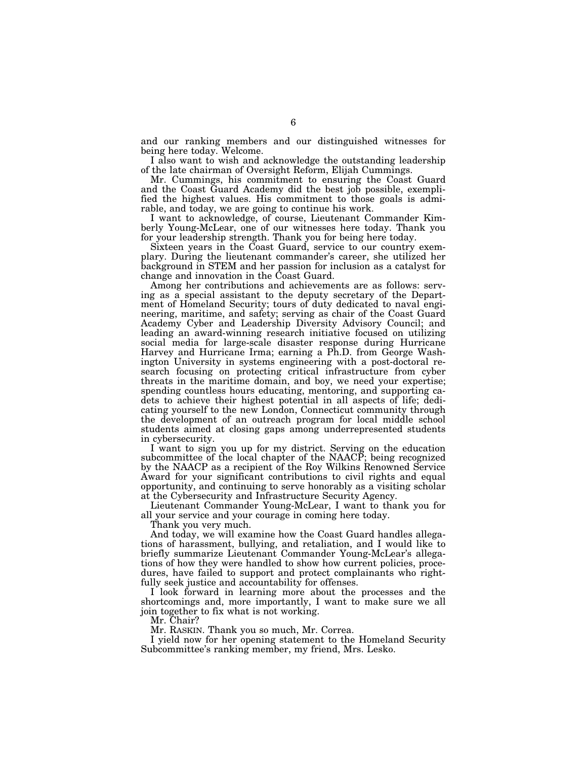and our ranking members and our distinguished witnesses for being here today. Welcome.

I also want to wish and acknowledge the outstanding leadership of the late chairman of Oversight Reform, Elijah Cummings.

Mr. Cummings, his commitment to ensuring the Coast Guard and the Coast Guard Academy did the best job possible, exemplified the highest values. His commitment to those goals is admirable, and today, we are going to continue his work.

I want to acknowledge, of course, Lieutenant Commander Kimberly Young-McLear, one of our witnesses here today. Thank you for your leadership strength. Thank you for being here today.

Sixteen years in the Coast Guard, service to our country exemplary. During the lieutenant commander's career, she utilized her background in STEM and her passion for inclusion as a catalyst for change and innovation in the Coast Guard.

Among her contributions and achievements are as follows: serving as a special assistant to the deputy secretary of the Department of Homeland Security; tours of duty dedicated to naval engineering, maritime, and safety; serving as chair of the Coast Guard Academy Cyber and Leadership Diversity Advisory Council; and leading an award-winning research initiative focused on utilizing social media for large-scale disaster response during Hurricane Harvey and Hurricane Irma; earning a Ph.D. from George Washington University in systems engineering with a post-doctoral research focusing on protecting critical infrastructure from cyber threats in the maritime domain, and boy, we need your expertise; spending countless hours educating, mentoring, and supporting cadets to achieve their highest potential in all aspects of life; dedicating yourself to the new London, Connecticut community through the development of an outreach program for local middle school students aimed at closing gaps among underrepresented students in cybersecurity.

I want to sign you up for my district. Serving on the education subcommittee of the local chapter of the NAACP; being recognized by the NAACP as a recipient of the Roy Wilkins Renowned Service Award for your significant contributions to civil rights and equal opportunity, and continuing to serve honorably as a visiting scholar at the Cybersecurity and Infrastructure Security Agency.

Lieutenant Commander Young-McLear, I want to thank you for all your service and your courage in coming here today.

Thank you very much.

And today, we will examine how the Coast Guard handles allegations of harassment, bullying, and retaliation, and I would like to briefly summarize Lieutenant Commander Young-McLear's allegations of how they were handled to show how current policies, procedures, have failed to support and protect complainants who rightfully seek justice and accountability for offenses.

I look forward in learning more about the processes and the shortcomings and, more importantly, I want to make sure we all join together to fix what is not working.

Mr. Chair?

Mr. RASKIN. Thank you so much, Mr. Correa.

I yield now for her opening statement to the Homeland Security Subcommittee's ranking member, my friend, Mrs. Lesko.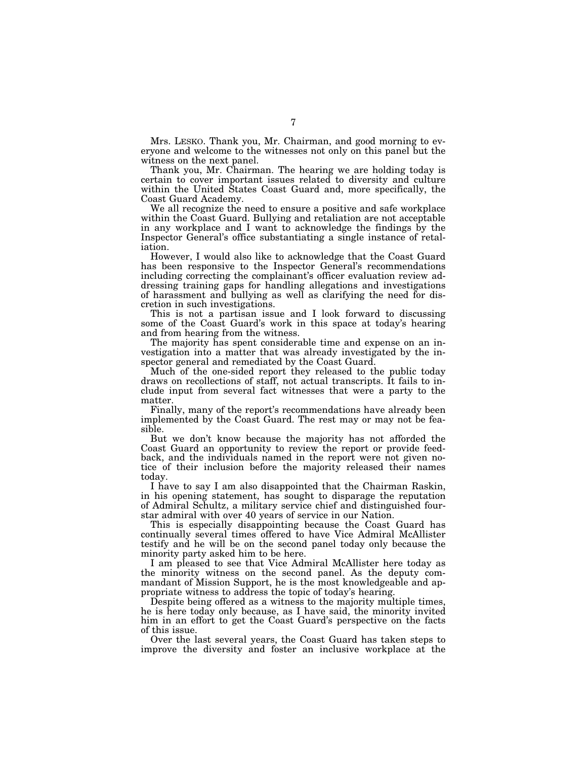Mrs. LESKO. Thank you, Mr. Chairman, and good morning to everyone and welcome to the witnesses not only on this panel but the witness on the next panel.

Thank you, Mr. Chairman. The hearing we are holding today is certain to cover important issues related to diversity and culture within the United States Coast Guard and, more specifically, the Coast Guard Academy.

We all recognize the need to ensure a positive and safe workplace within the Coast Guard. Bullying and retaliation are not acceptable in any workplace and I want to acknowledge the findings by the Inspector General's office substantiating a single instance of retaliation.

However, I would also like to acknowledge that the Coast Guard has been responsive to the Inspector General's recommendations including correcting the complainant's officer evaluation review addressing training gaps for handling allegations and investigations of harassment and bullying as well as clarifying the need for discretion in such investigations.

This is not a partisan issue and I look forward to discussing some of the Coast Guard's work in this space at today's hearing and from hearing from the witness.

The majority has spent considerable time and expense on an investigation into a matter that was already investigated by the inspector general and remediated by the Coast Guard.

Much of the one-sided report they released to the public today draws on recollections of staff, not actual transcripts. It fails to include input from several fact witnesses that were a party to the matter.

Finally, many of the report's recommendations have already been implemented by the Coast Guard. The rest may or may not be feasible.

But we don't know because the majority has not afforded the Coast Guard an opportunity to review the report or provide feedback, and the individuals named in the report were not given notice of their inclusion before the majority released their names today.

I have to say I am also disappointed that the Chairman Raskin, in his opening statement, has sought to disparage the reputation of Admiral Schultz, a military service chief and distinguished fourstar admiral with over 40 years of service in our Nation.

This is especially disappointing because the Coast Guard has continually several times offered to have Vice Admiral McAllister testify and he will be on the second panel today only because the minority party asked him to be here.

I am pleased to see that Vice Admiral McAllister here today as the minority witness on the second panel. As the deputy commandant of Mission Support, he is the most knowledgeable and appropriate witness to address the topic of today's hearing.

Despite being offered as a witness to the majority multiple times, he is here today only because, as I have said, the minority invited him in an effort to get the Coast Guard's perspective on the facts of this issue.

Over the last several years, the Coast Guard has taken steps to improve the diversity and foster an inclusive workplace at the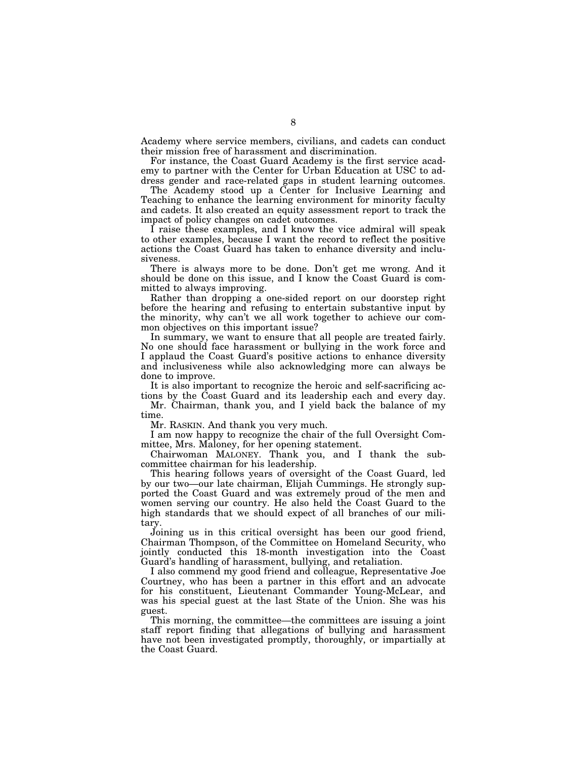Academy where service members, civilians, and cadets can conduct their mission free of harassment and discrimination.

For instance, the Coast Guard Academy is the first service academy to partner with the Center for Urban Education at USC to address gender and race-related gaps in student learning outcomes.

The Academy stood up a Center for Inclusive Learning and Teaching to enhance the learning environment for minority faculty and cadets. It also created an equity assessment report to track the impact of policy changes on cadet outcomes.

I raise these examples, and I know the vice admiral will speak to other examples, because I want the record to reflect the positive actions the Coast Guard has taken to enhance diversity and inclusiveness.

There is always more to be done. Don't get me wrong. And it should be done on this issue, and I know the Coast Guard is committed to always improving.

Rather than dropping a one-sided report on our doorstep right before the hearing and refusing to entertain substantive input by the minority, why can't we all work together to achieve our common objectives on this important issue?

In summary, we want to ensure that all people are treated fairly. No one should face harassment or bullying in the work force and I applaud the Coast Guard's positive actions to enhance diversity and inclusiveness while also acknowledging more can always be done to improve.

It is also important to recognize the heroic and self-sacrificing actions by the Coast Guard and its leadership each and every day.

Mr. Chairman, thank you, and I yield back the balance of my time.

Mr. RASKIN. And thank you very much.

I am now happy to recognize the chair of the full Oversight Committee, Mrs. Maloney, for her opening statement.

Chairwoman MALONEY. Thank you, and I thank the subcommittee chairman for his leadership.

This hearing follows years of oversight of the Coast Guard, led by our two—our late chairman, Elijah Cummings. He strongly supported the Coast Guard and was extremely proud of the men and women serving our country. He also held the Coast Guard to the high standards that we should expect of all branches of our military.

Joining us in this critical oversight has been our good friend, Chairman Thompson, of the Committee on Homeland Security, who jointly conducted this 18-month investigation into the Coast Guard's handling of harassment, bullying, and retaliation.

I also commend my good friend and colleague, Representative Joe Courtney, who has been a partner in this effort and an advocate for his constituent, Lieutenant Commander Young-McLear, and was his special guest at the last State of the Union. She was his guest.

This morning, the committee—the committees are issuing a joint staff report finding that allegations of bullying and harassment have not been investigated promptly, thoroughly, or impartially at the Coast Guard.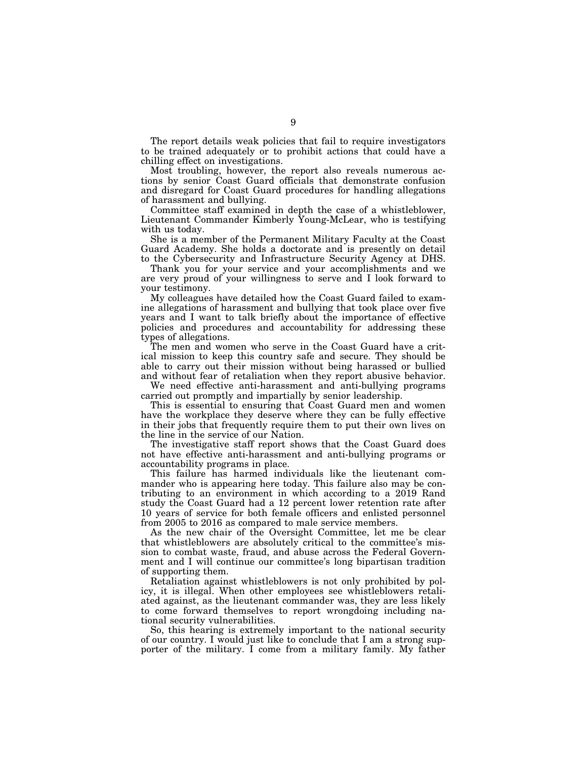The report details weak policies that fail to require investigators to be trained adequately or to prohibit actions that could have a chilling effect on investigations.

Most troubling, however, the report also reveals numerous actions by senior Coast Guard officials that demonstrate confusion and disregard for Coast Guard procedures for handling allegations of harassment and bullying.

Committee staff examined in depth the case of a whistleblower, Lieutenant Commander Kimberly Young-McLear, who is testifying with us today.

She is a member of the Permanent Military Faculty at the Coast Guard Academy. She holds a doctorate and is presently on detail to the Cybersecurity and Infrastructure Security Agency at DHS.

Thank you for your service and your accomplishments and we are very proud of your willingness to serve and I look forward to your testimony.

My colleagues have detailed how the Coast Guard failed to examine allegations of harassment and bullying that took place over five years and I want to talk briefly about the importance of effective policies and procedures and accountability for addressing these types of allegations.

The men and women who serve in the Coast Guard have a critical mission to keep this country safe and secure. They should be able to carry out their mission without being harassed or bullied and without fear of retaliation when they report abusive behavior.

We need effective anti-harassment and anti-bullying programs carried out promptly and impartially by senior leadership.

This is essential to ensuring that Coast Guard men and women have the workplace they deserve where they can be fully effective in their jobs that frequently require them to put their own lives on the line in the service of our Nation.

The investigative staff report shows that the Coast Guard does not have effective anti-harassment and anti-bullying programs or accountability programs in place.

This failure has harmed individuals like the lieutenant commander who is appearing here today. This failure also may be contributing to an environment in which according to a 2019 Rand study the Coast Guard had a 12 percent lower retention rate after 10 years of service for both female officers and enlisted personnel from 2005 to 2016 as compared to male service members.

As the new chair of the Oversight Committee, let me be clear that whistleblowers are absolutely critical to the committee's mission to combat waste, fraud, and abuse across the Federal Government and I will continue our committee's long bipartisan tradition of supporting them.

Retaliation against whistleblowers is not only prohibited by policy, it is illegal. When other employees see whistleblowers retaliated against, as the lieutenant commander was, they are less likely to come forward themselves to report wrongdoing including national security vulnerabilities.

So, this hearing is extremely important to the national security of our country. I would just like to conclude that I am a strong supporter of the military. I come from a military family. My father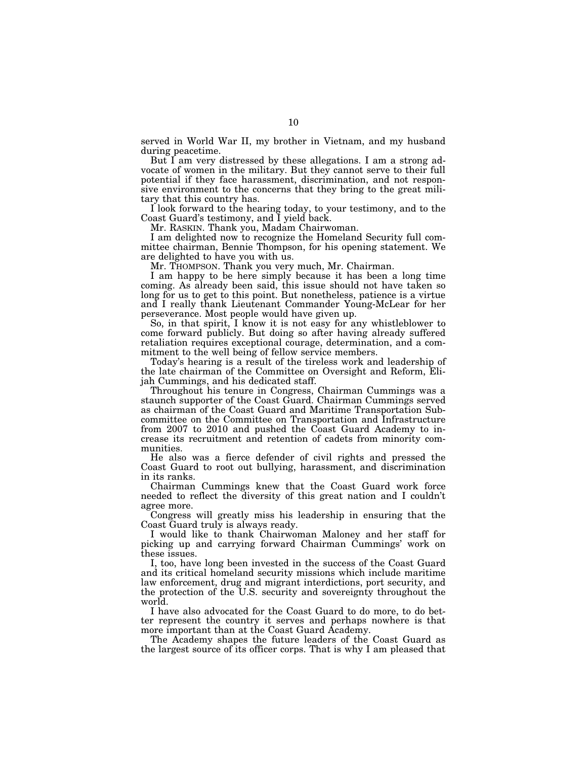served in World War II, my brother in Vietnam, and my husband during peacetime.

But I am very distressed by these allegations. I am a strong advocate of women in the military. But they cannot serve to their full potential if they face harassment, discrimination, and not responsive environment to the concerns that they bring to the great military that this country has.

I look forward to the hearing today, to your testimony, and to the Coast Guard's testimony, and I yield back.

Mr. RASKIN. Thank you, Madam Chairwoman.

I am delighted now to recognize the Homeland Security full committee chairman, Bennie Thompson, for his opening statement. We are delighted to have you with us.

Mr. THOMPSON. Thank you very much, Mr. Chairman.

I am happy to be here simply because it has been a long time coming. As already been said, this issue should not have taken so long for us to get to this point. But nonetheless, patience is a virtue and I really thank Lieutenant Commander Young-McLear for her perseverance. Most people would have given up.

So, in that spirit, I know it is not easy for any whistleblower to come forward publicly. But doing so after having already suffered retaliation requires exceptional courage, determination, and a commitment to the well being of fellow service members.

Today's hearing is a result of the tireless work and leadership of the late chairman of the Committee on Oversight and Reform, Elijah Cummings, and his dedicated staff.

Throughout his tenure in Congress, Chairman Cummings was a staunch supporter of the Coast Guard. Chairman Cummings served as chairman of the Coast Guard and Maritime Transportation Subcommittee on the Committee on Transportation and Infrastructure from 2007 to 2010 and pushed the Coast Guard Academy to increase its recruitment and retention of cadets from minority communities.

He also was a fierce defender of civil rights and pressed the Coast Guard to root out bullying, harassment, and discrimination in its ranks.

Chairman Cummings knew that the Coast Guard work force needed to reflect the diversity of this great nation and I couldn't agree more.

Congress will greatly miss his leadership in ensuring that the Coast Guard truly is always ready.

I would like to thank Chairwoman Maloney and her staff for picking up and carrying forward Chairman Cummings' work on these issues.

I, too, have long been invested in the success of the Coast Guard and its critical homeland security missions which include maritime law enforcement, drug and migrant interdictions, port security, and the protection of the U.S. security and sovereignty throughout the world.

I have also advocated for the Coast Guard to do more, to do better represent the country it serves and perhaps nowhere is that more important than at the Coast Guard Academy.

The Academy shapes the future leaders of the Coast Guard as the largest source of its officer corps. That is why I am pleased that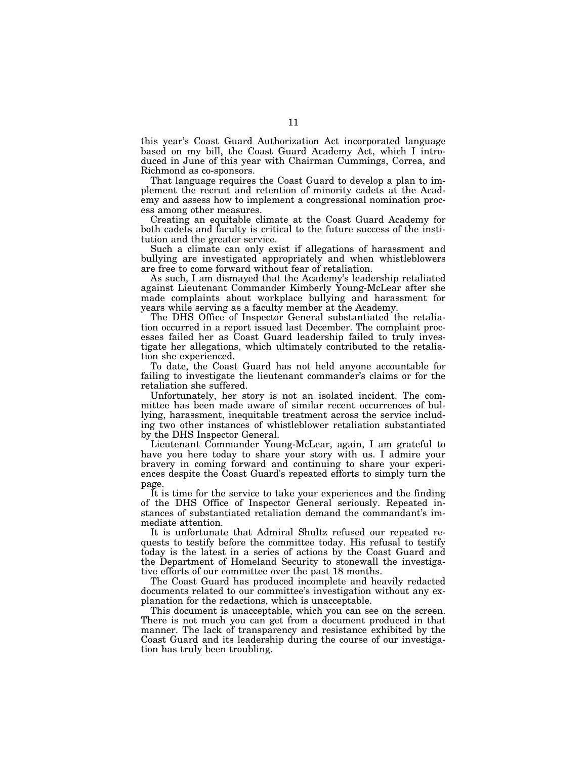this year's Coast Guard Authorization Act incorporated language based on my bill, the Coast Guard Academy Act, which I introduced in June of this year with Chairman Cummings, Correa, and Richmond as co-sponsors.

That language requires the Coast Guard to develop a plan to implement the recruit and retention of minority cadets at the Academy and assess how to implement a congressional nomination process among other measures.

Creating an equitable climate at the Coast Guard Academy for both cadets and faculty is critical to the future success of the institution and the greater service.

Such a climate can only exist if allegations of harassment and bullying are investigated appropriately and when whistleblowers are free to come forward without fear of retaliation.

As such, I am dismayed that the Academy's leadership retaliated against Lieutenant Commander Kimberly Young-McLear after she made complaints about workplace bullying and harassment for years while serving as a faculty member at the Academy.

The DHS Office of Inspector General substantiated the retaliation occurred in a report issued last December. The complaint processes failed her as Coast Guard leadership failed to truly investigate her allegations, which ultimately contributed to the retaliation she experienced.

To date, the Coast Guard has not held anyone accountable for failing to investigate the lieutenant commander's claims or for the retaliation she suffered.

Unfortunately, her story is not an isolated incident. The committee has been made aware of similar recent occurrences of bullying, harassment, inequitable treatment across the service including two other instances of whistleblower retaliation substantiated by the DHS Inspector General.

Lieutenant Commander Young-McLear, again, I am grateful to have you here today to share your story with us. I admire your bravery in coming forward and continuing to share your experiences despite the Coast Guard's repeated efforts to simply turn the page.

It is time for the service to take your experiences and the finding of the DHS Office of Inspector General seriously. Repeated instances of substantiated retaliation demand the commandant's immediate attention.

It is unfortunate that Admiral Shultz refused our repeated requests to testify before the committee today. His refusal to testify today is the latest in a series of actions by the Coast Guard and the Department of Homeland Security to stonewall the investigative efforts of our committee over the past 18 months.

The Coast Guard has produced incomplete and heavily redacted documents related to our committee's investigation without any explanation for the redactions, which is unacceptable.

This document is unacceptable, which you can see on the screen. There is not much you can get from a document produced in that manner. The lack of transparency and resistance exhibited by the Coast Guard and its leadership during the course of our investigation has truly been troubling.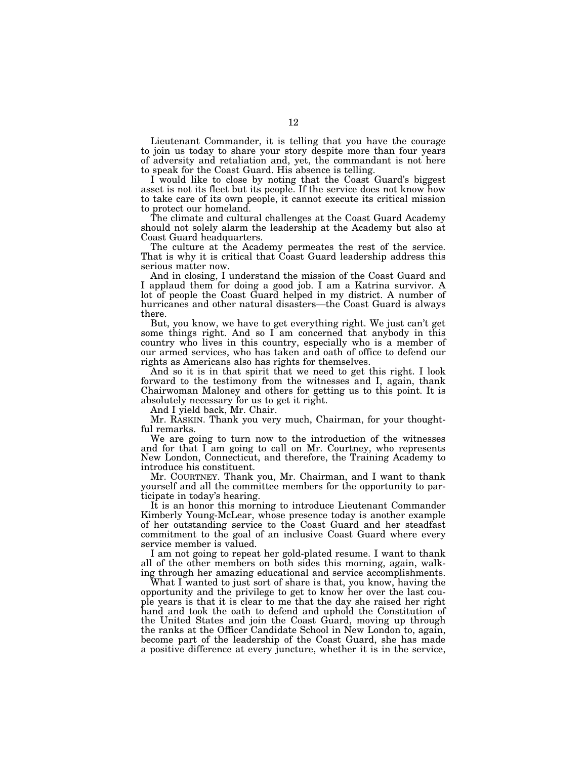Lieutenant Commander, it is telling that you have the courage to join us today to share your story despite more than four years of adversity and retaliation and, yet, the commandant is not here to speak for the Coast Guard. His absence is telling.

I would like to close by noting that the Coast Guard's biggest asset is not its fleet but its people. If the service does not know how to take care of its own people, it cannot execute its critical mission to protect our homeland.

The climate and cultural challenges at the Coast Guard Academy should not solely alarm the leadership at the Academy but also at Coast Guard headquarters.

The culture at the Academy permeates the rest of the service. That is why it is critical that Coast Guard leadership address this serious matter now.

And in closing, I understand the mission of the Coast Guard and I applaud them for doing a good job. I am a Katrina survivor. A lot of people the Coast Guard helped in my district. A number of hurricanes and other natural disasters—the Coast Guard is always there.

But, you know, we have to get everything right. We just can't get some things right. And so I am concerned that anybody in this country who lives in this country, especially who is a member of our armed services, who has taken and oath of office to defend our rights as Americans also has rights for themselves.

And so it is in that spirit that we need to get this right. I look forward to the testimony from the witnesses and I, again, thank Chairwoman Maloney and others for getting us to this point. It is absolutely necessary for us to get it right.

And I yield back, Mr. Chair.

Mr. RASKIN. Thank you very much, Chairman, for your thoughtful remarks.

We are going to turn now to the introduction of the witnesses and for that I am going to call on Mr. Courtney, who represents New London, Connecticut, and therefore, the Training Academy to introduce his constituent.

Mr. COURTNEY. Thank you, Mr. Chairman, and I want to thank yourself and all the committee members for the opportunity to participate in today's hearing.

It is an honor this morning to introduce Lieutenant Commander Kimberly Young-McLear, whose presence today is another example of her outstanding service to the Coast Guard and her steadfast commitment to the goal of an inclusive Coast Guard where every service member is valued.

I am not going to repeat her gold-plated resume. I want to thank all of the other members on both sides this morning, again, walking through her amazing educational and service accomplishments.

What I wanted to just sort of share is that, you know, having the opportunity and the privilege to get to know her over the last couple years is that it is clear to me that the day she raised her right hand and took the oath to defend and uphold the Constitution of the United States and join the Coast Guard, moving up through the ranks at the Officer Candidate School in New London to, again, become part of the leadership of the Coast Guard, she has made a positive difference at every juncture, whether it is in the service,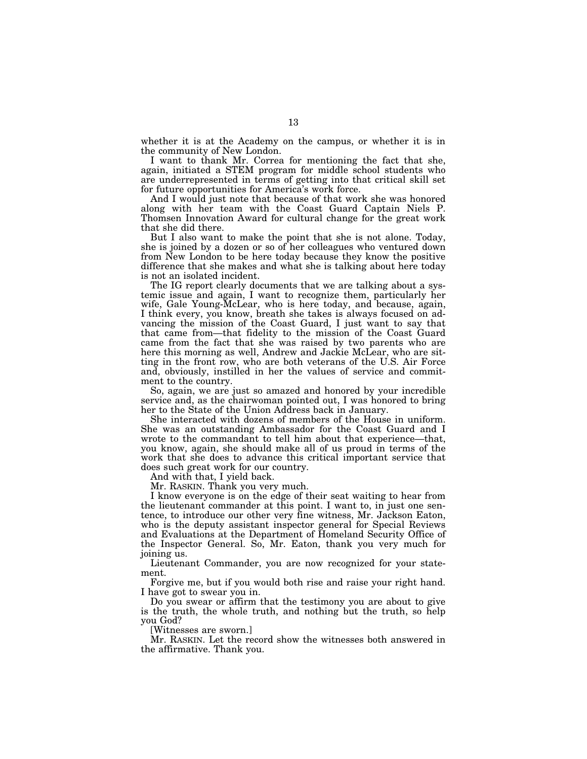whether it is at the Academy on the campus, or whether it is in the community of New London.

I want to thank Mr. Correa for mentioning the fact that she, again, initiated a STEM program for middle school students who are underrepresented in terms of getting into that critical skill set for future opportunities for America's work force.

And I would just note that because of that work she was honored along with her team with the Coast Guard Captain Niels P. Thomsen Innovation Award for cultural change for the great work that she did there.

But I also want to make the point that she is not alone. Today, she is joined by a dozen or so of her colleagues who ventured down from New London to be here today because they know the positive difference that she makes and what she is talking about here today is not an isolated incident.

The IG report clearly documents that we are talking about a systemic issue and again, I want to recognize them, particularly her wife, Gale Young-McLear, who is here today, and because, again, I think every, you know, breath she takes is always focused on advancing the mission of the Coast Guard, I just want to say that that came from—that fidelity to the mission of the Coast Guard came from the fact that she was raised by two parents who are here this morning as well, Andrew and Jackie McLear, who are sitting in the front row, who are both veterans of the U.S. Air Force and, obviously, instilled in her the values of service and commitment to the country.

So, again, we are just so amazed and honored by your incredible service and, as the chairwoman pointed out, I was honored to bring her to the State of the Union Address back in January.

She interacted with dozens of members of the House in uniform. She was an outstanding Ambassador for the Coast Guard and I wrote to the commandant to tell him about that experience—that, you know, again, she should make all of us proud in terms of the work that she does to advance this critical important service that does such great work for our country.

And with that, I yield back.

Mr. RASKIN. Thank you very much.

I know everyone is on the edge of their seat waiting to hear from the lieutenant commander at this point. I want to, in just one sentence, to introduce our other very fine witness, Mr. Jackson Eaton, who is the deputy assistant inspector general for Special Reviews and Evaluations at the Department of Homeland Security Office of the Inspector General. So, Mr. Eaton, thank you very much for joining us.

Lieutenant Commander, you are now recognized for your statement.

Forgive me, but if you would both rise and raise your right hand. I have got to swear you in.

Do you swear or affirm that the testimony you are about to give is the truth, the whole truth, and nothing but the truth, so help you God?

[Witnesses are sworn.]

Mr. RASKIN. Let the record show the witnesses both answered in the affirmative. Thank you.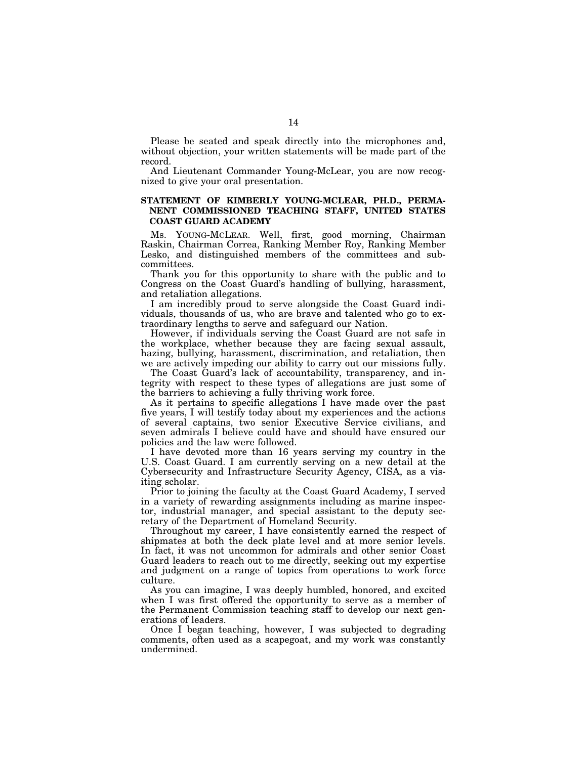Please be seated and speak directly into the microphones and, without objection, your written statements will be made part of the record.

And Lieutenant Commander Young-McLear, you are now recognized to give your oral presentation.

## **STATEMENT OF KIMBERLY YOUNG-MCLEAR, PH.D., PERMA-NENT COMMISSIONED TEACHING STAFF, UNITED STATES COAST GUARD ACADEMY**

Ms. YOUNG-MCLEAR. Well, first, good morning, Chairman Raskin, Chairman Correa, Ranking Member Roy, Ranking Member Lesko, and distinguished members of the committees and subcommittees.

Thank you for this opportunity to share with the public and to Congress on the Coast Guard's handling of bullying, harassment, and retaliation allegations.

I am incredibly proud to serve alongside the Coast Guard individuals, thousands of us, who are brave and talented who go to extraordinary lengths to serve and safeguard our Nation.

However, if individuals serving the Coast Guard are not safe in the workplace, whether because they are facing sexual assault, hazing, bullying, harassment, discrimination, and retaliation, then we are actively impeding our ability to carry out our missions fully.

The Coast Guard's lack of accountability, transparency, and integrity with respect to these types of allegations are just some of the barriers to achieving a fully thriving work force.

As it pertains to specific allegations I have made over the past five years, I will testify today about my experiences and the actions of several captains, two senior Executive Service civilians, and seven admirals I believe could have and should have ensured our policies and the law were followed.

I have devoted more than 16 years serving my country in the U.S. Coast Guard. I am currently serving on a new detail at the Cybersecurity and Infrastructure Security Agency, CISA, as a visiting scholar.

Prior to joining the faculty at the Coast Guard Academy, I served in a variety of rewarding assignments including as marine inspector, industrial manager, and special assistant to the deputy secretary of the Department of Homeland Security.

Throughout my career, I have consistently earned the respect of shipmates at both the deck plate level and at more senior levels. In fact, it was not uncommon for admirals and other senior Coast Guard leaders to reach out to me directly, seeking out my expertise and judgment on a range of topics from operations to work force culture.

As you can imagine, I was deeply humbled, honored, and excited when I was first offered the opportunity to serve as a member of the Permanent Commission teaching staff to develop our next generations of leaders.

Once I began teaching, however, I was subjected to degrading comments, often used as a scapegoat, and my work was constantly undermined.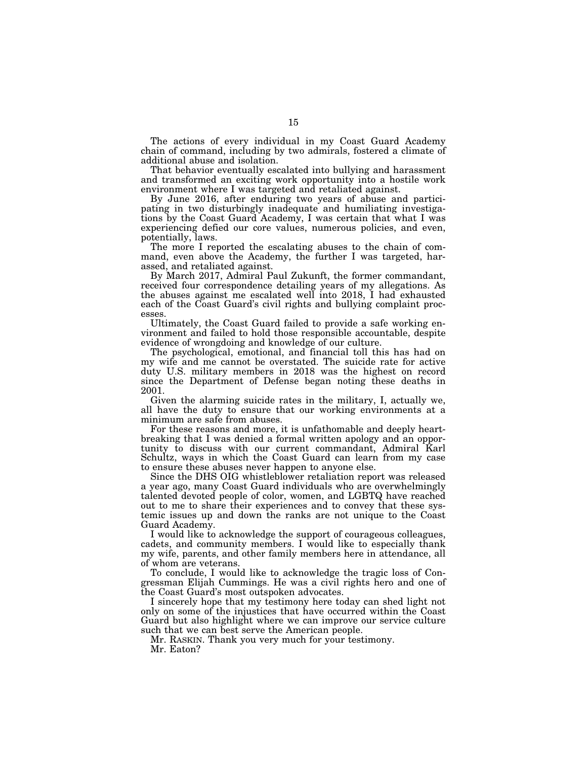The actions of every individual in my Coast Guard Academy chain of command, including by two admirals, fostered a climate of additional abuse and isolation.

That behavior eventually escalated into bullying and harassment and transformed an exciting work opportunity into a hostile work environment where I was targeted and retaliated against.

By June 2016, after enduring two years of abuse and participating in two disturbingly inadequate and humiliating investigations by the Coast Guard Academy, I was certain that what I was experiencing defied our core values, numerous policies, and even, potentially, laws.

The more I reported the escalating abuses to the chain of command, even above the Academy, the further I was targeted, harassed, and retaliated against.

By March 2017, Admiral Paul Zukunft, the former commandant, received four correspondence detailing years of my allegations. As the abuses against me escalated well into 2018, I had exhausted each of the Coast Guard's civil rights and bullying complaint processes.

Ultimately, the Coast Guard failed to provide a safe working environment and failed to hold those responsible accountable, despite evidence of wrongdoing and knowledge of our culture.

The psychological, emotional, and financial toll this has had on my wife and me cannot be overstated. The suicide rate for active duty U.S. military members in 2018 was the highest on record since the Department of Defense began noting these deaths in 2001.

Given the alarming suicide rates in the military, I, actually we, all have the duty to ensure that our working environments at a minimum are safe from abuses.

For these reasons and more, it is unfathomable and deeply heartbreaking that I was denied a formal written apology and an opportunity to discuss with our current commandant, Admiral Karl Schultz, ways in which the Coast Guard can learn from my case to ensure these abuses never happen to anyone else.

Since the DHS OIG whistleblower retaliation report was released a year ago, many Coast Guard individuals who are overwhelmingly talented devoted people of color, women, and LGBTQ have reached out to me to share their experiences and to convey that these systemic issues up and down the ranks are not unique to the Coast Guard Academy.

I would like to acknowledge the support of courageous colleagues, cadets, and community members. I would like to especially thank my wife, parents, and other family members here in attendance, all of whom are veterans.

To conclude, I would like to acknowledge the tragic loss of Congressman Elijah Cummings. He was a civil rights hero and one of the Coast Guard's most outspoken advocates.

I sincerely hope that my testimony here today can shed light not only on some of the injustices that have occurred within the Coast Guard but also highlight where we can improve our service culture such that we can best serve the American people.

Mr. RASKIN. Thank you very much for your testimony. Mr. Eaton?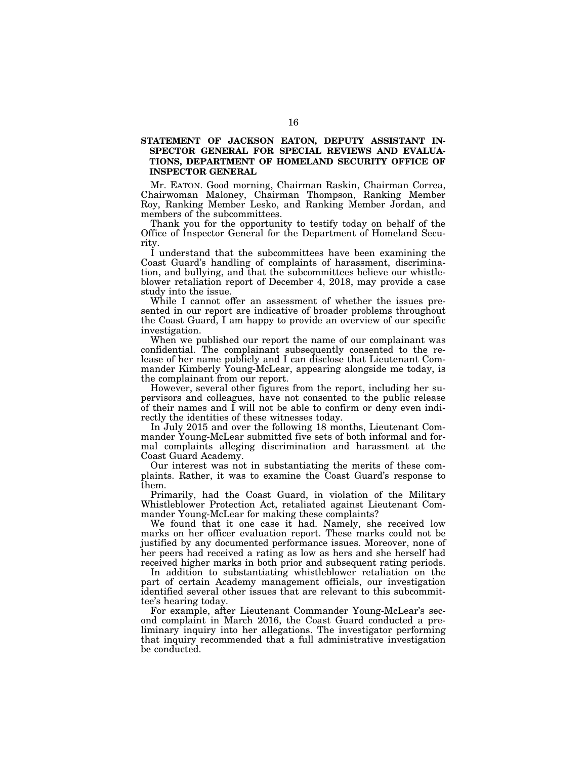## **STATEMENT OF JACKSON EATON, DEPUTY ASSISTANT IN-SPECTOR GENERAL FOR SPECIAL REVIEWS AND EVALUA-TIONS, DEPARTMENT OF HOMELAND SECURITY OFFICE OF INSPECTOR GENERAL**

Mr. EATON. Good morning, Chairman Raskin, Chairman Correa, Chairwoman Maloney, Chairman Thompson, Ranking Member Roy, Ranking Member Lesko, and Ranking Member Jordan, and members of the subcommittees.

Thank you for the opportunity to testify today on behalf of the Office of Inspector General for the Department of Homeland Security.

I understand that the subcommittees have been examining the Coast Guard's handling of complaints of harassment, discrimination, and bullying, and that the subcommittees believe our whistleblower retaliation report of December 4, 2018, may provide a case study into the issue.

While I cannot offer an assessment of whether the issues presented in our report are indicative of broader problems throughout the Coast Guard, I am happy to provide an overview of our specific investigation.

When we published our report the name of our complainant was confidential. The complainant subsequently consented to the release of her name publicly and I can disclose that Lieutenant Commander Kimberly Young-McLear, appearing alongside me today, is the complainant from our report.

However, several other figures from the report, including her supervisors and colleagues, have not consented to the public release of their names and  $\tilde{I}$  will not be able to confirm or deny even indirectly the identities of these witnesses today.

In July 2015 and over the following 18 months, Lieutenant Commander Young-McLear submitted five sets of both informal and formal complaints alleging discrimination and harassment at the Coast Guard Academy.

Our interest was not in substantiating the merits of these complaints. Rather, it was to examine the Coast Guard's response to them.

Primarily, had the Coast Guard, in violation of the Military Whistleblower Protection Act, retaliated against Lieutenant Commander Young-McLear for making these complaints?

We found that it one case it had. Namely, she received low marks on her officer evaluation report. These marks could not be justified by any documented performance issues. Moreover, none of her peers had received a rating as low as hers and she herself had received higher marks in both prior and subsequent rating periods.

In addition to substantiating whistleblower retaliation on the part of certain Academy management officials, our investigation identified several other issues that are relevant to this subcommittee's hearing today.

For example, after Lieutenant Commander Young-McLear's second complaint in March 2016, the Coast Guard conducted a preliminary inquiry into her allegations. The investigator performing that inquiry recommended that a full administrative investigation be conducted.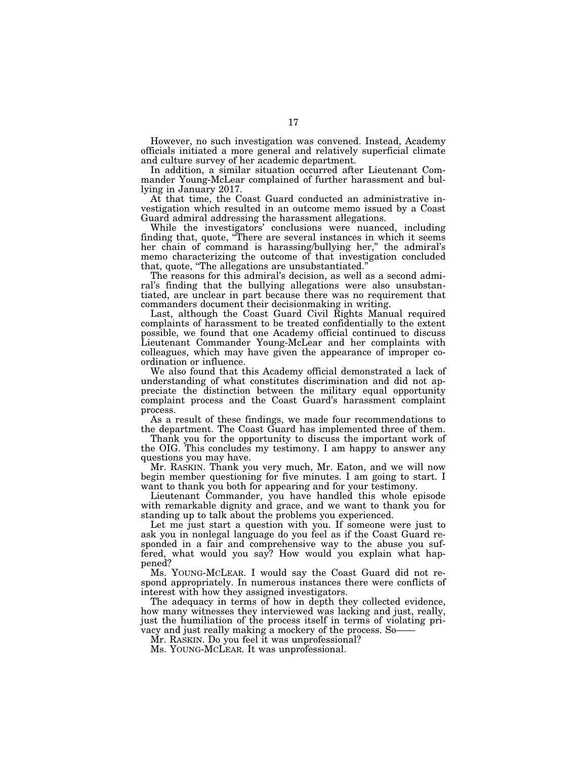However, no such investigation was convened. Instead, Academy officials initiated a more general and relatively superficial climate and culture survey of her academic department.

In addition, a similar situation occurred after Lieutenant Commander Young-McLear complained of further harassment and bullying in January 2017.

At that time, the Coast Guard conducted an administrative investigation which resulted in an outcome memo issued by a Coast Guard admiral addressing the harassment allegations.

While the investigators' conclusions were nuanced, including finding that, quote, ''There are several instances in which it seems her chain of command is harassing/bullying her,'' the admiral's memo characterizing the outcome of that investigation concluded that, quote, ''The allegations are unsubstantiated.''

The reasons for this admiral's decision, as well as a second admiral's finding that the bullying allegations were also unsubstantiated, are unclear in part because there was no requirement that commanders document their decisionmaking in writing.

Last, although the Coast Guard Civil Rights Manual required complaints of harassment to be treated confidentially to the extent possible, we found that one Academy official continued to discuss Lieutenant Commander Young-McLear and her complaints with colleagues, which may have given the appearance of improper coordination or influence.

We also found that this Academy official demonstrated a lack of understanding of what constitutes discrimination and did not appreciate the distinction between the military equal opportunity complaint process and the Coast Guard's harassment complaint process.

As a result of these findings, we made four recommendations to the department. The Coast Guard has implemented three of them.

Thank you for the opportunity to discuss the important work of the OIG. This concludes my testimony. I am happy to answer any questions you may have.

Mr. RASKIN. Thank you very much, Mr. Eaton, and we will now begin member questioning for five minutes. I am going to start. I want to thank you both for appearing and for your testimony.

Lieutenant Commander, you have handled this whole episode with remarkable dignity and grace, and we want to thank you for standing up to talk about the problems you experienced.

Let me just start a question with you. If someone were just to ask you in nonlegal language do you feel as if the Coast Guard responded in a fair and comprehensive way to the abuse you suffered, what would you say? How would you explain what happened?

Ms. YOUNG-MCLEAR. I would say the Coast Guard did not respond appropriately. In numerous instances there were conflicts of interest with how they assigned investigators.

The adequacy in terms of how in depth they collected evidence, how many witnesses they interviewed was lacking and just, really, just the humiliation of the process itself in terms of violating privacy and just really making a mockery of the process. So-

Mr. RASKIN. Do you feel it was unprofessional?

Ms. YOUNG-MCLEAR. It was unprofessional.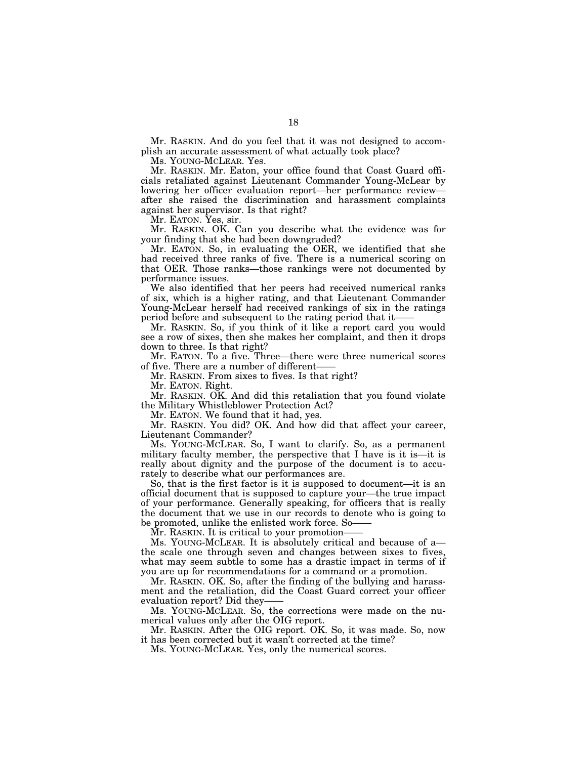Mr. RASKIN. And do you feel that it was not designed to accomplish an accurate assessment of what actually took place?

Ms. YOUNG-MCLEAR. Yes.

Mr. RASKIN. Mr. Eaton, your office found that Coast Guard officials retaliated against Lieutenant Commander Young-McLear by lowering her officer evaluation report—her performance review after she raised the discrimination and harassment complaints against her supervisor. Is that right?

Mr. EATON. Yes, sir.

Mr. RASKIN. OK. Can you describe what the evidence was for your finding that she had been downgraded?

Mr. EATON. So, in evaluating the OER, we identified that she had received three ranks of five. There is a numerical scoring on that OER. Those ranks—those rankings were not documented by performance issues.

We also identified that her peers had received numerical ranks of six, which is a higher rating, and that Lieutenant Commander Young-McLear herself had received rankings of six in the ratings period before and subsequent to the rating period that it——

Mr. RASKIN. So, if you think of it like a report card you would see a row of sixes, then she makes her complaint, and then it drops down to three. Is that right?

Mr. EATON. To a five. Three—there were three numerical scores of five. There are a number of different——

Mr. RASKIN. From sixes to fives. Is that right?

Mr. EATON. Right.

Mr. RASKIN. OK. And did this retaliation that you found violate the Military Whistleblower Protection Act?

Mr. EATON. We found that it had, yes.

Mr. RASKIN. You did? OK. And how did that affect your career, Lieutenant Commander?

Ms. YOUNG-MCLEAR. So, I want to clarify. So, as a permanent military faculty member, the perspective that I have is it is—it is really about dignity and the purpose of the document is to accurately to describe what our performances are.

So, that is the first factor is it is supposed to document—it is an official document that is supposed to capture your—the true impact of your performance. Generally speaking, for officers that is really the document that we use in our records to denote who is going to be promoted, unlike the enlisted work force. So——

Mr. RASKIN. It is critical to your promotion-

Ms. YOUNG-MCLEAR. It is absolutely critical and because of a the scale one through seven and changes between sixes to fives, what may seem subtle to some has a drastic impact in terms of if you are up for recommendations for a command or a promotion.

Mr. RASKIN. OK. So, after the finding of the bullying and harassment and the retaliation, did the Coast Guard correct your officer evaluation report? Did they—

Ms. YOUNG-MCLEAR. So, the corrections were made on the numerical values only after the OIG report.

Mr. RASKIN. After the OIG report. OK. So, it was made. So, now it has been corrected but it wasn't corrected at the time?

Ms. YOUNG-MCLEAR. Yes, only the numerical scores.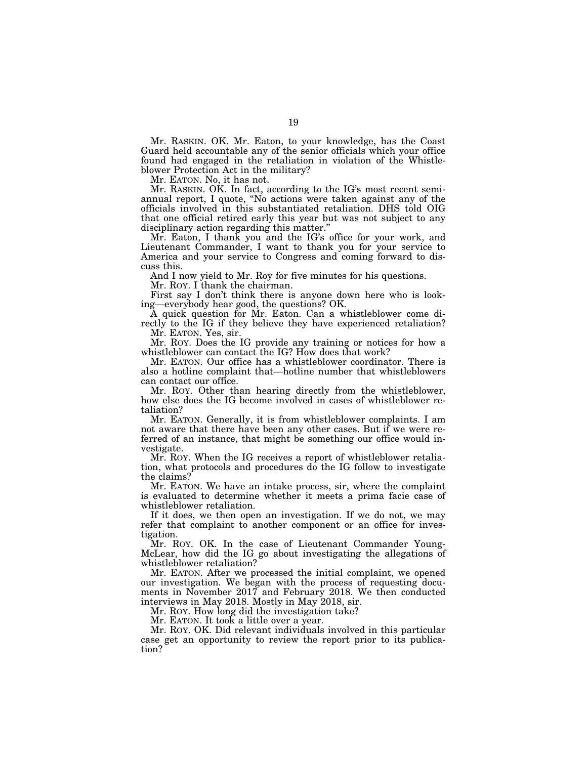Mr. RASKIN. OK. Mr. Eaton, to your knowledge, has the Coast Guard held accountable any of the senior officials which your office found had engaged in the retaliation in violation of the Whistleblower Protection Act in the military?

Mr. EATON. No, it has not.

Mr. RASKIN. OK. In fact, according to the IG's most recent semiannual report, I quote, ''No actions were taken against any of the officials involved in this substantiated retaliation. DHS told OIG that one official retired early this year but was not subject to any disciplinary action regarding this matter.''

Mr. Eaton, I thank you and the IG's office for your work, and Lieutenant Commander, I want to thank you for your service to America and your service to Congress and coming forward to discuss this.

And I now yield to Mr. Roy for five minutes for his questions.

Mr. ROY. I thank the chairman.

First say I don't think there is anyone down here who is looking—everybody hear good, the questions? OK.

A quick question for Mr. Eaton. Can a whistleblower come directly to the IG if they believe they have experienced retaliation? Mr. EATON. Yes, sir.

Mr. ROY. Does the IG provide any training or notices for how a whistleblower can contact the IG? How does that work?

Mr. EATON. Our office has a whistleblower coordinator. There is also a hotline complaint that—hotline number that whistleblowers can contact our office.

Mr. ROY. Other than hearing directly from the whistleblower, how else does the IG become involved in cases of whistleblower retaliation?

Mr. EATON. Generally, it is from whistleblower complaints. I am not aware that there have been any other cases. But if we were referred of an instance, that might be something our office would investigate.

Mr. ROY. When the IG receives a report of whistleblower retaliation, what protocols and procedures do the IG follow to investigate the claims?

Mr. EATON. We have an intake process, sir, where the complaint is evaluated to determine whether it meets a prima facie case of whistleblower retaliation.

If it does, we then open an investigation. If we do not, we may refer that complaint to another component or an office for investigation.

Mr. ROY. OK. In the case of Lieutenant Commander Young-McLear, how did the IG go about investigating the allegations of whistleblower retaliation?

Mr. EATON. After we processed the initial complaint, we opened our investigation. We began with the process of requesting documents in November 2017 and February 2018. We then conducted interviews in May 2018. Mostly in May 2018, sir.

Mr. ROY. How long did the investigation take?

Mr. EATON. It took a little over a year.

Mr. ROY. OK. Did relevant individuals involved in this particular case get an opportunity to review the report prior to its publication?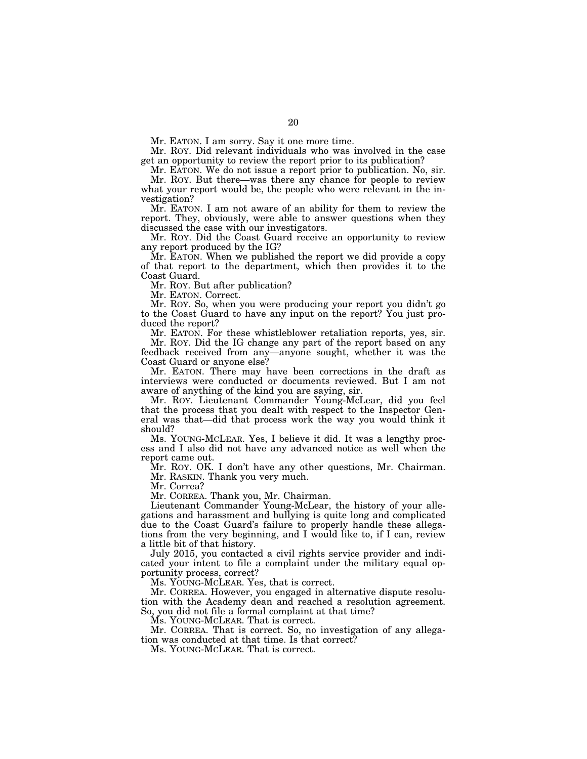Mr. EATON. I am sorry. Say it one more time.

Mr. ROY. Did relevant individuals who was involved in the case get an opportunity to review the report prior to its publication?

Mr. EATON. We do not issue a report prior to publication. No, sir. Mr. ROY. But there—was there any chance for people to review what your report would be, the people who were relevant in the investigation?

Mr. EATON. I am not aware of an ability for them to review the report. They, obviously, were able to answer questions when they discussed the case with our investigators.

Mr. ROY. Did the Coast Guard receive an opportunity to review any report produced by the IG?

Mr. EATON. When we published the report we did provide a copy of that report to the department, which then provides it to the Coast Guard.

Mr. ROY. But after publication?

Mr. EATON. Correct.

Mr. ROY. So, when you were producing your report you didn't go to the Coast Guard to have any input on the report? You just produced the report?

Mr. EATON. For these whistleblower retaliation reports, yes, sir.

Mr. ROY. Did the IG change any part of the report based on any feedback received from any—anyone sought, whether it was the Coast Guard or anyone else?

Mr. EATON. There may have been corrections in the draft as interviews were conducted or documents reviewed. But I am not aware of anything of the kind you are saying, sir.

Mr. ROY. Lieutenant Commander Young-McLear, did you feel that the process that you dealt with respect to the Inspector General was that—did that process work the way you would think it should?

Ms. YOUNG-MCLEAR. Yes, I believe it did. It was a lengthy process and I also did not have any advanced notice as well when the report came out.

Mr. ROY. OK. I don't have any other questions, Mr. Chairman. Mr. RASKIN. Thank you very much.

Mr. Correa?

Mr. CORREA. Thank you, Mr. Chairman.

Lieutenant Commander Young-McLear, the history of your allegations and harassment and bullying is quite long and complicated due to the Coast Guard's failure to properly handle these allegations from the very beginning, and I would like to, if I can, review a little bit of that history.

July 2015, you contacted a civil rights service provider and indicated your intent to file a complaint under the military equal opportunity process, correct?

Ms. YOUNG-MCLEAR. Yes, that is correct.

Mr. CORREA. However, you engaged in alternative dispute resolution with the Academy dean and reached a resolution agreement. So, you did not file a formal complaint at that time?

Ms. YOUNG-MCLEAR. That is correct.

Mr. CORREA. That is correct. So, no investigation of any allegation was conducted at that time. Is that correct?

Ms. YOUNG-MCLEAR. That is correct.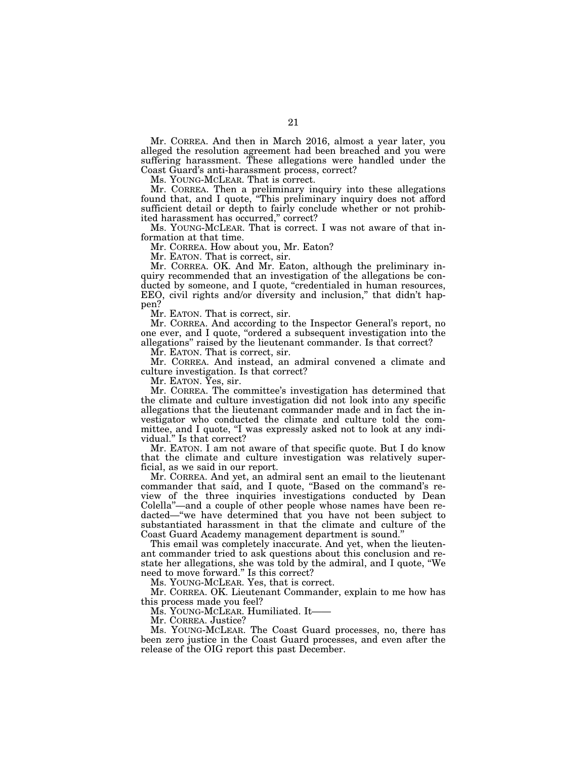Mr. CORREA. And then in March 2016, almost a year later, you alleged the resolution agreement had been breached and you were suffering harassment. These allegations were handled under the Coast Guard's anti-harassment process, correct?

Ms. YOUNG-MCLEAR. That is correct.

Mr. CORREA. Then a preliminary inquiry into these allegations found that, and I quote, ''This preliminary inquiry does not afford sufficient detail or depth to fairly conclude whether or not prohibited harassment has occurred,'' correct?

Ms. YOUNG-MCLEAR. That is correct. I was not aware of that information at that time.

Mr. CORREA. How about you, Mr. Eaton?

Mr. EATON. That is correct, sir.

Mr. CORREA. OK. And Mr. Eaton, although the preliminary inquiry recommended that an investigation of the allegations be conducted by someone, and I quote, "credentialed in human resources, EEO, civil rights and/or diversity and inclusion," that didn't happen?

Mr. EATON. That is correct, sir.

Mr. CORREA. And according to the Inspector General's report, no one ever, and I quote, ''ordered a subsequent investigation into the allegations'' raised by the lieutenant commander. Is that correct?

Mr. EATON. That is correct, sir.

Mr. CORREA. And instead, an admiral convened a climate and culture investigation. Is that correct?

Mr. EATON. Yes, sir.

Mr. CORREA. The committee's investigation has determined that the climate and culture investigation did not look into any specific allegations that the lieutenant commander made and in fact the investigator who conducted the climate and culture told the committee, and I quote, "I was expressly asked not to look at any individual.'' Is that correct?

Mr. EATON. I am not aware of that specific quote. But I do know that the climate and culture investigation was relatively superficial, as we said in our report.

Mr. CORREA. And yet, an admiral sent an email to the lieutenant commander that said, and I quote, ''Based on the command's review of the three inquiries investigations conducted by Dean Colella''—and a couple of other people whose names have been redacted—''we have determined that you have not been subject to substantiated harassment in that the climate and culture of the Coast Guard Academy management department is sound.''

This email was completely inaccurate. And yet, when the lieutenant commander tried to ask questions about this conclusion and restate her allegations, she was told by the admiral, and I quote, ''We need to move forward.'' Is this correct?

Ms. YOUNG-MCLEAR. Yes, that is correct.

Mr. CORREA. OK. Lieutenant Commander, explain to me how has this process made you feel?

Ms. YOUNG-MCLEAR. Humiliated. It——

Mr. CORREA. Justice?

Ms. YOUNG-MCLEAR. The Coast Guard processes, no, there has been zero justice in the Coast Guard processes, and even after the release of the OIG report this past December.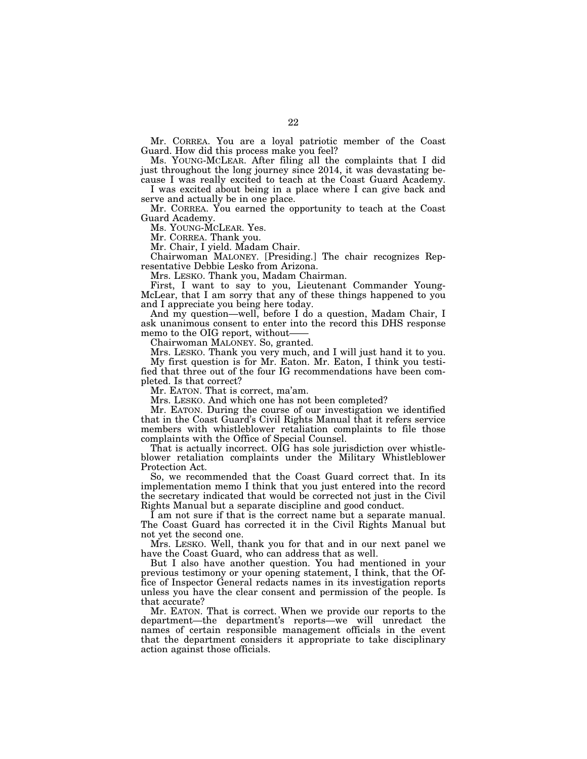Mr. CORREA. You are a loyal patriotic member of the Coast Guard. How did this process make you feel?

Ms. YOUNG-MCLEAR. After filing all the complaints that I did just throughout the long journey since 2014, it was devastating because I was really excited to teach at the Coast Guard Academy.

I was excited about being in a place where I can give back and serve and actually be in one place.

Mr. CORREA. You earned the opportunity to teach at the Coast Guard Academy.

Ms. YOUNG-MCLEAR. Yes.

Mr. CORREA. Thank you.

Mr. Chair, I yield. Madam Chair.

Chairwoman MALONEY. [Presiding.] The chair recognizes Representative Debbie Lesko from Arizona.

Mrs. LESKO. Thank you, Madam Chairman.

First, I want to say to you, Lieutenant Commander Young-McLear, that I am sorry that any of these things happened to you and I appreciate you being here today.

And my question—well, before I do a question, Madam Chair, I ask unanimous consent to enter into the record this DHS response memo to the OIG report, without-

Chairwoman MALONEY. So, granted.

Mrs. LESKO. Thank you very much, and I will just hand it to you. My first question is for Mr. Eaton. Mr. Eaton, I think you testified that three out of the four IG recommendations have been completed. Is that correct?

Mr. EATON. That is correct, ma'am.

Mrs. LESKO. And which one has not been completed?

Mr. EATON. During the course of our investigation we identified that in the Coast Guard's Civil Rights Manual that it refers service members with whistleblower retaliation complaints to file those complaints with the Office of Special Counsel.

That is actually incorrect. OIG has sole jurisdiction over whistleblower retaliation complaints under the Military Whistleblower Protection Act.

So, we recommended that the Coast Guard correct that. In its implementation memo I think that you just entered into the record the secretary indicated that would be corrected not just in the Civil Rights Manual but a separate discipline and good conduct.

I am not sure if that is the correct name but a separate manual. The Coast Guard has corrected it in the Civil Rights Manual but not yet the second one.

Mrs. LESKO. Well, thank you for that and in our next panel we have the Coast Guard, who can address that as well.

But I also have another question. You had mentioned in your previous testimony or your opening statement, I think, that the Office of Inspector General redacts names in its investigation reports unless you have the clear consent and permission of the people. Is that accurate?

Mr. EATON. That is correct. When we provide our reports to the department—the department's reports—we will unredact the names of certain responsible management officials in the event that the department considers it appropriate to take disciplinary action against those officials.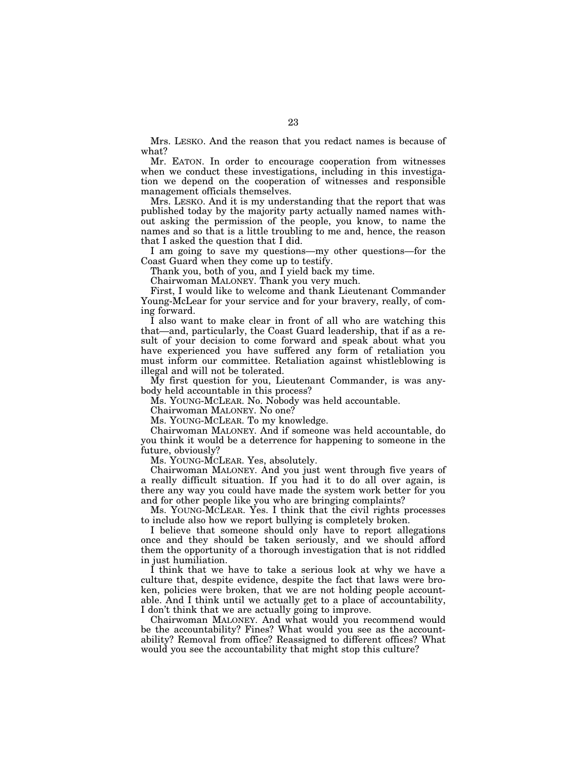Mrs. LESKO. And the reason that you redact names is because of what?

Mr. EATON. In order to encourage cooperation from witnesses when we conduct these investigations, including in this investigation we depend on the cooperation of witnesses and responsible management officials themselves.

Mrs. LESKO. And it is my understanding that the report that was published today by the majority party actually named names without asking the permission of the people, you know, to name the names and so that is a little troubling to me and, hence, the reason that I asked the question that I did.

I am going to save my questions—my other questions—for the Coast Guard when they come up to testify.

Thank you, both of you, and I yield back my time.

Chairwoman MALONEY. Thank you very much.

First, I would like to welcome and thank Lieutenant Commander Young-McLear for your service and for your bravery, really, of coming forward.

I also want to make clear in front of all who are watching this that—and, particularly, the Coast Guard leadership, that if as a result of your decision to come forward and speak about what you have experienced you have suffered any form of retaliation you must inform our committee. Retaliation against whistleblowing is illegal and will not be tolerated.

My first question for you, Lieutenant Commander, is was anybody held accountable in this process?

Ms. YOUNG-MCLEAR. No. Nobody was held accountable.

Chairwoman MALONEY. No one?

Ms. YOUNG-MCLEAR. To my knowledge.

Chairwoman MALONEY. And if someone was held accountable, do you think it would be a deterrence for happening to someone in the future, obviously?

Ms. YOUNG-MCLEAR. Yes, absolutely.

Chairwoman MALONEY. And you just went through five years of a really difficult situation. If you had it to do all over again, is there any way you could have made the system work better for you and for other people like you who are bringing complaints?

Ms. YOUNG-MCLEAR. Yes. I think that the civil rights processes to include also how we report bullying is completely broken.

I believe that someone should only have to report allegations once and they should be taken seriously, and we should afford them the opportunity of a thorough investigation that is not riddled in just humiliation.

I think that we have to take a serious look at why we have a culture that, despite evidence, despite the fact that laws were broken, policies were broken, that we are not holding people accountable. And I think until we actually get to a place of accountability, I don't think that we are actually going to improve.

Chairwoman MALONEY. And what would you recommend would be the accountability? Fines? What would you see as the accountability? Removal from office? Reassigned to different offices? What would you see the accountability that might stop this culture?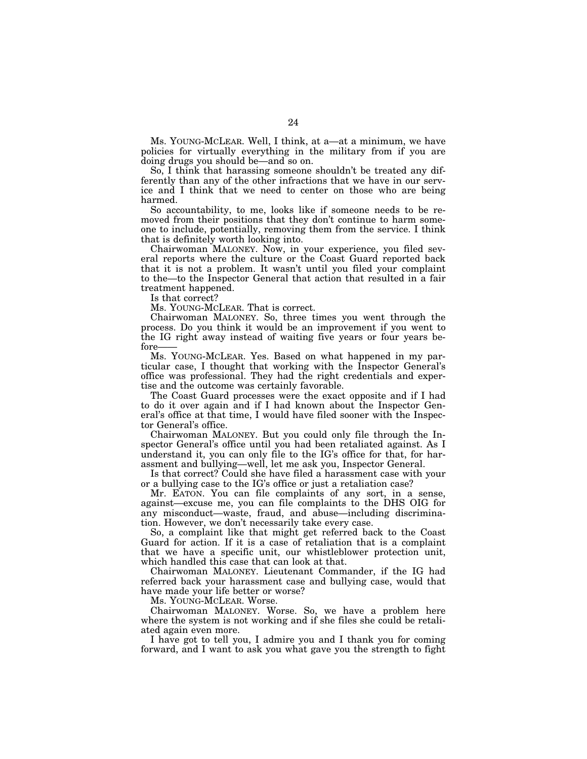Ms. YOUNG-MCLEAR. Well, I think, at a—at a minimum, we have policies for virtually everything in the military from if you are doing drugs you should be—and so on.

So, I think that harassing someone shouldn't be treated any differently than any of the other infractions that we have in our service and I think that we need to center on those who are being harmed.

So accountability, to me, looks like if someone needs to be removed from their positions that they don't continue to harm someone to include, potentially, removing them from the service. I think that is definitely worth looking into.

Chairwoman MALONEY. Now, in your experience, you filed several reports where the culture or the Coast Guard reported back that it is not a problem. It wasn't until you filed your complaint to the—to the Inspector General that action that resulted in a fair treatment happened.

Is that correct?

Ms. YOUNG-MCLEAR. That is correct.

Chairwoman MALONEY. So, three times you went through the process. Do you think it would be an improvement if you went to the IG right away instead of waiting five years or four years before-

Ms. YOUNG-MCLEAR. Yes. Based on what happened in my particular case, I thought that working with the Inspector General's office was professional. They had the right credentials and expertise and the outcome was certainly favorable.

The Coast Guard processes were the exact opposite and if I had to do it over again and if I had known about the Inspector General's office at that time, I would have filed sooner with the Inspector General's office.

Chairwoman MALONEY. But you could only file through the Inspector General's office until you had been retaliated against. As I understand it, you can only file to the IG's office for that, for harassment and bullying—well, let me ask you, Inspector General.

Is that correct? Could she have filed a harassment case with your or a bullying case to the IG's office or just a retaliation case?

Mr. EATON. You can file complaints of any sort, in a sense, against—excuse me, you can file complaints to the DHS OIG for any misconduct—waste, fraud, and abuse—including discrimination. However, we don't necessarily take every case.

So, a complaint like that might get referred back to the Coast Guard for action. If it is a case of retaliation that is a complaint that we have a specific unit, our whistleblower protection unit, which handled this case that can look at that.

Chairwoman MALONEY. Lieutenant Commander, if the IG had referred back your harassment case and bullying case, would that have made your life better or worse?

Ms. YOUNG-MCLEAR. Worse.

Chairwoman MALONEY. Worse. So, we have a problem here where the system is not working and if she files she could be retaliated again even more.

I have got to tell you, I admire you and I thank you for coming forward, and I want to ask you what gave you the strength to fight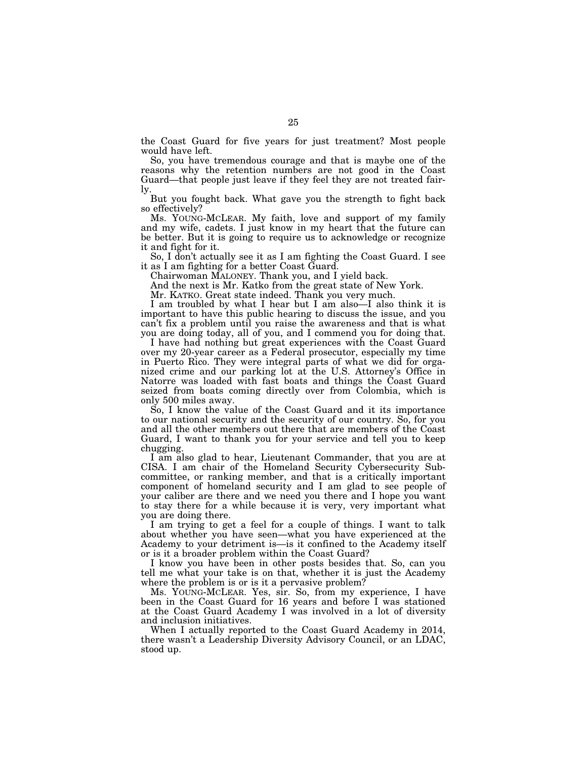the Coast Guard for five years for just treatment? Most people would have left.

So, you have tremendous courage and that is maybe one of the reasons why the retention numbers are not good in the Coast Guard—that people just leave if they feel they are not treated fairly.

But you fought back. What gave you the strength to fight back so effectively?

Ms. YOUNG-MCLEAR. My faith, love and support of my family and my wife, cadets. I just know in my heart that the future can be better. But it is going to require us to acknowledge or recognize it and fight for it.

So, I don't actually see it as I am fighting the Coast Guard. I see it as I am fighting for a better Coast Guard.

Chairwoman MALONEY. Thank you, and I yield back.

And the next is Mr. Katko from the great state of New York.

Mr. KATKO. Great state indeed. Thank you very much.

I am troubled by what I hear but I am also—I also think it is important to have this public hearing to discuss the issue, and you can't fix a problem until you raise the awareness and that is what you are doing today, all of you, and I commend you for doing that.

I have had nothing but great experiences with the Coast Guard over my 20-year career as a Federal prosecutor, especially my time in Puerto Rico. They were integral parts of what we did for organized crime and our parking lot at the U.S. Attorney's Office in Natorre was loaded with fast boats and things the Coast Guard seized from boats coming directly over from Colombia, which is only 500 miles away.

So, I know the value of the Coast Guard and it its importance to our national security and the security of our country. So, for you and all the other members out there that are members of the Coast Guard, I want to thank you for your service and tell you to keep chugging.

I am also glad to hear, Lieutenant Commander, that you are at CISA. I am chair of the Homeland Security Cybersecurity Subcommittee, or ranking member, and that is a critically important component of homeland security and I am glad to see people of your caliber are there and we need you there and I hope you want to stay there for a while because it is very, very important what you are doing there.

I am trying to get a feel for a couple of things. I want to talk about whether you have seen—what you have experienced at the Academy to your detriment is—is it confined to the Academy itself or is it a broader problem within the Coast Guard?

I know you have been in other posts besides that. So, can you tell me what your take is on that, whether it is just the Academy where the problem is or is it a pervasive problem?

Ms. YOUNG-MCLEAR. Yes, sir. So, from my experience, I have been in the Coast Guard for 16 years and before I was stationed at the Coast Guard Academy I was involved in a lot of diversity and inclusion initiatives.

When I actually reported to the Coast Guard Academy in 2014, there wasn't a Leadership Diversity Advisory Council, or an LDAC, stood up.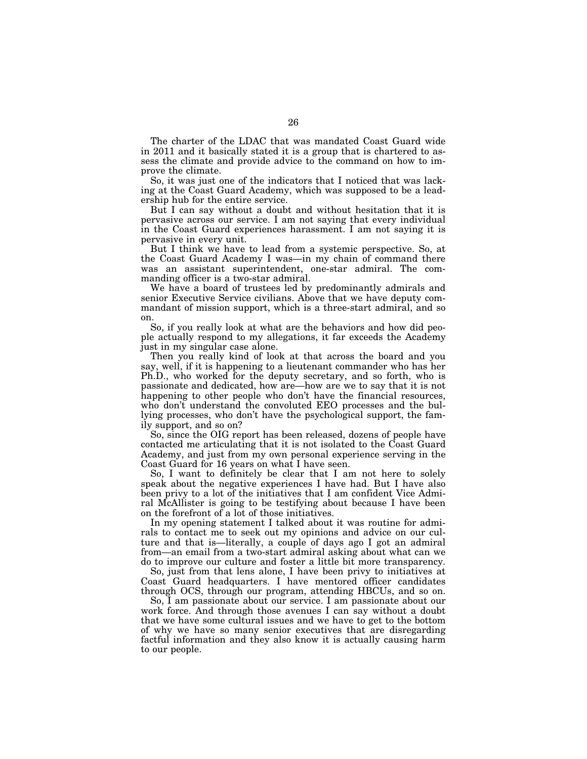The charter of the LDAC that was mandated Coast Guard wide in 2011 and it basically stated it is a group that is chartered to assess the climate and provide advice to the command on how to improve the climate.

So, it was just one of the indicators that I noticed that was lacking at the Coast Guard Academy, which was supposed to be a leadership hub for the entire service.

But I can say without a doubt and without hesitation that it is pervasive across our service. I am not saying that every individual in the Coast Guard experiences harassment. I am not saying it is pervasive in every unit.

But I think we have to lead from a systemic perspective. So, at the Coast Guard Academy I was—in my chain of command there was an assistant superintendent, one-star admiral. The commanding officer is a two-star admiral.

We have a board of trustees led by predominantly admirals and senior Executive Service civilians. Above that we have deputy commandant of mission support, which is a three-start admiral, and so on.

So, if you really look at what are the behaviors and how did people actually respond to my allegations, it far exceeds the Academy just in my singular case alone.

Then you really kind of look at that across the board and you say, well, if it is happening to a lieutenant commander who has her Ph.D., who worked for the deputy secretary, and so forth, who is passionate and dedicated, how are—how are we to say that it is not happening to other people who don't have the financial resources, who don't understand the convoluted EEO processes and the bullying processes, who don't have the psychological support, the family support, and so on?

So, since the OIG report has been released, dozens of people have contacted me articulating that it is not isolated to the Coast Guard Academy, and just from my own personal experience serving in the Coast Guard for 16 years on what I have seen.

So, I want to definitely be clear that I am not here to solely speak about the negative experiences I have had. But I have also been privy to a lot of the initiatives that I am confident Vice Admiral McAllister is going to be testifying about because I have been on the forefront of a lot of those initiatives.

In my opening statement I talked about it was routine for admirals to contact me to seek out my opinions and advice on our culture and that is—literally, a couple of days ago I got an admiral from—an email from a two-start admiral asking about what can we do to improve our culture and foster a little bit more transparency.

So, just from that lens alone, I have been privy to initiatives at Coast Guard headquarters. I have mentored officer candidates through OCS, through our program, attending HBCUs, and so on.

So, I am passionate about our service. I am passionate about our work force. And through those avenues I can say without a doubt that we have some cultural issues and we have to get to the bottom of why we have so many senior executives that are disregarding factful information and they also know it is actually causing harm to our people.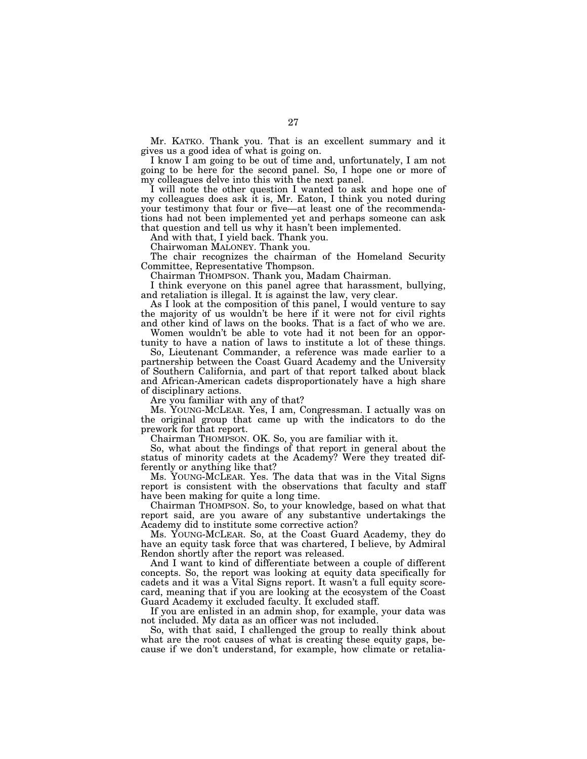Mr. KATKO. Thank you. That is an excellent summary and it gives us a good idea of what is going on.

I know I am going to be out of time and, unfortunately, I am not going to be here for the second panel. So, I hope one or more of my colleagues delve into this with the next panel.

I will note the other question I wanted to ask and hope one of my colleagues does ask it is, Mr. Eaton, I think you noted during your testimony that four or five—at least one of the recommendations had not been implemented yet and perhaps someone can ask that question and tell us why it hasn't been implemented.

And with that, I yield back. Thank you.

Chairwoman MALONEY. Thank you.

The chair recognizes the chairman of the Homeland Security Committee, Representative Thompson.

Chairman THOMPSON. Thank you, Madam Chairman.

I think everyone on this panel agree that harassment, bullying, and retaliation is illegal. It is against the law, very clear.

As I look at the composition of this panel, I would venture to say the majority of us wouldn't be here if it were not for civil rights and other kind of laws on the books. That is a fact of who we are.

Women wouldn't be able to vote had it not been for an opportunity to have a nation of laws to institute a lot of these things.

So, Lieutenant Commander, a reference was made earlier to a partnership between the Coast Guard Academy and the University of Southern California, and part of that report talked about black and African-American cadets disproportionately have a high share of disciplinary actions.

Are you familiar with any of that?

Ms. YOUNG-MCLEAR. Yes, I am, Congressman. I actually was on the original group that came up with the indicators to do the prework for that report.

Chairman THOMPSON. OK. So, you are familiar with it.

So, what about the findings of that report in general about the status of minority cadets at the Academy? Were they treated differently or anything like that?

Ms. YOUNG-MCLEAR. Yes. The data that was in the Vital Signs report is consistent with the observations that faculty and staff have been making for quite a long time.

Chairman THOMPSON. So, to your knowledge, based on what that report said, are you aware of any substantive undertakings the Academy did to institute some corrective action?

Ms. YOUNG-MCLEAR. So, at the Coast Guard Academy, they do have an equity task force that was chartered, I believe, by Admiral Rendon shortly after the report was released.

And I want to kind of differentiate between a couple of different concepts. So, the report was looking at equity data specifically for cadets and it was a Vital Signs report. It wasn't a full equity scorecard, meaning that if you are looking at the ecosystem of the Coast Guard Academy it excluded faculty. It excluded staff.

If you are enlisted in an admin shop, for example, your data was not included. My data as an officer was not included.

So, with that said, I challenged the group to really think about what are the root causes of what is creating these equity gaps, because if we don't understand, for example, how climate or retalia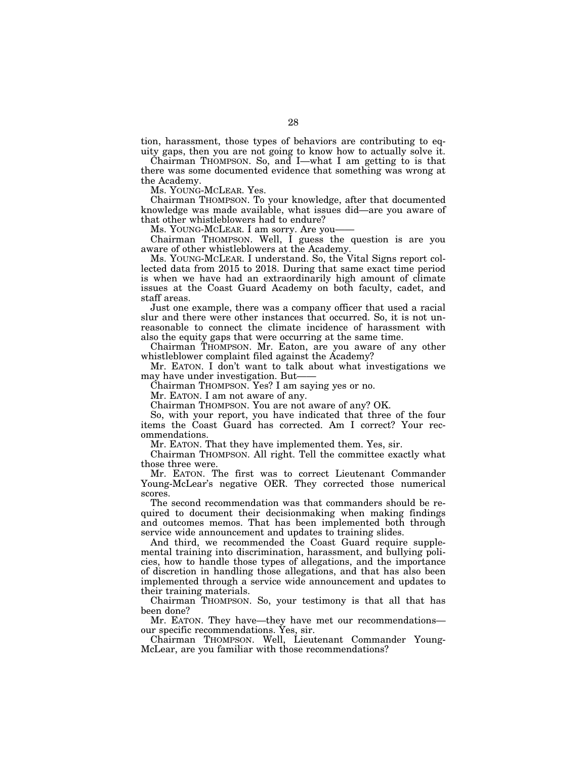tion, harassment, those types of behaviors are contributing to equity gaps, then you are not going to know how to actually solve it.

Chairman THOMPSON. So, and I—what I am getting to is that there was some documented evidence that something was wrong at the Academy.

Ms. YOUNG-MCLEAR. Yes.

Chairman THOMPSON. To your knowledge, after that documented knowledge was made available, what issues did—are you aware of that other whistleblowers had to endure?

Ms. YOUNG-MCLEAR. I am sorry. Are you——

Chairman THOMPSON. Well, I guess the question is are you aware of other whistleblowers at the Academy.

Ms. YOUNG-MCLEAR. I understand. So, the Vital Signs report collected data from 2015 to 2018. During that same exact time period is when we have had an extraordinarily high amount of climate issues at the Coast Guard Academy on both faculty, cadet, and staff areas.

Just one example, there was a company officer that used a racial slur and there were other instances that occurred. So, it is not unreasonable to connect the climate incidence of harassment with also the equity gaps that were occurring at the same time.

Chairman THOMPSON. Mr. Eaton, are you aware of any other whistleblower complaint filed against the Academy?

Mr. EATON. I don't want to talk about what investigations we may have under investigation. But-

Chairman THOMPSON. Yes? I am saying yes or no.

Mr. EATON. I am not aware of any.

Chairman THOMPSON. You are not aware of any? OK.

So, with your report, you have indicated that three of the four items the Coast Guard has corrected. Am I correct? Your recommendations.

Mr. EATON. That they have implemented them. Yes, sir.

Chairman THOMPSON. All right. Tell the committee exactly what those three were.

Mr. EATON. The first was to correct Lieutenant Commander Young-McLear's negative OER. They corrected those numerical scores.

The second recommendation was that commanders should be required to document their decisionmaking when making findings and outcomes memos. That has been implemented both through service wide announcement and updates to training slides.

And third, we recommended the Coast Guard require supplemental training into discrimination, harassment, and bullying policies, how to handle those types of allegations, and the importance of discretion in handling those allegations, and that has also been implemented through a service wide announcement and updates to their training materials.

Chairman THOMPSON. So, your testimony is that all that has been done?

Mr. EATON. They have—they have met our recommendations our specific recommendations. Yes, sir.

Chairman THOMPSON. Well, Lieutenant Commander Young-McLear, are you familiar with those recommendations?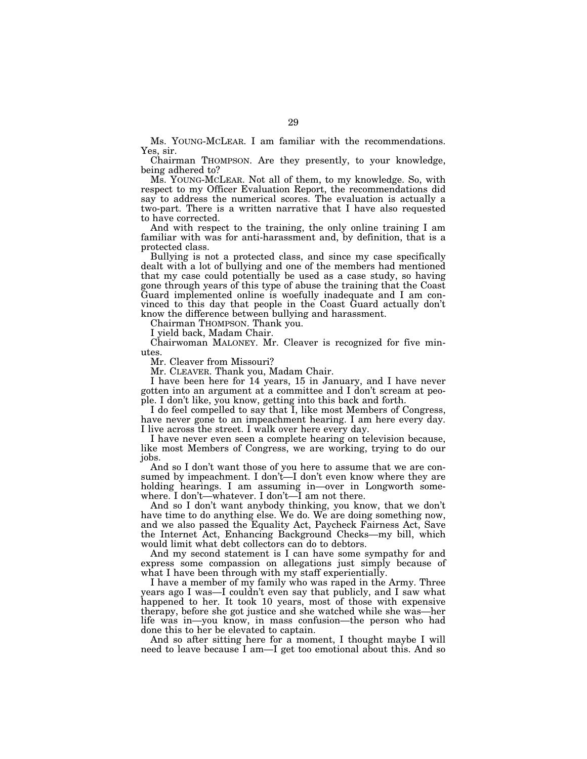Ms. YOUNG-MCLEAR. I am familiar with the recommendations. Yes, sir.

Chairman THOMPSON. Are they presently, to your knowledge, being adhered to?

Ms. YOUNG-MCLEAR. Not all of them, to my knowledge. So, with respect to my Officer Evaluation Report, the recommendations did say to address the numerical scores. The evaluation is actually a two-part. There is a written narrative that I have also requested to have corrected.

And with respect to the training, the only online training I am familiar with was for anti-harassment and, by definition, that is a protected class.

Bullying is not a protected class, and since my case specifically dealt with a lot of bullying and one of the members had mentioned that my case could potentially be used as a case study, so having gone through years of this type of abuse the training that the Coast Guard implemented online is woefully inadequate and I am convinced to this day that people in the Coast Guard actually don't know the difference between bullying and harassment.

Chairman THOMPSON. Thank you.

I yield back, Madam Chair.

Chairwoman MALONEY. Mr. Cleaver is recognized for five minutes.

Mr. Cleaver from Missouri?

Mr. CLEAVER. Thank you, Madam Chair.

I have been here for 14 years, 15 in January, and I have never gotten into an argument at a committee and I don't scream at people. I don't like, you know, getting into this back and forth.

I do feel compelled to say that I, like most Members of Congress, have never gone to an impeachment hearing. I am here every day. I live across the street. I walk over here every day.

I have never even seen a complete hearing on television because, like most Members of Congress, we are working, trying to do our jobs.

And so I don't want those of you here to assume that we are consumed by impeachment. I don't—I don't even know where they are holding hearings. I am assuming in—over in Longworth somewhere. I don't—whatever. I don't—I am not there.

And so I don't want anybody thinking, you know, that we don't have time to do anything else. We do. We are doing something now, and we also passed the Equality Act, Paycheck Fairness Act, Save the Internet Act, Enhancing Background Checks—my bill, which would limit what debt collectors can do to debtors.

And my second statement is I can have some sympathy for and express some compassion on allegations just simply because of what I have been through with my staff experientially.

I have a member of my family who was raped in the Army. Three years ago I was—I couldn't even say that publicly, and I saw what happened to her. It took 10 years, most of those with expensive therapy, before she got justice and she watched while she was—her life was in—you know, in mass confusion—the person who had done this to her be elevated to captain.

And so after sitting here for a moment, I thought maybe I will need to leave because I am—I get too emotional about this. And so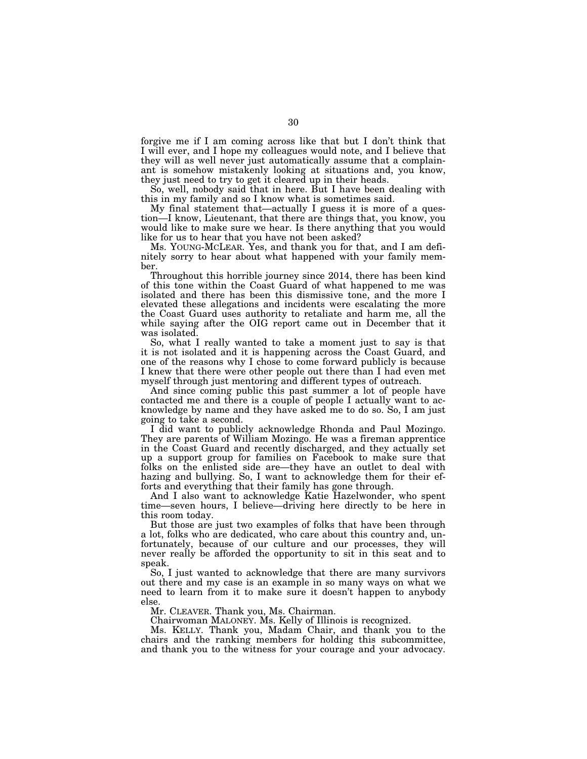forgive me if I am coming across like that but I don't think that I will ever, and I hope my colleagues would note, and I believe that they will as well never just automatically assume that a complainant is somehow mistakenly looking at situations and, you know, they just need to try to get it cleared up in their heads.

So, well, nobody said that in here. But I have been dealing with this in my family and so I know what is sometimes said.

My final statement that—actually I guess it is more of a question—I know, Lieutenant, that there are things that, you know, you would like to make sure we hear. Is there anything that you would like for us to hear that you have not been asked?

Ms. YOUNG-MCLEAR. Yes, and thank you for that, and I am definitely sorry to hear about what happened with your family member.

Throughout this horrible journey since 2014, there has been kind of this tone within the Coast Guard of what happened to me was isolated and there has been this dismissive tone, and the more I elevated these allegations and incidents were escalating the more the Coast Guard uses authority to retaliate and harm me, all the while saying after the OIG report came out in December that it was isolated.

So, what I really wanted to take a moment just to say is that it is not isolated and it is happening across the Coast Guard, and one of the reasons why I chose to come forward publicly is because I knew that there were other people out there than I had even met myself through just mentoring and different types of outreach.

And since coming public this past summer a lot of people have contacted me and there is a couple of people I actually want to acknowledge by name and they have asked me to do so. So, I am just going to take a second.

I did want to publicly acknowledge Rhonda and Paul Mozingo. They are parents of William Mozingo. He was a fireman apprentice in the Coast Guard and recently discharged, and they actually set up a support group for families on Facebook to make sure that folks on the enlisted side are—they have an outlet to deal with hazing and bullying. So, I want to acknowledge them for their efforts and everything that their family has gone through.

And I also want to acknowledge Katie Hazelwonder, who spent time—seven hours, I believe—driving here directly to be here in this room today.

But those are just two examples of folks that have been through a lot, folks who are dedicated, who care about this country and, unfortunately, because of our culture and our processes, they will never really be afforded the opportunity to sit in this seat and to speak.

So, I just wanted to acknowledge that there are many survivors out there and my case is an example in so many ways on what we need to learn from it to make sure it doesn't happen to anybody else.

Mr. CLEAVER. Thank you, Ms. Chairman.

Chairwoman MALONEY. Ms. Kelly of Illinois is recognized.

Ms. KELLY. Thank you, Madam Chair, and thank you to the chairs and the ranking members for holding this subcommittee, and thank you to the witness for your courage and your advocacy.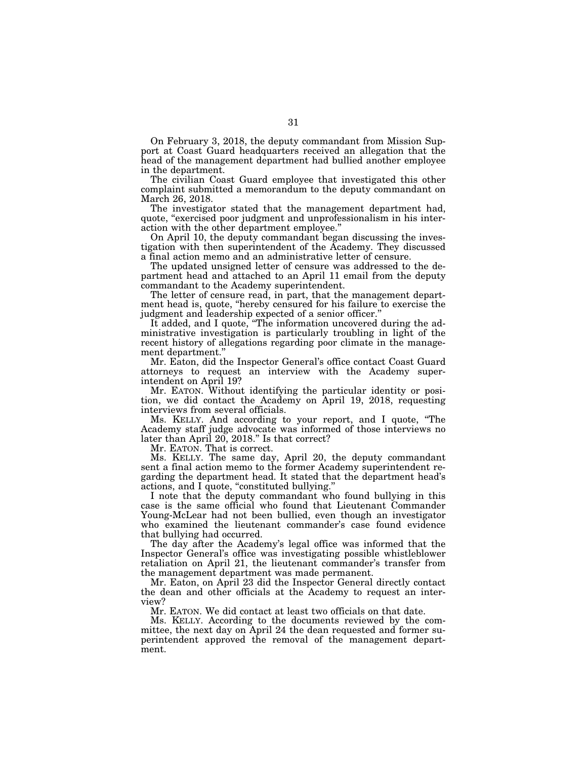On February 3, 2018, the deputy commandant from Mission Support at Coast Guard headquarters received an allegation that the head of the management department had bullied another employee in the department.

The civilian Coast Guard employee that investigated this other complaint submitted a memorandum to the deputy commandant on March 26, 2018.

The investigator stated that the management department had, quote, "exercised poor judgment and unprofessionalism in his interaction with the other department employee.''

On April 10, the deputy commandant began discussing the investigation with then superintendent of the Academy. They discussed a final action memo and an administrative letter of censure.

The updated unsigned letter of censure was addressed to the department head and attached to an April 11 email from the deputy commandant to the Academy superintendent.

The letter of censure read, in part, that the management department head is, quote, ''hereby censured for his failure to exercise the judgment and leadership expected of a senior officer.''

It added, and I quote, ''The information uncovered during the administrative investigation is particularly troubling in light of the recent history of allegations regarding poor climate in the management department.''

Mr. Eaton, did the Inspector General's office contact Coast Guard attorneys to request an interview with the Academy superintendent on April 19?

Mr. EATON. Without identifying the particular identity or position, we did contact the Academy on April 19, 2018, requesting interviews from several officials.

Ms. KELLY. And according to your report, and I quote, ''The Academy staff judge advocate was informed of those interviews no later than April 20, 2018.'' Is that correct?

Mr. EATON. That is correct.

Ms. KELLY. The same day, April 20, the deputy commandant sent a final action memo to the former Academy superintendent regarding the department head. It stated that the department head's actions, and I quote, "constituted bullying."

I note that the deputy commandant who found bullying in this case is the same official who found that Lieutenant Commander Young-McLear had not been bullied, even though an investigator who examined the lieutenant commander's case found evidence that bullying had occurred.

The day after the Academy's legal office was informed that the Inspector General's office was investigating possible whistleblower retaliation on April 21, the lieutenant commander's transfer from the management department was made permanent.

Mr. Eaton, on April 23 did the Inspector General directly contact the dean and other officials at the Academy to request an interview?

Mr. EATON. We did contact at least two officials on that date.

Ms. KELLY. According to the documents reviewed by the committee, the next day on April 24 the dean requested and former superintendent approved the removal of the management department.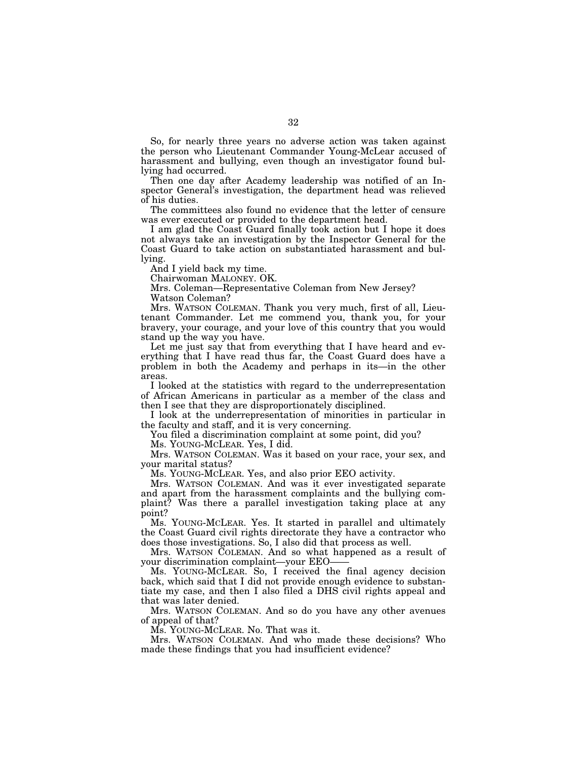So, for nearly three years no adverse action was taken against the person who Lieutenant Commander Young-McLear accused of harassment and bullying, even though an investigator found bullying had occurred.

Then one day after Academy leadership was notified of an Inspector General's investigation, the department head was relieved of his duties.

The committees also found no evidence that the letter of censure was ever executed or provided to the department head.

I am glad the Coast Guard finally took action but I hope it does not always take an investigation by the Inspector General for the Coast Guard to take action on substantiated harassment and bullying.

And I yield back my time.

Chairwoman MALONEY. OK.

Mrs. Coleman—Representative Coleman from New Jersey? Watson Coleman?

Mrs. WATSON COLEMAN. Thank you very much, first of all, Lieutenant Commander. Let me commend you, thank you, for your bravery, your courage, and your love of this country that you would stand up the way you have.

Let me just say that from everything that I have heard and everything that I have read thus far, the Coast Guard does have a problem in both the Academy and perhaps in its—in the other areas.

I looked at the statistics with regard to the underrepresentation of African Americans in particular as a member of the class and then I see that they are disproportionately disciplined.

I look at the underrepresentation of minorities in particular in the faculty and staff, and it is very concerning.

You filed a discrimination complaint at some point, did you?

Ms. YOUNG-MCLEAR. Yes, I did.

Mrs. WATSON COLEMAN. Was it based on your race, your sex, and your marital status?

Ms. YOUNG-MCLEAR. Yes, and also prior EEO activity.

Mrs. WATSON COLEMAN. And was it ever investigated separate and apart from the harassment complaints and the bullying complaint? Was there a parallel investigation taking place at any point?

Ms. YOUNG-MCLEAR. Yes. It started in parallel and ultimately the Coast Guard civil rights directorate they have a contractor who does those investigations. So, I also did that process as well.

Mrs. WATSON COLEMAN. And so what happened as a result of your discrimination complaint—your EEO——

Ms. YOUNG-MCLEAR. So, I received the final agency decision back, which said that I did not provide enough evidence to substantiate my case, and then I also filed a DHS civil rights appeal and that was later denied.

Mrs. WATSON COLEMAN. And so do you have any other avenues of appeal of that?

Ms. YOUNG-MCLEAR. No. That was it.

Mrs. WATSON COLEMAN. And who made these decisions? Who made these findings that you had insufficient evidence?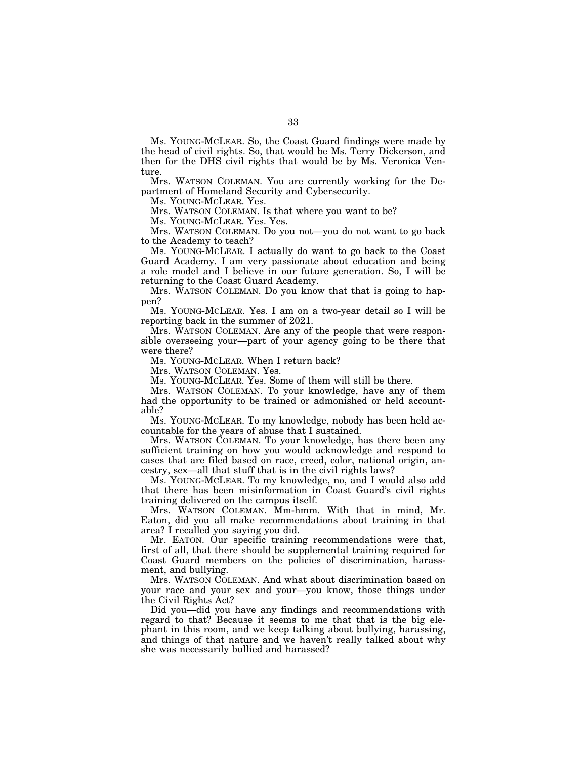Ms. YOUNG-MCLEAR. So, the Coast Guard findings were made by the head of civil rights. So, that would be Ms. Terry Dickerson, and then for the DHS civil rights that would be by Ms. Veronica Venture.

Mrs. WATSON COLEMAN. You are currently working for the Department of Homeland Security and Cybersecurity.

Ms. YOUNG-MCLEAR. Yes.

Mrs. WATSON COLEMAN. Is that where you want to be?

Ms. YOUNG-MCLEAR. Yes. Yes.

Mrs. WATSON COLEMAN. Do you not—you do not want to go back to the Academy to teach?

Ms. YOUNG-MCLEAR. I actually do want to go back to the Coast Guard Academy. I am very passionate about education and being a role model and I believe in our future generation. So, I will be returning to the Coast Guard Academy.

Mrs. WATSON COLEMAN. Do you know that that is going to happen?

Ms. YOUNG-MCLEAR. Yes. I am on a two-year detail so I will be reporting back in the summer of 2021.

Mrs. WATSON COLEMAN. Are any of the people that were responsible overseeing your—part of your agency going to be there that were there?

Ms. YOUNG-MCLEAR. When I return back?

Mrs. WATSON COLEMAN. Yes.

Ms. YOUNG-MCLEAR. Yes. Some of them will still be there.

Mrs. WATSON COLEMAN. To your knowledge, have any of them had the opportunity to be trained or admonished or held accountable?

Ms. YOUNG-MCLEAR. To my knowledge, nobody has been held accountable for the years of abuse that I sustained.

Mrs. WATSON COLEMAN. To your knowledge, has there been any sufficient training on how you would acknowledge and respond to cases that are filed based on race, creed, color, national origin, ancestry, sex—all that stuff that is in the civil rights laws?

Ms. YOUNG-MCLEAR. To my knowledge, no, and I would also add that there has been misinformation in Coast Guard's civil rights training delivered on the campus itself.

Mrs. WATSON COLEMAN. Mm-hmm. With that in mind, Mr. Eaton, did you all make recommendations about training in that area? I recalled you saying you did.

Mr. EATON. Our specific training recommendations were that, first of all, that there should be supplemental training required for Coast Guard members on the policies of discrimination, harassment, and bullying.

Mrs. WATSON COLEMAN. And what about discrimination based on your race and your sex and your—you know, those things under the Civil Rights Act?

Did you—did you have any findings and recommendations with regard to that? Because it seems to me that that is the big elephant in this room, and we keep talking about bullying, harassing, and things of that nature and we haven't really talked about why she was necessarily bullied and harassed?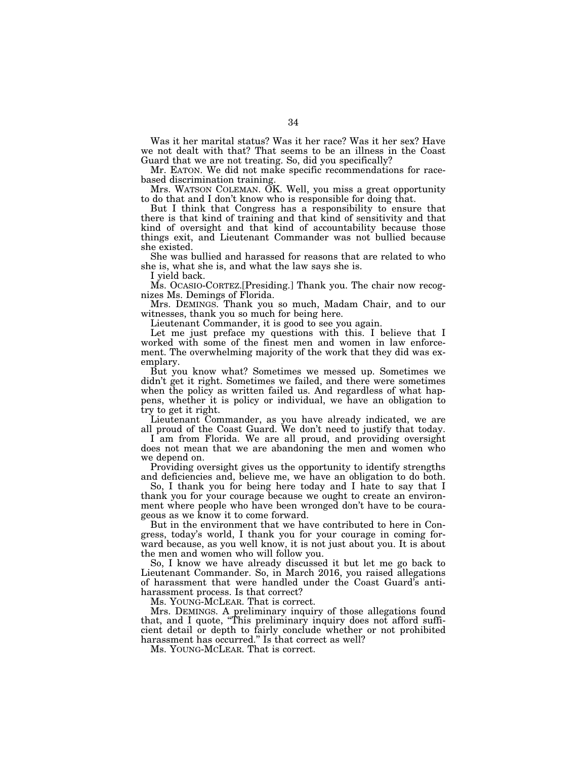Was it her marital status? Was it her race? Was it her sex? Have we not dealt with that? That seems to be an illness in the Coast Guard that we are not treating. So, did you specifically?

Mr. EATON. We did not make specific recommendations for racebased discrimination training.

Mrs. WATSON COLEMAN. OK. Well, you miss a great opportunity to do that and I don't know who is responsible for doing that.

But I think that Congress has a responsibility to ensure that there is that kind of training and that kind of sensitivity and that kind of oversight and that kind of accountability because those things exit, and Lieutenant Commander was not bullied because she existed.

She was bullied and harassed for reasons that are related to who she is, what she is, and what the law says she is.

I yield back.

Ms. OCASIO-CORTEZ.[Presiding.] Thank you. The chair now recognizes Ms. Demings of Florida.

Mrs. DEMINGS. Thank you so much, Madam Chair, and to our witnesses, thank you so much for being here.

Lieutenant Commander, it is good to see you again.

Let me just preface my questions with this. I believe that I worked with some of the finest men and women in law enforcement. The overwhelming majority of the work that they did was exemplary.

But you know what? Sometimes we messed up. Sometimes we didn't get it right. Sometimes we failed, and there were sometimes when the policy as written failed us. And regardless of what happens, whether it is policy or individual, we have an obligation to try to get it right.

Lieutenant Commander, as you have already indicated, we are all proud of the Coast Guard. We don't need to justify that today.

I am from Florida. We are all proud, and providing oversight does not mean that we are abandoning the men and women who we depend on.

Providing oversight gives us the opportunity to identify strengths and deficiencies and, believe me, we have an obligation to do both.

So, I thank you for being here today and I hate to say that I thank you for your courage because we ought to create an environment where people who have been wronged don't have to be courageous as we know it to come forward.

But in the environment that we have contributed to here in Congress, today's world, I thank you for your courage in coming forward because, as you well know, it is not just about you. It is about the men and women who will follow you.

So, I know we have already discussed it but let me go back to Lieutenant Commander. So, in March 2016, you raised allegations of harassment that were handled under the Coast Guard's antiharassment process. Is that correct?

Ms. YOUNG-MCLEAR. That is correct.

Mrs. DEMINGS. A preliminary inquiry of those allegations found that, and I quote, ''This preliminary inquiry does not afford sufficient detail or depth to fairly conclude whether or not prohibited harassment has occurred.'' Is that correct as well?

Ms. YOUNG-MCLEAR. That is correct.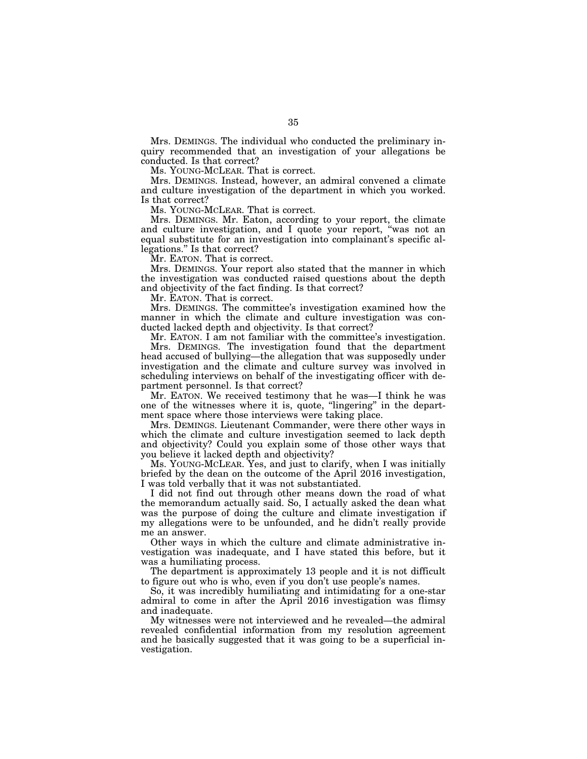Mrs. DEMINGS. The individual who conducted the preliminary inquiry recommended that an investigation of your allegations be conducted. Is that correct?

Ms. YOUNG-MCLEAR. That is correct.

Mrs. DEMINGS. Instead, however, an admiral convened a climate and culture investigation of the department in which you worked. Is that correct?

Ms. YOUNG-MCLEAR. That is correct.

Mrs. DEMINGS. Mr. Eaton, according to your report, the climate and culture investigation, and I quote your report, ''was not an equal substitute for an investigation into complainant's specific allegations.'' Is that correct?

Mr. EATON. That is correct.

Mrs. DEMINGS. Your report also stated that the manner in which the investigation was conducted raised questions about the depth and objectivity of the fact finding. Is that correct?

Mr. EATON. That is correct.

Mrs. DEMINGS. The committee's investigation examined how the manner in which the climate and culture investigation was conducted lacked depth and objectivity. Is that correct?

Mr. EATON. I am not familiar with the committee's investigation.

Mrs. DEMINGS. The investigation found that the department head accused of bullying—the allegation that was supposedly under investigation and the climate and culture survey was involved in scheduling interviews on behalf of the investigating officer with department personnel. Is that correct?

Mr. EATON. We received testimony that he was—I think he was one of the witnesses where it is, quote, ''lingering'' in the department space where those interviews were taking place.

Mrs. DEMINGS. Lieutenant Commander, were there other ways in which the climate and culture investigation seemed to lack depth and objectivity? Could you explain some of those other ways that you believe it lacked depth and objectivity?

Ms. YOUNG-MCLEAR. Yes, and just to clarify, when I was initially briefed by the dean on the outcome of the April 2016 investigation, I was told verbally that it was not substantiated.

I did not find out through other means down the road of what the memorandum actually said. So, I actually asked the dean what was the purpose of doing the culture and climate investigation if my allegations were to be unfounded, and he didn't really provide me an answer.

Other ways in which the culture and climate administrative investigation was inadequate, and I have stated this before, but it was a humiliating process.

The department is approximately 13 people and it is not difficult to figure out who is who, even if you don't use people's names.

So, it was incredibly humiliating and intimidating for a one-star admiral to come in after the April 2016 investigation was flimsy and inadequate.

My witnesses were not interviewed and he revealed—the admiral revealed confidential information from my resolution agreement and he basically suggested that it was going to be a superficial investigation.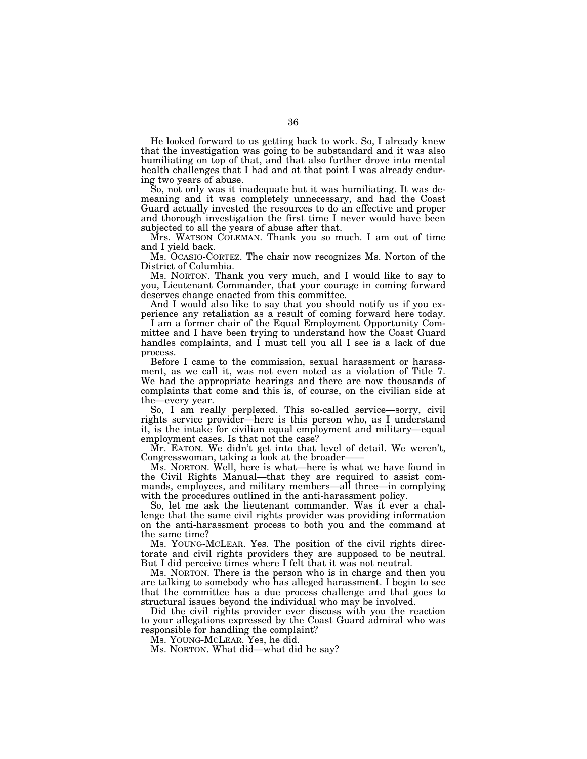He looked forward to us getting back to work. So, I already knew that the investigation was going to be substandard and it was also humiliating on top of that, and that also further drove into mental health challenges that I had and at that point I was already enduring two years of abuse.

So, not only was it inadequate but it was humiliating. It was demeaning and it was completely unnecessary, and had the Coast Guard actually invested the resources to do an effective and proper and thorough investigation the first time I never would have been subjected to all the years of abuse after that.

Mrs. WATSON COLEMAN. Thank you so much. I am out of time and I yield back.

Ms. OCASIO-CORTEZ. The chair now recognizes Ms. Norton of the District of Columbia.

Ms. NORTON. Thank you very much, and I would like to say to you, Lieutenant Commander, that your courage in coming forward deserves change enacted from this committee.

And I would also like to say that you should notify us if you experience any retaliation as a result of coming forward here today.

I am a former chair of the Equal Employment Opportunity Committee and I have been trying to understand how the Coast Guard handles complaints, and I must tell you all I see is a lack of due process.

Before I came to the commission, sexual harassment or harassment, as we call it, was not even noted as a violation of Title 7. We had the appropriate hearings and there are now thousands of complaints that come and this is, of course, on the civilian side at the—every year.

So, I am really perplexed. This so-called service—sorry, civil rights service provider—here is this person who, as I understand it, is the intake for civilian equal employment and military—equal employment cases. Is that not the case?

Mr. EATON. We didn't get into that level of detail. We weren't, Congresswoman, taking a look at the broader-

Ms. NORTON. Well, here is what—here is what we have found in the Civil Rights Manual—that they are required to assist commands, employees, and military members—all three—in complying with the procedures outlined in the anti-harassment policy.

So, let me ask the lieutenant commander. Was it ever a challenge that the same civil rights provider was providing information on the anti-harassment process to both you and the command at the same time?

Ms. YOUNG-MCLEAR. Yes. The position of the civil rights directorate and civil rights providers they are supposed to be neutral. But I did perceive times where I felt that it was not neutral.

Ms. NORTON. There is the person who is in charge and then you are talking to somebody who has alleged harassment. I begin to see that the committee has a due process challenge and that goes to structural issues beyond the individual who may be involved.

Did the civil rights provider ever discuss with you the reaction to your allegations expressed by the Coast Guard admiral who was responsible for handling the complaint?

Ms. YOUNG-MCLEAR. Yes, he did.

Ms. NORTON. What did—what did he say?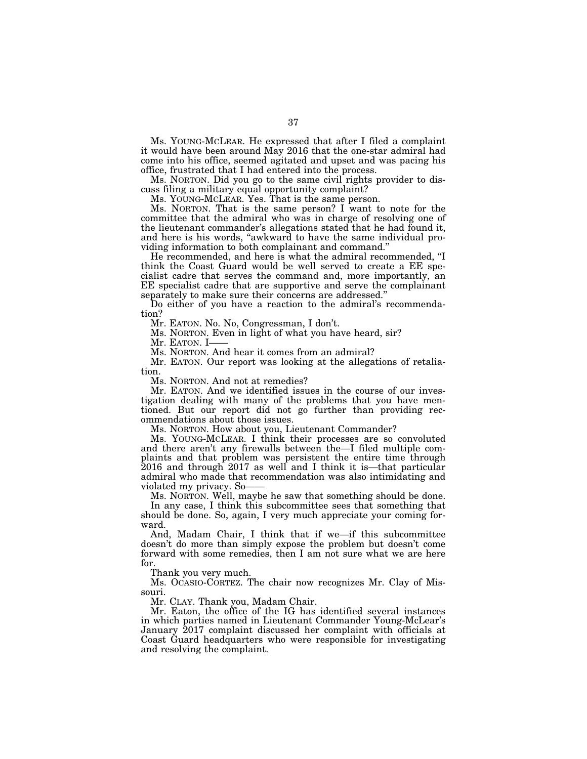Ms. YOUNG-MCLEAR. He expressed that after I filed a complaint it would have been around May 2016 that the one-star admiral had come into his office, seemed agitated and upset and was pacing his office, frustrated that I had entered into the process.

Ms. NORTON. Did you go to the same civil rights provider to discuss filing a military equal opportunity complaint?

Ms. YOUNG-MCLEAR. Yes. That is the same person.

Ms. NORTON. That is the same person? I want to note for the committee that the admiral who was in charge of resolving one of the lieutenant commander's allegations stated that he had found it, and here is his words, ''awkward to have the same individual providing information to both complainant and command.''

He recommended, and here is what the admiral recommended, ''I think the Coast Guard would be well served to create a EE specialist cadre that serves the command and, more importantly, an EE specialist cadre that are supportive and serve the complainant separately to make sure their concerns are addressed.''

Do either of you have a reaction to the admiral's recommendation?

Mr. EATON. No. No, Congressman, I don't.

Ms. NORTON. Even in light of what you have heard, sir?

Mr. EATON. I-

Ms. NORTON. And hear it comes from an admiral?

Mr. EATON. Our report was looking at the allegations of retaliation.

Ms. NORTON. And not at remedies?

Mr. EATON. And we identified issues in the course of our investigation dealing with many of the problems that you have mentioned. But our report did not go further than providing recommendations about those issues.

Ms. NORTON. How about you, Lieutenant Commander?

Ms. YOUNG-MCLEAR. I think their processes are so convoluted and there aren't any firewalls between the—I filed multiple complaints and that problem was persistent the entire time through 2016 and through 2017 as well and I think it is—that particular admiral who made that recommendation was also intimidating and violated my privacy. So-

Ms. NORTON. Well, maybe he saw that something should be done.

In any case, I think this subcommittee sees that something that should be done. So, again, I very much appreciate your coming forward.

And, Madam Chair, I think that if we—if this subcommittee doesn't do more than simply expose the problem but doesn't come forward with some remedies, then I am not sure what we are here for.

Thank you very much.

Ms. OCASIO-CORTEZ. The chair now recognizes Mr. Clay of Missouri.

Mr. CLAY. Thank you, Madam Chair.

Mr. Eaton, the office of the IG has identified several instances in which parties named in Lieutenant Commander Young-McLear's January 2017 complaint discussed her complaint with officials at Coast Guard headquarters who were responsible for investigating and resolving the complaint.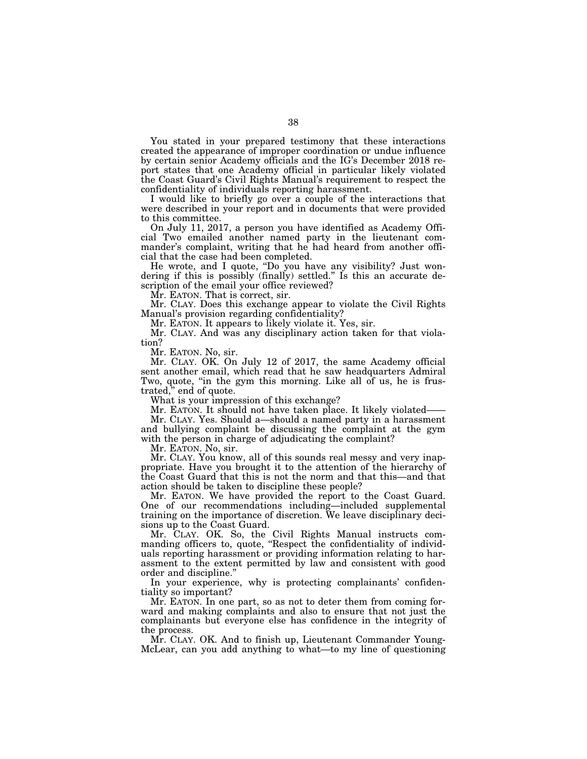You stated in your prepared testimony that these interactions created the appearance of improper coordination or undue influence by certain senior Academy officials and the IG's December 2018 report states that one Academy official in particular likely violated the Coast Guard's Civil Rights Manual's requirement to respect the confidentiality of individuals reporting harassment.

I would like to briefly go over a couple of the interactions that were described in your report and in documents that were provided to this committee.

On July 11, 2017, a person you have identified as Academy Official Two emailed another named party in the lieutenant commander's complaint, writing that he had heard from another official that the case had been completed.

He wrote, and I quote, "Do you have any visibility? Just wondering if this is possibly (finally) settled.'' Is this an accurate description of the email your office reviewed?

Mr. EATON. That is correct, sir.

Mr. CLAY. Does this exchange appear to violate the Civil Rights Manual's provision regarding confidentiality?

Mr. EATON. It appears to likely violate it. Yes, sir.

Mr. CLAY. And was any disciplinary action taken for that violation?

Mr. EATON. No, sir.

Mr. CLAY. OK. On July 12 of 2017, the same Academy official sent another email, which read that he saw headquarters Admiral Two, quote, "in the gym this morning. Like all of us, he is frustrated,'' end of quote.

What is your impression of this exchange?

Mr. EATON. It should not have taken place. It likely violated–

Mr. CLAY. Yes. Should a—should a named party in a harassment and bullying complaint be discussing the complaint at the gym with the person in charge of adjudicating the complaint?

Mr. EATON. No, sir.

Mr. CLAY. You know, all of this sounds real messy and very inappropriate. Have you brought it to the attention of the hierarchy of the Coast Guard that this is not the norm and that this—and that action should be taken to discipline these people?

Mr. EATON. We have provided the report to the Coast Guard. One of our recommendations including—included supplemental training on the importance of discretion. We leave disciplinary decisions up to the Coast Guard.

Mr. CLAY. OK. So, the Civil Rights Manual instructs commanding officers to, quote, ''Respect the confidentiality of individuals reporting harassment or providing information relating to harassment to the extent permitted by law and consistent with good order and discipline.''

In your experience, why is protecting complainants' confidentiality so important?

Mr. EATON. In one part, so as not to deter them from coming forward and making complaints and also to ensure that not just the complainants but everyone else has confidence in the integrity of the process.

Mr. CLAY. OK. And to finish up, Lieutenant Commander Young-McLear, can you add anything to what—to my line of questioning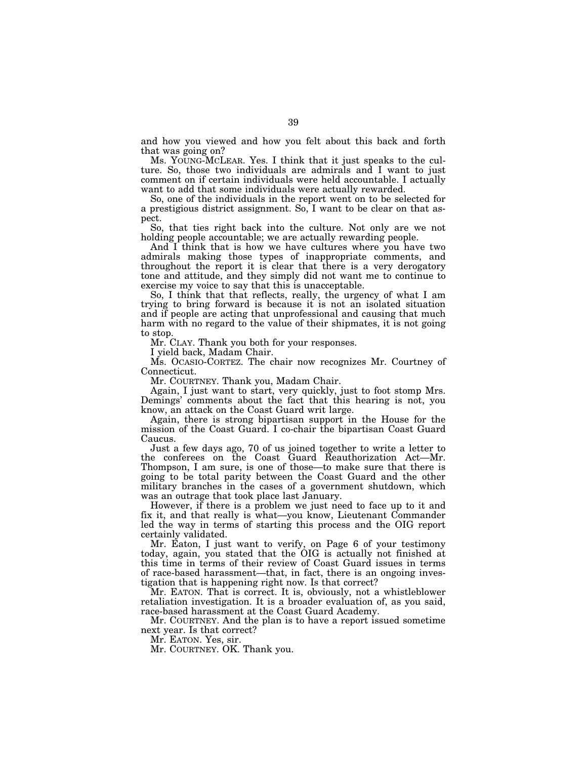and how you viewed and how you felt about this back and forth that was going on?

Ms. YOUNG-MCLEAR. Yes. I think that it just speaks to the culture. So, those two individuals are admirals and I want to just comment on if certain individuals were held accountable. I actually want to add that some individuals were actually rewarded.

So, one of the individuals in the report went on to be selected for a prestigious district assignment. So, I want to be clear on that aspect.

So, that ties right back into the culture. Not only are we not holding people accountable; we are actually rewarding people.

And I think that is how we have cultures where you have two admirals making those types of inappropriate comments, and throughout the report it is clear that there is a very derogatory tone and attitude, and they simply did not want me to continue to exercise my voice to say that this is unacceptable.

So, I think that that reflects, really, the urgency of what I am trying to bring forward is because it is not an isolated situation and if people are acting that unprofessional and causing that much harm with no regard to the value of their shipmates, it is not going to stop.

Mr. CLAY. Thank you both for your responses.

I yield back, Madam Chair.

Ms. OCASIO-CORTEZ. The chair now recognizes Mr. Courtney of Connecticut.

Mr. COURTNEY. Thank you, Madam Chair.

Again, I just want to start, very quickly, just to foot stomp Mrs. Demings' comments about the fact that this hearing is not, you know, an attack on the Coast Guard writ large.

Again, there is strong bipartisan support in the House for the mission of the Coast Guard. I co-chair the bipartisan Coast Guard Caucus.

Just a few days ago, 70 of us joined together to write a letter to the conferees on the Coast Guard Reauthorization Act—Mr. Thompson, I am sure, is one of those—to make sure that there is going to be total parity between the Coast Guard and the other military branches in the cases of a government shutdown, which was an outrage that took place last January.

However, if there is a problem we just need to face up to it and fix it, and that really is what—you know, Lieutenant Commander led the way in terms of starting this process and the OIG report certainly validated.

Mr. Eaton, I just want to verify, on Page 6 of your testimony today, again, you stated that the OIG is actually not finished at this time in terms of their review of Coast Guard issues in terms of race-based harassment—that, in fact, there is an ongoing investigation that is happening right now. Is that correct?

Mr. EATON. That is correct. It is, obviously, not a whistleblower retaliation investigation. It is a broader evaluation of, as you said, race-based harassment at the Coast Guard Academy.

Mr. COURTNEY. And the plan is to have a report issued sometime next year. Is that correct?

Mr. EATON. Yes, sir.

Mr. COURTNEY. OK. Thank you.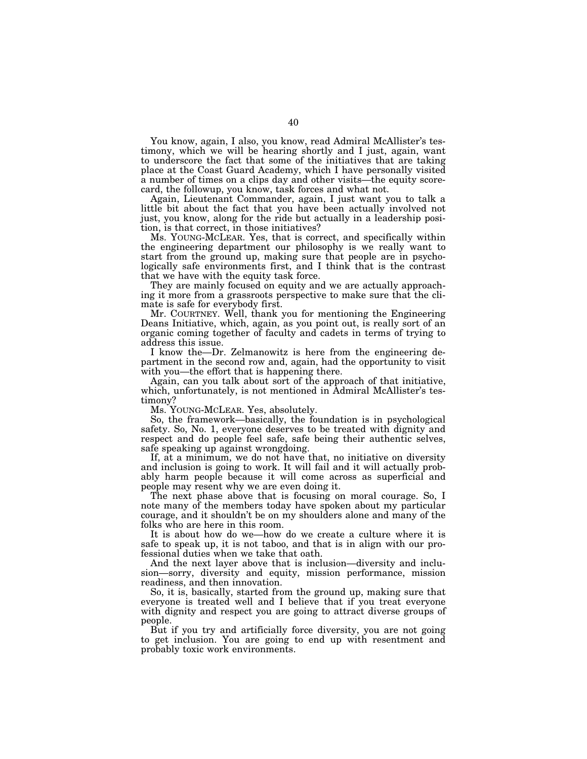You know, again, I also, you know, read Admiral McAllister's testimony, which we will be hearing shortly and I just, again, want to underscore the fact that some of the initiatives that are taking place at the Coast Guard Academy, which I have personally visited a number of times on a clips day and other visits—the equity scorecard, the followup, you know, task forces and what not.

Again, Lieutenant Commander, again, I just want you to talk a little bit about the fact that you have been actually involved not just, you know, along for the ride but actually in a leadership position, is that correct, in those initiatives?

Ms. YOUNG-MCLEAR. Yes, that is correct, and specifically within the engineering department our philosophy is we really want to start from the ground up, making sure that people are in psychologically safe environments first, and I think that is the contrast that we have with the equity task force.

They are mainly focused on equity and we are actually approaching it more from a grassroots perspective to make sure that the climate is safe for everybody first.

Mr. COURTNEY. Well, thank you for mentioning the Engineering Deans Initiative, which, again, as you point out, is really sort of an organic coming together of faculty and cadets in terms of trying to address this issue.

I know the—Dr. Zelmanowitz is here from the engineering department in the second row and, again, had the opportunity to visit with you—the effort that is happening there.

Again, can you talk about sort of the approach of that initiative, which, unfortunately, is not mentioned in Admiral McAllister's testimony?

Ms. YOUNG-MCLEAR. Yes, absolutely.

So, the framework—basically, the foundation is in psychological safety. So, No. 1, everyone deserves to be treated with dignity and respect and do people feel safe, safe being their authentic selves, safe speaking up against wrongdoing.

If, at a minimum, we do not have that, no initiative on diversity and inclusion is going to work. It will fail and it will actually probably harm people because it will come across as superficial and people may resent why we are even doing it.

The next phase above that is focusing on moral courage. So, I note many of the members today have spoken about my particular courage, and it shouldn't be on my shoulders alone and many of the folks who are here in this room.

It is about how do we—how do we create a culture where it is safe to speak up, it is not taboo, and that is in align with our professional duties when we take that oath.

And the next layer above that is inclusion—diversity and inclusion—sorry, diversity and equity, mission performance, mission readiness, and then innovation.

So, it is, basically, started from the ground up, making sure that everyone is treated well and I believe that if you treat everyone with dignity and respect you are going to attract diverse groups of people.

But if you try and artificially force diversity, you are not going to get inclusion. You are going to end up with resentment and probably toxic work environments.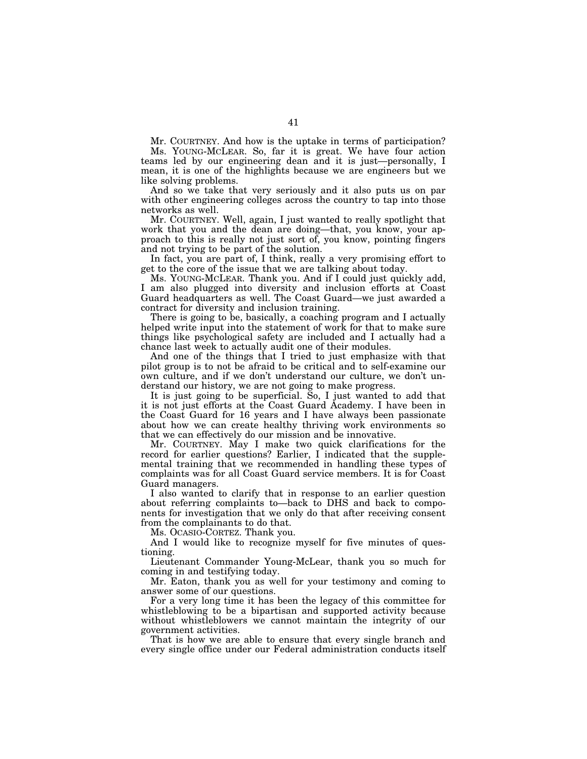Mr. COURTNEY. And how is the uptake in terms of participation? Ms. YOUNG-MCLEAR. So, far it is great. We have four action teams led by our engineering dean and it is just—personally, I mean, it is one of the highlights because we are engineers but we like solving problems.

And so we take that very seriously and it also puts us on par with other engineering colleges across the country to tap into those networks as well.

Mr. COURTNEY. Well, again, I just wanted to really spotlight that work that you and the dean are doing—that, you know, your approach to this is really not just sort of, you know, pointing fingers and not trying to be part of the solution.

In fact, you are part of, I think, really a very promising effort to get to the core of the issue that we are talking about today.

Ms. YOUNG-MCLEAR. Thank you. And if I could just quickly add, I am also plugged into diversity and inclusion efforts at Coast Guard headquarters as well. The Coast Guard—we just awarded a contract for diversity and inclusion training.

There is going to be, basically, a coaching program and I actually helped write input into the statement of work for that to make sure things like psychological safety are included and I actually had a chance last week to actually audit one of their modules.

And one of the things that I tried to just emphasize with that pilot group is to not be afraid to be critical and to self-examine our own culture, and if we don't understand our culture, we don't understand our history, we are not going to make progress.

It is just going to be superficial. So, I just wanted to add that it is not just efforts at the Coast Guard Academy. I have been in the Coast Guard for 16 years and I have always been passionate about how we can create healthy thriving work environments so that we can effectively do our mission and be innovative.

Mr. COURTNEY. May I make two quick clarifications for the record for earlier questions? Earlier, I indicated that the supplemental training that we recommended in handling these types of complaints was for all Coast Guard service members. It is for Coast Guard managers.

I also wanted to clarify that in response to an earlier question about referring complaints to—back to DHS and back to components for investigation that we only do that after receiving consent from the complainants to do that.

Ms. OCASIO-CORTEZ. Thank you.

And I would like to recognize myself for five minutes of questioning.

Lieutenant Commander Young-McLear, thank you so much for coming in and testifying today.

Mr. Eaton, thank you as well for your testimony and coming to answer some of our questions.

For a very long time it has been the legacy of this committee for whistleblowing to be a bipartisan and supported activity because without whistleblowers we cannot maintain the integrity of our government activities.

That is how we are able to ensure that every single branch and every single office under our Federal administration conducts itself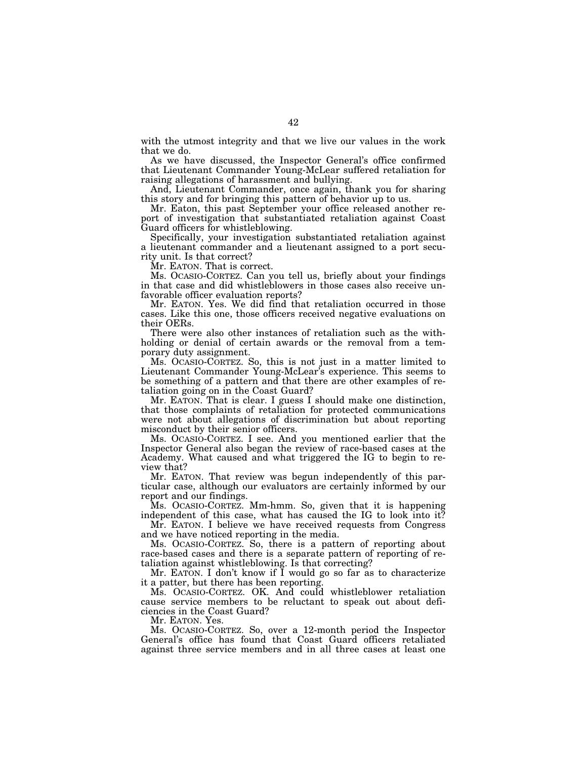with the utmost integrity and that we live our values in the work that we do.

As we have discussed, the Inspector General's office confirmed that Lieutenant Commander Young-McLear suffered retaliation for raising allegations of harassment and bullying.

And, Lieutenant Commander, once again, thank you for sharing this story and for bringing this pattern of behavior up to us.

Mr. Eaton, this past September your office released another report of investigation that substantiated retaliation against Coast Guard officers for whistleblowing.

Specifically, your investigation substantiated retaliation against a lieutenant commander and a lieutenant assigned to a port security unit. Is that correct?

Mr. EATON. That is correct.

Ms. OCASIO-CORTEZ. Can you tell us, briefly about your findings in that case and did whistleblowers in those cases also receive unfavorable officer evaluation reports?

Mr. EATON. Yes. We did find that retaliation occurred in those cases. Like this one, those officers received negative evaluations on their OERs.

There were also other instances of retaliation such as the withholding or denial of certain awards or the removal from a temporary duty assignment.

Ms. OCASIO-CORTEZ. So, this is not just in a matter limited to Lieutenant Commander Young-McLear's experience. This seems to be something of a pattern and that there are other examples of retaliation going on in the Coast Guard?

Mr. EATON. That is clear. I guess I should make one distinction, that those complaints of retaliation for protected communications were not about allegations of discrimination but about reporting misconduct by their senior officers.

Ms. OCASIO-CORTEZ. I see. And you mentioned earlier that the Inspector General also began the review of race-based cases at the Academy. What caused and what triggered the IG to begin to review that?

Mr. EATON. That review was begun independently of this particular case, although our evaluators are certainly informed by our report and our findings.

Ms. OCASIO-CORTEZ. Mm-hmm. So, given that it is happening independent of this case, what has caused the IG to look into it?

Mr. EATON. I believe we have received requests from Congress and we have noticed reporting in the media.

Ms. OCASIO-CORTEZ. So, there is a pattern of reporting about race-based cases and there is a separate pattern of reporting of retaliation against whistleblowing. Is that correcting?

Mr. EATON. I don't know if I would go so far as to characterize it a patter, but there has been reporting.

Ms. OCASIO-CORTEZ. OK. And could whistleblower retaliation cause service members to be reluctant to speak out about deficiencies in the Coast Guard?

Mr. EATON. Yes.

Ms. OCASIO-CORTEZ. So, over a 12-month period the Inspector General's office has found that Coast Guard officers retaliated against three service members and in all three cases at least one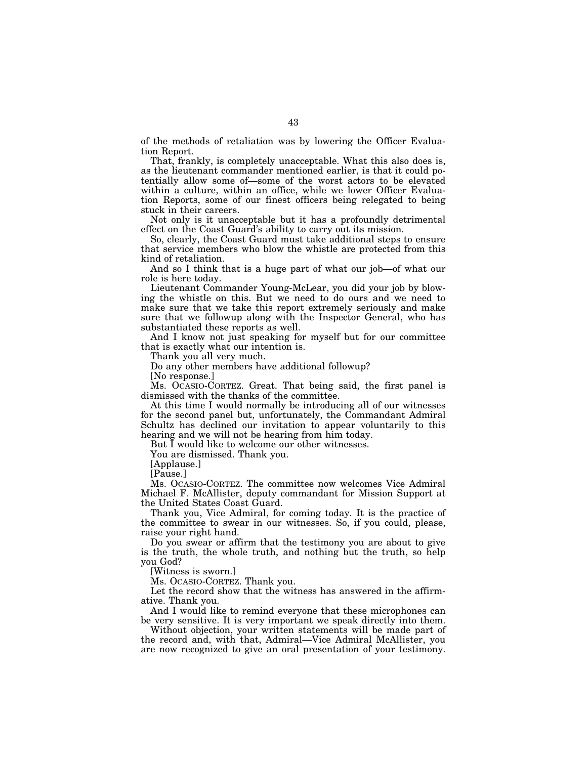of the methods of retaliation was by lowering the Officer Evaluation Report.

That, frankly, is completely unacceptable. What this also does is, as the lieutenant commander mentioned earlier, is that it could potentially allow some of—some of the worst actors to be elevated within a culture, within an office, while we lower Officer Evaluation Reports, some of our finest officers being relegated to being stuck in their careers.

Not only is it unacceptable but it has a profoundly detrimental effect on the Coast Guard's ability to carry out its mission.

So, clearly, the Coast Guard must take additional steps to ensure that service members who blow the whistle are protected from this kind of retaliation.

And so I think that is a huge part of what our job—of what our role is here today.

Lieutenant Commander Young-McLear, you did your job by blowing the whistle on this. But we need to do ours and we need to make sure that we take this report extremely seriously and make sure that we followup along with the Inspector General, who has substantiated these reports as well.

And I know not just speaking for myself but for our committee that is exactly what our intention is.

Thank you all very much.

Do any other members have additional followup?

[No response.]

Ms. OCASIO-CORTEZ. Great. That being said, the first panel is dismissed with the thanks of the committee.

At this time I would normally be introducing all of our witnesses for the second panel but, unfortunately, the Commandant Admiral Schultz has declined our invitation to appear voluntarily to this hearing and we will not be hearing from him today.

But I would like to welcome our other witnesses.

You are dismissed. Thank you.

[Applause.]

[Pause.]

Ms. OCASIO-CORTEZ. The committee now welcomes Vice Admiral Michael F. McAllister, deputy commandant for Mission Support at the United States Coast Guard.

Thank you, Vice Admiral, for coming today. It is the practice of the committee to swear in our witnesses. So, if you could, please, raise your right hand.

Do you swear or affirm that the testimony you are about to give is the truth, the whole truth, and nothing but the truth, so help you God?

[Witness is sworn.]

Ms. OCASIO-CORTEZ. Thank you.

Let the record show that the witness has answered in the affirmative. Thank you.

And I would like to remind everyone that these microphones can be very sensitive. It is very important we speak directly into them.

Without objection, your written statements will be made part of the record and, with that, Admiral—Vice Admiral McAllister, you are now recognized to give an oral presentation of your testimony.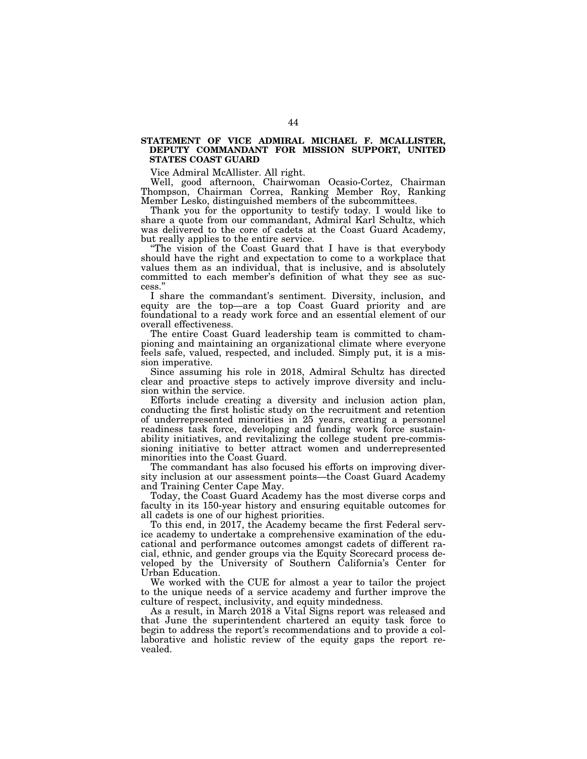### **STATEMENT OF VICE ADMIRAL MICHAEL F. MCALLISTER, DEPUTY COMMANDANT FOR MISSION SUPPORT, UNITED STATES COAST GUARD**

Vice Admiral McAllister. All right.

Well, good afternoon, Chairwoman Ocasio-Cortez, Chairman Thompson, Chairman Correa, Ranking Member Roy, Ranking Member Lesko, distinguished members of the subcommittees.

Thank you for the opportunity to testify today. I would like to share a quote from our commandant, Admiral Karl Schultz, which was delivered to the core of cadets at the Coast Guard Academy, but really applies to the entire service.

''The vision of the Coast Guard that I have is that everybody should have the right and expectation to come to a workplace that values them as an individual, that is inclusive, and is absolutely committed to each member's definition of what they see as success.''

I share the commandant's sentiment. Diversity, inclusion, and equity are the top—are a top Coast Guard priority and are foundational to a ready work force and an essential element of our overall effectiveness.

The entire Coast Guard leadership team is committed to championing and maintaining an organizational climate where everyone feels safe, valued, respected, and included. Simply put, it is a mission imperative.

Since assuming his role in 2018, Admiral Schultz has directed clear and proactive steps to actively improve diversity and inclusion within the service.

Efforts include creating a diversity and inclusion action plan, conducting the first holistic study on the recruitment and retention of underrepresented minorities in 25 years, creating a personnel readiness task force, developing and funding work force sustainability initiatives, and revitalizing the college student pre-commissioning initiative to better attract women and underrepresented minorities into the Coast Guard.

The commandant has also focused his efforts on improving diversity inclusion at our assessment points—the Coast Guard Academy and Training Center Cape May.

Today, the Coast Guard Academy has the most diverse corps and faculty in its 150-year history and ensuring equitable outcomes for all cadets is one of our highest priorities.

To this end, in 2017, the Academy became the first Federal service academy to undertake a comprehensive examination of the educational and performance outcomes amongst cadets of different racial, ethnic, and gender groups via the Equity Scorecard process developed by the University of Southern California's Center for Urban Education.

We worked with the CUE for almost a year to tailor the project to the unique needs of a service academy and further improve the culture of respect, inclusivity, and equity mindedness.

As a result, in March 2018 a Vital Signs report was released and that June the superintendent chartered an equity task force to begin to address the report's recommendations and to provide a collaborative and holistic review of the equity gaps the report revealed.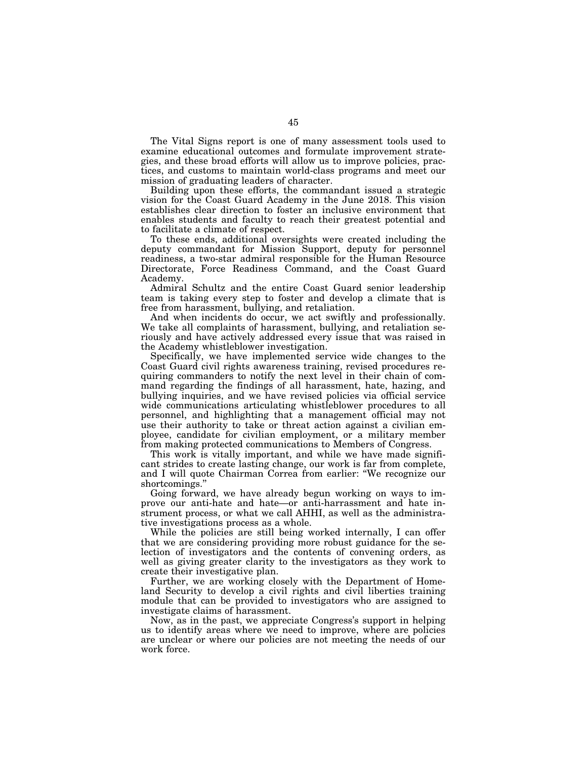The Vital Signs report is one of many assessment tools used to examine educational outcomes and formulate improvement strategies, and these broad efforts will allow us to improve policies, practices, and customs to maintain world-class programs and meet our mission of graduating leaders of character.

Building upon these efforts, the commandant issued a strategic vision for the Coast Guard Academy in the June 2018. This vision establishes clear direction to foster an inclusive environment that enables students and faculty to reach their greatest potential and to facilitate a climate of respect.

To these ends, additional oversights were created including the deputy commandant for Mission Support, deputy for personnel readiness, a two-star admiral responsible for the Human Resource Directorate, Force Readiness Command, and the Coast Guard Academy.

Admiral Schultz and the entire Coast Guard senior leadership team is taking every step to foster and develop a climate that is free from harassment, bullying, and retaliation.

And when incidents do occur, we act swiftly and professionally. We take all complaints of harassment, bullying, and retaliation seriously and have actively addressed every issue that was raised in the Academy whistleblower investigation.

Specifically, we have implemented service wide changes to the Coast Guard civil rights awareness training, revised procedures requiring commanders to notify the next level in their chain of command regarding the findings of all harassment, hate, hazing, and bullying inquiries, and we have revised policies via official service wide communications articulating whistleblower procedures to all personnel, and highlighting that a management official may not use their authority to take or threat action against a civilian employee, candidate for civilian employment, or a military member from making protected communications to Members of Congress.

This work is vitally important, and while we have made significant strides to create lasting change, our work is far from complete, and I will quote Chairman Correa from earlier: ''We recognize our shortcomings.''

Going forward, we have already begun working on ways to improve our anti-hate and hate—or anti-harrassment and hate instrument process, or what we call AHHI, as well as the administrative investigations process as a whole.

While the policies are still being worked internally, I can offer that we are considering providing more robust guidance for the selection of investigators and the contents of convening orders, as well as giving greater clarity to the investigators as they work to create their investigative plan.

Further, we are working closely with the Department of Homeland Security to develop a civil rights and civil liberties training module that can be provided to investigators who are assigned to investigate claims of harassment.

Now, as in the past, we appreciate Congress's support in helping us to identify areas where we need to improve, where are policies are unclear or where our policies are not meeting the needs of our work force.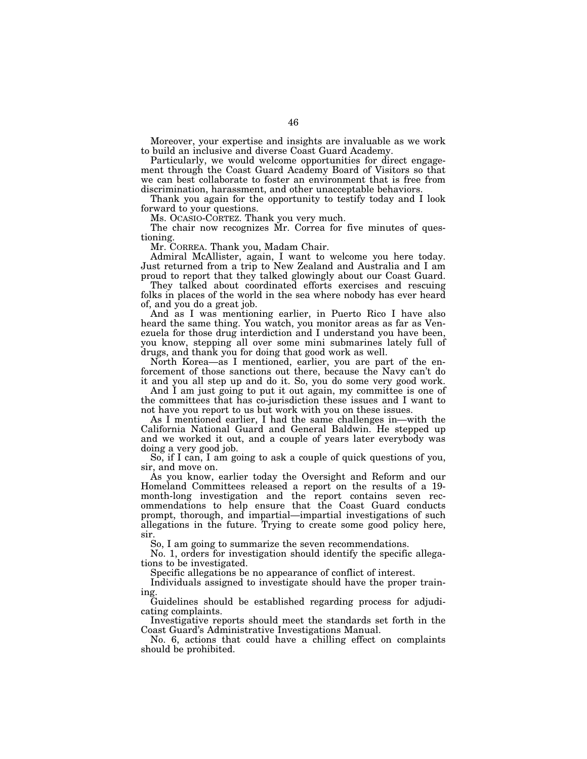Moreover, your expertise and insights are invaluable as we work to build an inclusive and diverse Coast Guard Academy.

Particularly, we would welcome opportunities for direct engagement through the Coast Guard Academy Board of Visitors so that we can best collaborate to foster an environment that is free from discrimination, harassment, and other unacceptable behaviors.

Thank you again for the opportunity to testify today and I look forward to your questions.

Ms. OCASIO-CORTEZ. Thank you very much.

The chair now recognizes Mr. Correa for five minutes of questioning.

Mr. CORREA. Thank you, Madam Chair.

Admiral McAllister, again, I want to welcome you here today. Just returned from a trip to New Zealand and Australia and I am proud to report that they talked glowingly about our Coast Guard.

They talked about coordinated efforts exercises and rescuing folks in places of the world in the sea where nobody has ever heard of, and you do a great job.

And as I was mentioning earlier, in Puerto Rico I have also heard the same thing. You watch, you monitor areas as far as Venezuela for those drug interdiction and I understand you have been, you know, stepping all over some mini submarines lately full of drugs, and thank you for doing that good work as well.

North Korea—as I mentioned, earlier, you are part of the enforcement of those sanctions out there, because the Navy can't do it and you all step up and do it. So, you do some very good work.

And I am just going to put it out again, my committee is one of the committees that has co-jurisdiction these issues and I want to not have you report to us but work with you on these issues.

As I mentioned earlier, I had the same challenges in—with the California National Guard and General Baldwin. He stepped up and we worked it out, and a couple of years later everybody was doing a very good job.

So, if I can, I am going to ask a couple of quick questions of you, sir, and move on.

As you know, earlier today the Oversight and Reform and our Homeland Committees released a report on the results of a 19 month-long investigation and the report contains seven recommendations to help ensure that the Coast Guard conducts prompt, thorough, and impartial—impartial investigations of such allegations in the future. Trying to create some good policy here, sir.

So, I am going to summarize the seven recommendations.

No. 1, orders for investigation should identify the specific allegations to be investigated.

Specific allegations be no appearance of conflict of interest.

Individuals assigned to investigate should have the proper training.

Guidelines should be established regarding process for adjudicating complaints.

Investigative reports should meet the standards set forth in the Coast Guard's Administrative Investigations Manual.

No. 6, actions that could have a chilling effect on complaints should be prohibited.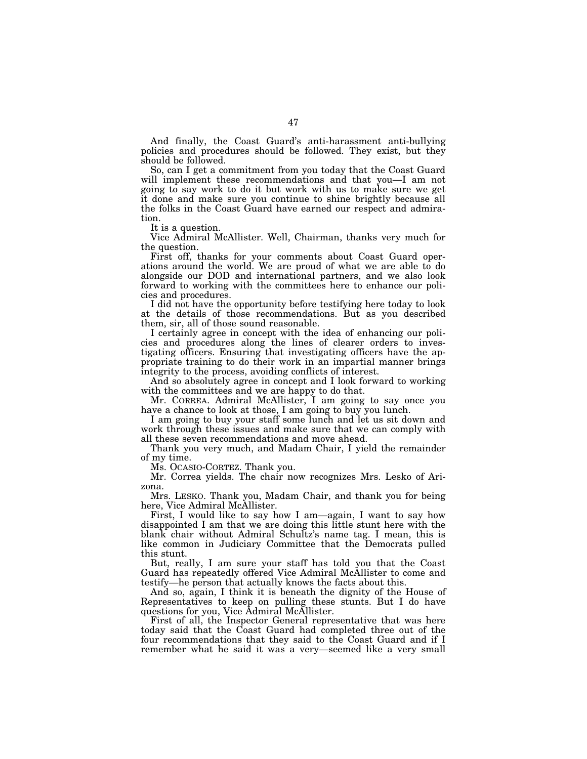And finally, the Coast Guard's anti-harassment anti-bullying policies and procedures should be followed. They exist, but they should be followed.

So, can I get a commitment from you today that the Coast Guard will implement these recommendations and that you—I am not going to say work to do it but work with us to make sure we get it done and make sure you continue to shine brightly because all the folks in the Coast Guard have earned our respect and admiration.

It is a question.

Vice Admiral McAllister. Well, Chairman, thanks very much for the question.

First off, thanks for your comments about Coast Guard operations around the world. We are proud of what we are able to do alongside our DOD and international partners, and we also look forward to working with the committees here to enhance our policies and procedures.

I did not have the opportunity before testifying here today to look at the details of those recommendations. But as you described them, sir, all of those sound reasonable.

I certainly agree in concept with the idea of enhancing our policies and procedures along the lines of clearer orders to investigating officers. Ensuring that investigating officers have the appropriate training to do their work in an impartial manner brings integrity to the process, avoiding conflicts of interest.

And so absolutely agree in concept and I look forward to working with the committees and we are happy to do that.

Mr. CORREA. Admiral McAllister, I am going to say once you have a chance to look at those, I am going to buy you lunch.

I am going to buy your staff some lunch and let us sit down and work through these issues and make sure that we can comply with all these seven recommendations and move ahead.

Thank you very much, and Madam Chair, I yield the remainder of my time.

Ms. OCASIO-CORTEZ. Thank you.

Mr. Correa yields. The chair now recognizes Mrs. Lesko of Arizona.

Mrs. LESKO. Thank you, Madam Chair, and thank you for being here, Vice Admiral McAllister.

First, I would like to say how I am—again, I want to say how disappointed I am that we are doing this little stunt here with the blank chair without Admiral Schultz's name tag. I mean, this is like common in Judiciary Committee that the Democrats pulled this stunt.

But, really, I am sure your staff has told you that the Coast Guard has repeatedly offered Vice Admiral McAllister to come and testify—he person that actually knows the facts about this.

And so, again, I think it is beneath the dignity of the House of Representatives to keep on pulling these stunts. But I do have questions for you, Vice Admiral McAllister.

First of all, the Inspector General representative that was here today said that the Coast Guard had completed three out of the four recommendations that they said to the Coast Guard and if I remember what he said it was a very—seemed like a very small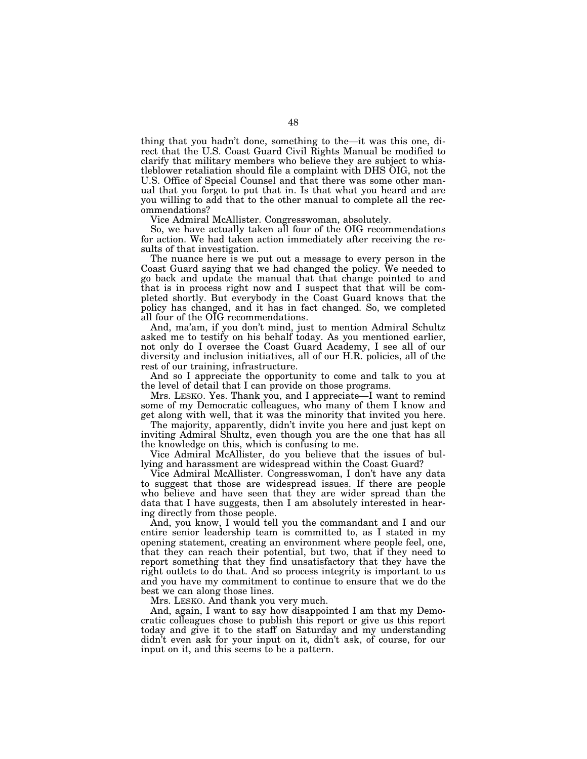thing that you hadn't done, something to the—it was this one, direct that the U.S. Coast Guard Civil Rights Manual be modified to clarify that military members who believe they are subject to whistleblower retaliation should file a complaint with DHS OIG, not the U.S. Office of Special Counsel and that there was some other manual that you forgot to put that in. Is that what you heard and are you willing to add that to the other manual to complete all the recommendations?

Vice Admiral McAllister. Congresswoman, absolutely.

So, we have actually taken all four of the OIG recommendations for action. We had taken action immediately after receiving the results of that investigation.

The nuance here is we put out a message to every person in the Coast Guard saying that we had changed the policy. We needed to go back and update the manual that that change pointed to and that is in process right now and I suspect that that will be completed shortly. But everybody in the Coast Guard knows that the policy has changed, and it has in fact changed. So, we completed all four of the OIG recommendations.

And, ma'am, if you don't mind, just to mention Admiral Schultz asked me to testify on his behalf today. As you mentioned earlier, not only do I oversee the Coast Guard Academy, I see all of our diversity and inclusion initiatives, all of our H.R. policies, all of the rest of our training, infrastructure.

And so I appreciate the opportunity to come and talk to you at the level of detail that I can provide on those programs.

Mrs. LESKO. Yes. Thank you, and I appreciate—I want to remind some of my Democratic colleagues, who many of them I know and get along with well, that it was the minority that invited you here.

The majority, apparently, didn't invite you here and just kept on inviting Admiral Shultz, even though you are the one that has all the knowledge on this, which is confusing to me.

Vice Admiral McAllister, do you believe that the issues of bullying and harassment are widespread within the Coast Guard?

Vice Admiral McAllister. Congresswoman, I don't have any data to suggest that those are widespread issues. If there are people who believe and have seen that they are wider spread than the data that I have suggests, then I am absolutely interested in hearing directly from those people.

And, you know, I would tell you the commandant and I and our entire senior leadership team is committed to, as I stated in my opening statement, creating an environment where people feel, one, that they can reach their potential, but two, that if they need to report something that they find unsatisfactory that they have the right outlets to do that. And so process integrity is important to us and you have my commitment to continue to ensure that we do the best we can along those lines.

Mrs. LESKO. And thank you very much.

And, again, I want to say how disappointed I am that my Democratic colleagues chose to publish this report or give us this report today and give it to the staff on Saturday and my understanding didn't even ask for your input on it, didn't ask, of course, for our input on it, and this seems to be a pattern.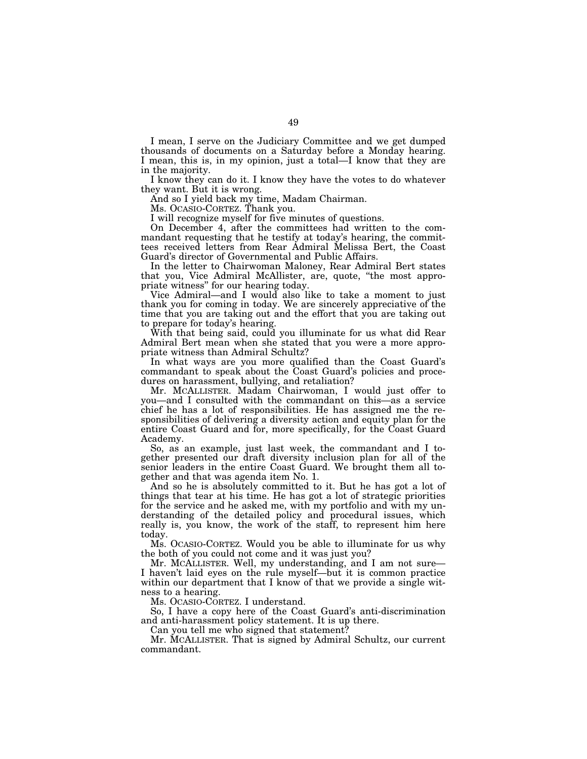I mean, I serve on the Judiciary Committee and we get dumped thousands of documents on a Saturday before a Monday hearing. I mean, this is, in my opinion, just a total—I know that they are in the majority.

I know they can do it. I know they have the votes to do whatever they want. But it is wrong.

And so I yield back my time, Madam Chairman.

Ms. OCASIO-CORTEZ. Thank you.

I will recognize myself for five minutes of questions.

On December 4, after the committees had written to the commandant requesting that he testify at today's hearing, the committees received letters from Rear Admiral Melissa Bert, the Coast Guard's director of Governmental and Public Affairs.

In the letter to Chairwoman Maloney, Rear Admiral Bert states that you, Vice Admiral McAllister, are, quote, ''the most appropriate witness'' for our hearing today.

Vice Admiral—and I would also like to take a moment to just thank you for coming in today. We are sincerely appreciative of the time that you are taking out and the effort that you are taking out to prepare for today's hearing.

With that being said, could you illuminate for us what did Rear Admiral Bert mean when she stated that you were a more appropriate witness than Admiral Schultz?

In what ways are you more qualified than the Coast Guard's commandant to speak about the Coast Guard's policies and procedures on harassment, bullying, and retaliation?

Mr. MCALLISTER. Madam Chairwoman, I would just offer to you—and I consulted with the commandant on this—as a service chief he has a lot of responsibilities. He has assigned me the responsibilities of delivering a diversity action and equity plan for the entire Coast Guard and for, more specifically, for the Coast Guard Academy.

So, as an example, just last week, the commandant and I together presented our draft diversity inclusion plan for all of the senior leaders in the entire Coast Guard. We brought them all together and that was agenda item No. 1.

And so he is absolutely committed to it. But he has got a lot of things that tear at his time. He has got a lot of strategic priorities for the service and he asked me, with my portfolio and with my understanding of the detailed policy and procedural issues, which really is, you know, the work of the staff, to represent him here today.

Ms. OCASIO-CORTEZ. Would you be able to illuminate for us why the both of you could not come and it was just you?

Mr. MCALLISTER. Well, my understanding, and I am not sure— I haven't laid eyes on the rule myself—but it is common practice within our department that I know of that we provide a single witness to a hearing.

Ms. OCASIO-CORTEZ. I understand.

So, I have a copy here of the Coast Guard's anti-discrimination and anti-harassment policy statement. It is up there.

Can you tell me who signed that statement?

Mr. MCALLISTER. That is signed by Admiral Schultz, our current commandant.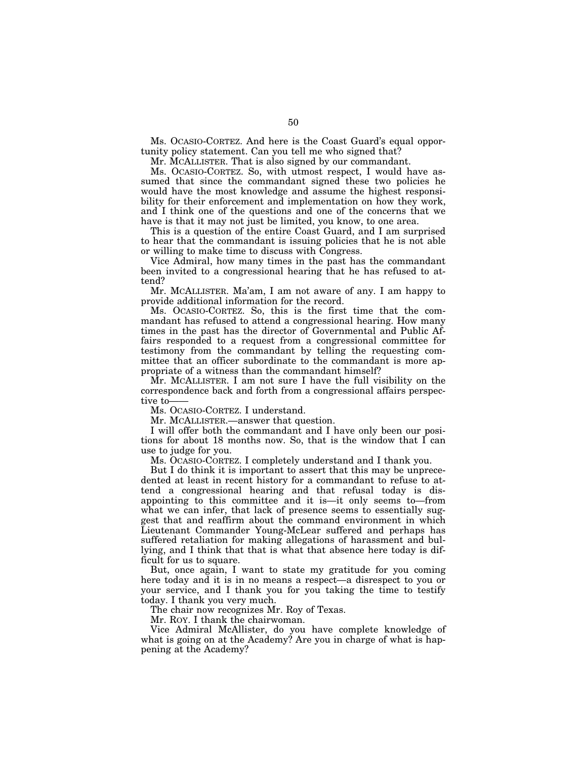Ms. OCASIO-CORTEZ. And here is the Coast Guard's equal opportunity policy statement. Can you tell me who signed that?

Mr. MCALLISTER. That is also signed by our commandant.

Ms. OCASIO-CORTEZ. So, with utmost respect, I would have assumed that since the commandant signed these two policies he would have the most knowledge and assume the highest responsibility for their enforcement and implementation on how they work, and I think one of the questions and one of the concerns that we have is that it may not just be limited, you know, to one area.

This is a question of the entire Coast Guard, and I am surprised to hear that the commandant is issuing policies that he is not able or willing to make time to discuss with Congress.

Vice Admiral, how many times in the past has the commandant been invited to a congressional hearing that he has refused to attend?

Mr. MCALLISTER. Ma'am, I am not aware of any. I am happy to provide additional information for the record.

Ms. OCASIO-CORTEZ. So, this is the first time that the commandant has refused to attend a congressional hearing. How many times in the past has the director of Governmental and Public Affairs responded to a request from a congressional committee for testimony from the commandant by telling the requesting committee that an officer subordinate to the commandant is more appropriate of a witness than the commandant himself?

Mr. MCALLISTER. I am not sure I have the full visibility on the correspondence back and forth from a congressional affairs perspective to-

Ms. OCASIO-CORTEZ. I understand.

Mr. MCALLISTER.—answer that question.

I will offer both the commandant and I have only been our positions for about 18 months now. So, that is the window that I can use to judge for you.

Ms. OCASIO-CORTEZ. I completely understand and I thank you.

But I do think it is important to assert that this may be unprecedented at least in recent history for a commandant to refuse to attend a congressional hearing and that refusal today is disappointing to this committee and it is—it only seems to—from what we can infer, that lack of presence seems to essentially suggest that and reaffirm about the command environment in which Lieutenant Commander Young-McLear suffered and perhaps has suffered retaliation for making allegations of harassment and bullying, and I think that that is what that absence here today is difficult for us to square.

But, once again, I want to state my gratitude for you coming here today and it is in no means a respect—a disrespect to you or your service, and I thank you for you taking the time to testify today. I thank you very much.

The chair now recognizes Mr. Roy of Texas.

Mr. ROY. I thank the chairwoman.

Vice Admiral McAllister, do you have complete knowledge of what is going on at the Academy? Are you in charge of what is happening at the Academy?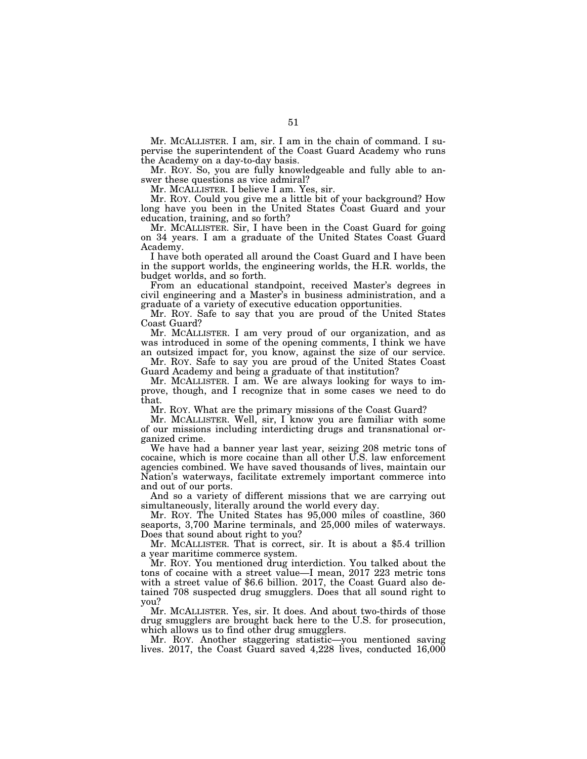Mr. MCALLISTER. I am, sir. I am in the chain of command. I supervise the superintendent of the Coast Guard Academy who runs the Academy on a day-to-day basis.

Mr. ROY. So, you are fully knowledgeable and fully able to answer these questions as vice admiral?

Mr. MCALLISTER. I believe I am. Yes, sir.

Mr. ROY. Could you give me a little bit of your background? How long have you been in the United States Coast Guard and your education, training, and so forth?

Mr. MCALLISTER. Sir, I have been in the Coast Guard for going on 34 years. I am a graduate of the United States Coast Guard Academy.

I have both operated all around the Coast Guard and I have been in the support worlds, the engineering worlds, the H.R. worlds, the budget worlds, and so forth.

From an educational standpoint, received Master's degrees in civil engineering and a Master's in business administration, and a graduate of a variety of executive education opportunities.

Mr. ROY. Safe to say that you are proud of the United States Coast Guard?

Mr. MCALLISTER. I am very proud of our organization, and as was introduced in some of the opening comments, I think we have an outsized impact for, you know, against the size of our service.

Mr. ROY. Safe to say you are proud of the United States Coast Guard Academy and being a graduate of that institution?

Mr. MCALLISTER. I am. We are always looking for ways to improve, though, and I recognize that in some cases we need to do that.

Mr. ROY. What are the primary missions of the Coast Guard?

Mr. MCALLISTER. Well, sir, I know you are familiar with some of our missions including interdicting drugs and transnational organized crime.

We have had a banner year last year, seizing 208 metric tons of cocaine, which is more cocaine than all other U.S. law enforcement agencies combined. We have saved thousands of lives, maintain our Nation's waterways, facilitate extremely important commerce into and out of our ports.

And so a variety of different missions that we are carrying out simultaneously, literally around the world every day.

Mr. ROY. The United States has 95,000 miles of coastline, 360 seaports, 3,700 Marine terminals, and 25,000 miles of waterways. Does that sound about right to you?

Mr. MCALLISTER. That is correct, sir. It is about a \$5.4 trillion a year maritime commerce system.

Mr. ROY. You mentioned drug interdiction. You talked about the tons of cocaine with a street value—I mean, 2017 223 metric tons with a street value of \$6.6 billion. 2017, the Coast Guard also detained 708 suspected drug smugglers. Does that all sound right to you?

Mr. MCALLISTER. Yes, sir. It does. And about two-thirds of those drug smugglers are brought back here to the U.S. for prosecution, which allows us to find other drug smugglers.

Mr. ROY. Another staggering statistic—you mentioned saving lives. 2017, the Coast Guard saved 4,228 lives, conducted 16,000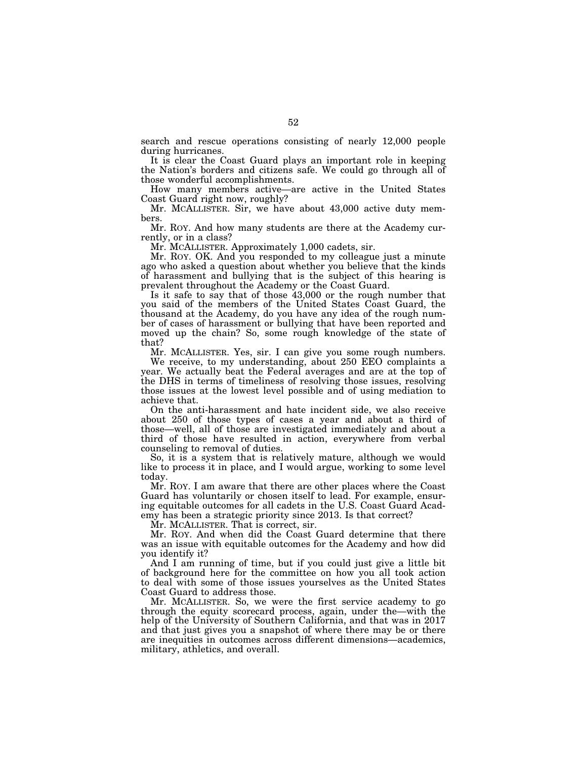search and rescue operations consisting of nearly 12,000 people during hurricanes.

It is clear the Coast Guard plays an important role in keeping the Nation's borders and citizens safe. We could go through all of those wonderful accomplishments.

How many members active—are active in the United States Coast Guard right now, roughly?

Mr. MCALLISTER. Sir, we have about 43,000 active duty members.

Mr. ROY. And how many students are there at the Academy currently, or in a class?

Mr. MCALLISTER. Approximately 1,000 cadets, sir.

Mr. ROY. OK. And you responded to my colleague just a minute ago who asked a question about whether you believe that the kinds of harassment and bullying that is the subject of this hearing is prevalent throughout the Academy or the Coast Guard.

Is it safe to say that of those 43,000 or the rough number that you said of the members of the United States Coast Guard, the thousand at the Academy, do you have any idea of the rough number of cases of harassment or bullying that have been reported and moved up the chain? So, some rough knowledge of the state of that?

Mr. MCALLISTER. Yes, sir. I can give you some rough numbers.

We receive, to my understanding, about 250 EEO complaints a year. We actually beat the Federal averages and are at the top of the DHS in terms of timeliness of resolving those issues, resolving those issues at the lowest level possible and of using mediation to achieve that.

On the anti-harassment and hate incident side, we also receive about 250 of those types of cases a year and about a third of those—well, all of those are investigated immediately and about a third of those have resulted in action, everywhere from verbal counseling to removal of duties.

So, it is a system that is relatively mature, although we would like to process it in place, and I would argue, working to some level today.

Mr. ROY. I am aware that there are other places where the Coast Guard has voluntarily or chosen itself to lead. For example, ensuring equitable outcomes for all cadets in the U.S. Coast Guard Academy has been a strategic priority since 2013. Is that correct?

Mr. MCALLISTER. That is correct, sir.

Mr. ROY. And when did the Coast Guard determine that there was an issue with equitable outcomes for the Academy and how did you identify it?

And I am running of time, but if you could just give a little bit of background here for the committee on how you all took action to deal with some of those issues yourselves as the United States Coast Guard to address those.

Mr. MCALLISTER. So, we were the first service academy to go through the equity scorecard process, again, under the—with the help of the University of Southern California, and that was in 2017 and that just gives you a snapshot of where there may be or there are inequities in outcomes across different dimensions—academics, military, athletics, and overall.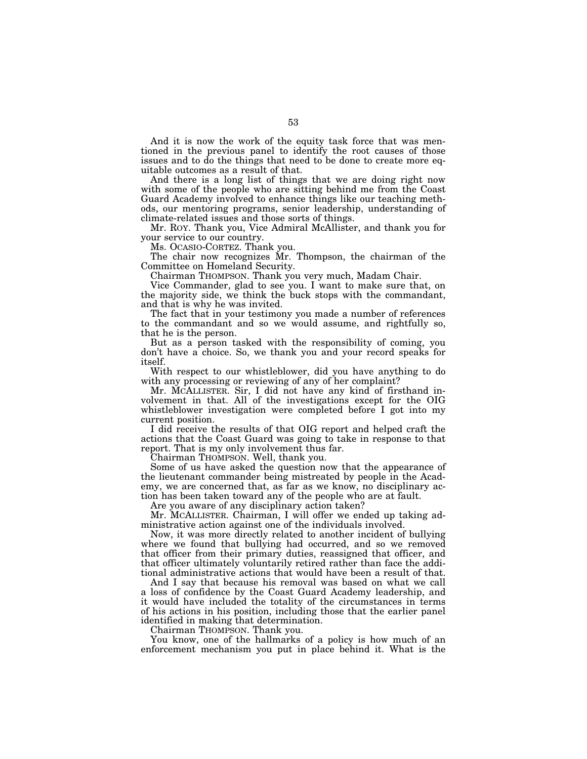And it is now the work of the equity task force that was mentioned in the previous panel to identify the root causes of those issues and to do the things that need to be done to create more equitable outcomes as a result of that.

And there is a long list of things that we are doing right now with some of the people who are sitting behind me from the Coast Guard Academy involved to enhance things like our teaching methods, our mentoring programs, senior leadership, understanding of climate-related issues and those sorts of things.

Mr. ROY. Thank you, Vice Admiral McAllister, and thank you for your service to our country.

Ms. OCASIO-CORTEZ. Thank you.

The chair now recognizes Mr. Thompson, the chairman of the Committee on Homeland Security.

Chairman THOMPSON. Thank you very much, Madam Chair.

Vice Commander, glad to see you. I want to make sure that, on the majority side, we think the buck stops with the commandant, and that is why he was invited.

The fact that in your testimony you made a number of references to the commandant and so we would assume, and rightfully so, that he is the person.

But as a person tasked with the responsibility of coming, you don't have a choice. So, we thank you and your record speaks for itself.

With respect to our whistleblower, did you have anything to do with any processing or reviewing of any of her complaint?

Mr. MCALLISTER. Sir, I did not have any kind of firsthand involvement in that. All of the investigations except for the OIG whistleblower investigation were completed before I got into my current position.

I did receive the results of that OIG report and helped craft the actions that the Coast Guard was going to take in response to that report. That is my only involvement thus far.

Chairman THOMPSON. Well, thank you.

Some of us have asked the question now that the appearance of the lieutenant commander being mistreated by people in the Academy, we are concerned that, as far as we know, no disciplinary action has been taken toward any of the people who are at fault.

Are you aware of any disciplinary action taken?

Mr. MCALLISTER. Chairman, I will offer we ended up taking administrative action against one of the individuals involved.

Now, it was more directly related to another incident of bullying where we found that bullying had occurred, and so we removed that officer from their primary duties, reassigned that officer, and that officer ultimately voluntarily retired rather than face the additional administrative actions that would have been a result of that.

And I say that because his removal was based on what we call a loss of confidence by the Coast Guard Academy leadership, and it would have included the totality of the circumstances in terms of his actions in his position, including those that the earlier panel identified in making that determination.

Chairman THOMPSON. Thank you.

You know, one of the hallmarks of a policy is how much of an enforcement mechanism you put in place behind it. What is the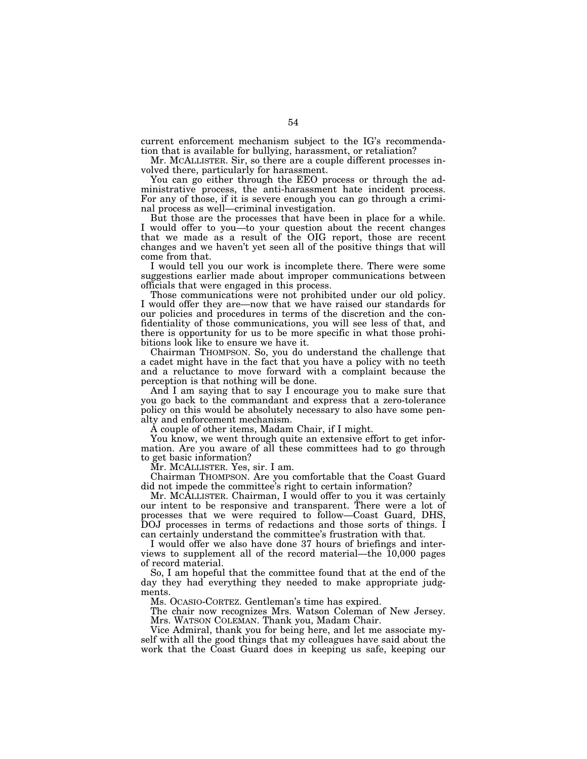current enforcement mechanism subject to the IG's recommendation that is available for bullying, harassment, or retaliation?

Mr. MCALLISTER. Sir, so there are a couple different processes involved there, particularly for harassment.

You can go either through the EEO process or through the administrative process, the anti-harassment hate incident process. For any of those, if it is severe enough you can go through a criminal process as well—criminal investigation.

But those are the processes that have been in place for a while. I would offer to you—to your question about the recent changes that we made as a result of the OIG report, those are recent changes and we haven't yet seen all of the positive things that will come from that.

I would tell you our work is incomplete there. There were some suggestions earlier made about improper communications between officials that were engaged in this process.

Those communications were not prohibited under our old policy. I would offer they are—now that we have raised our standards for our policies and procedures in terms of the discretion and the confidentiality of those communications, you will see less of that, and there is opportunity for us to be more specific in what those prohibitions look like to ensure we have it.

Chairman THOMPSON. So, you do understand the challenge that a cadet might have in the fact that you have a policy with no teeth and a reluctance to move forward with a complaint because the perception is that nothing will be done.

And I am saying that to say I encourage you to make sure that you go back to the commandant and express that a zero-tolerance policy on this would be absolutely necessary to also have some penalty and enforcement mechanism.

A couple of other items, Madam Chair, if I might.

You know, we went through quite an extensive effort to get information. Are you aware of all these committees had to go through to get basic information?

Mr. MCALLISTER. Yes, sir. I am.

Chairman THOMPSON. Are you comfortable that the Coast Guard did not impede the committee's right to certain information?

Mr. MCALLISTER. Chairman, I would offer to you it was certainly our intent to be responsive and transparent. There were a lot of processes that we were required to follow—Coast Guard, DHS, DOJ processes in terms of redactions and those sorts of things. I can certainly understand the committee's frustration with that.

I would offer we also have done 37 hours of briefings and interviews to supplement all of the record material—the 10,000 pages of record material.

So, I am hopeful that the committee found that at the end of the day they had everything they needed to make appropriate judgments.

Ms. OCASIO-CORTEZ. Gentleman's time has expired.

The chair now recognizes Mrs. Watson Coleman of New Jersey. Mrs. WATSON COLEMAN. Thank you, Madam Chair.

Vice Admiral, thank you for being here, and let me associate myself with all the good things that my colleagues have said about the work that the Coast Guard does in keeping us safe, keeping our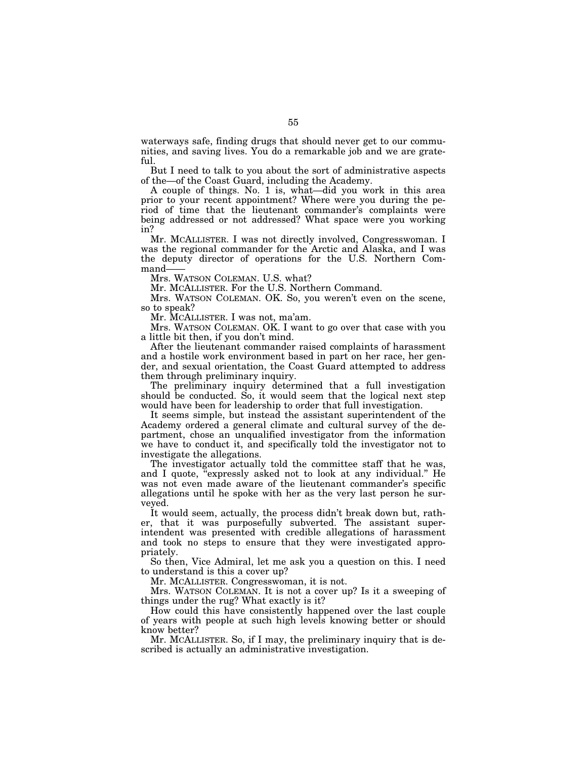waterways safe, finding drugs that should never get to our communities, and saving lives. You do a remarkable job and we are grateful.

But I need to talk to you about the sort of administrative aspects of the—of the Coast Guard, including the Academy.

A couple of things. No. 1 is, what—did you work in this area prior to your recent appointment? Where were you during the period of time that the lieutenant commander's complaints were being addressed or not addressed? What space were you working in?

Mr. MCALLISTER. I was not directly involved, Congresswoman. I was the regional commander for the Arctic and Alaska, and I was the deputy director of operations for the U.S. Northern Command-

Mrs. WATSON COLEMAN. U.S. what?

Mr. MCALLISTER. For the U.S. Northern Command.

Mrs. WATSON COLEMAN. OK. So, you weren't even on the scene, so to speak?

Mr. MCALLISTER. I was not, ma'am.

Mrs. WATSON COLEMAN. OK. I want to go over that case with you a little bit then, if you don't mind.

After the lieutenant commander raised complaints of harassment and a hostile work environment based in part on her race, her gender, and sexual orientation, the Coast Guard attempted to address them through preliminary inquiry.

The preliminary inquiry determined that a full investigation should be conducted. So, it would seem that the logical next step would have been for leadership to order that full investigation.

It seems simple, but instead the assistant superintendent of the Academy ordered a general climate and cultural survey of the department, chose an unqualified investigator from the information we have to conduct it, and specifically told the investigator not to investigate the allegations.

The investigator actually told the committee staff that he was, and I quote, "expressly asked not to look at any individual." He was not even made aware of the lieutenant commander's specific allegations until he spoke with her as the very last person he surveyed.

It would seem, actually, the process didn't break down but, rather, that it was purposefully subverted. The assistant superintendent was presented with credible allegations of harassment and took no steps to ensure that they were investigated appropriately.

So then, Vice Admiral, let me ask you a question on this. I need to understand is this a cover up?

Mr. MCALLISTER. Congresswoman, it is not.

Mrs. WATSON COLEMAN. It is not a cover up? Is it a sweeping of things under the rug? What exactly is it?

How could this have consistently happened over the last couple of years with people at such high levels knowing better or should know better?

Mr. MCALLISTER. So, if I may, the preliminary inquiry that is described is actually an administrative investigation.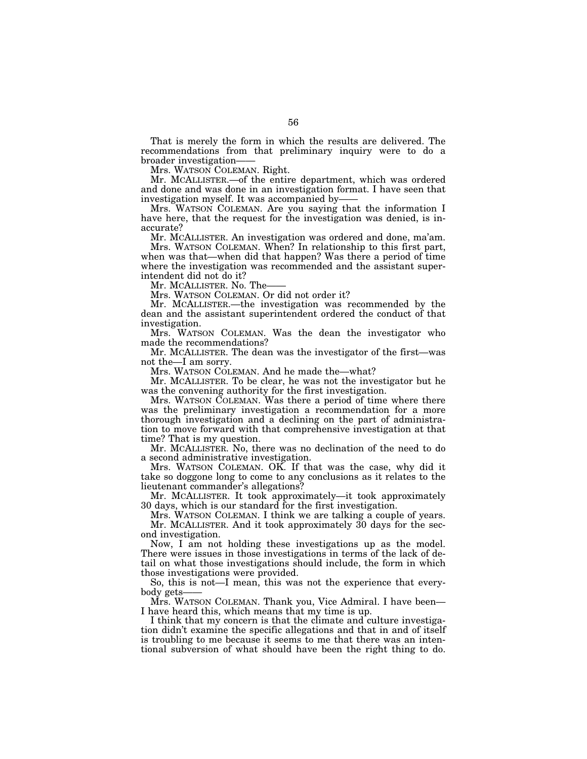That is merely the form in which the results are delivered. The recommendations from that preliminary inquiry were to do a broader investigation——

Mrs. WATSON COLEMAN. Right.

Mr. MCALLISTER.—of the entire department, which was ordered and done and was done in an investigation format. I have seen that investigation myself. It was accompanied by——

Mrs. WATSON COLEMAN. Are you saying that the information I have here, that the request for the investigation was denied, is inaccurate?

Mr. MCALLISTER. An investigation was ordered and done, ma'am.

Mrs. WATSON COLEMAN. When? In relationship to this first part, when was that—when did that happen? Was there a period of time where the investigation was recommended and the assistant superintendent did not do it?

Mr. MCALLISTER. No. The-

Mrs. WATSON COLEMAN. Or did not order it?

Mr. MCALLISTER.—the investigation was recommended by the dean and the assistant superintendent ordered the conduct of that investigation.

Mrs. WATSON COLEMAN. Was the dean the investigator who made the recommendations?

Mr. MCALLISTER. The dean was the investigator of the first—was not the—I am sorry.

Mrs. WATSON COLEMAN. And he made the—what?

Mr. MCALLISTER. To be clear, he was not the investigator but he was the convening authority for the first investigation.

Mrs. WATSON COLEMAN. Was there a period of time where there was the preliminary investigation a recommendation for a more thorough investigation and a declining on the part of administration to move forward with that comprehensive investigation at that time? That is my question.

Mr. MCALLISTER. No, there was no declination of the need to do a second administrative investigation.

Mrs. WATSON COLEMAN. OK. If that was the case, why did it take so doggone long to come to any conclusions as it relates to the lieutenant commander's allegations?

Mr. MCALLISTER. It took approximately—it took approximately 30 days, which is our standard for the first investigation.

Mrs. WATSON COLEMAN. I think we are talking a couple of years. Mr. MCALLISTER. And it took approximately 30 days for the second investigation.

Now, I am not holding these investigations up as the model. There were issues in those investigations in terms of the lack of detail on what those investigations should include, the form in which those investigations were provided.

So, this is not—I mean, this was not the experience that everybody gets-

Mrs. WATSON COLEMAN. Thank you, Vice Admiral. I have been— I have heard this, which means that my time is up.

I think that my concern is that the climate and culture investigation didn't examine the specific allegations and that in and of itself is troubling to me because it seems to me that there was an intentional subversion of what should have been the right thing to do.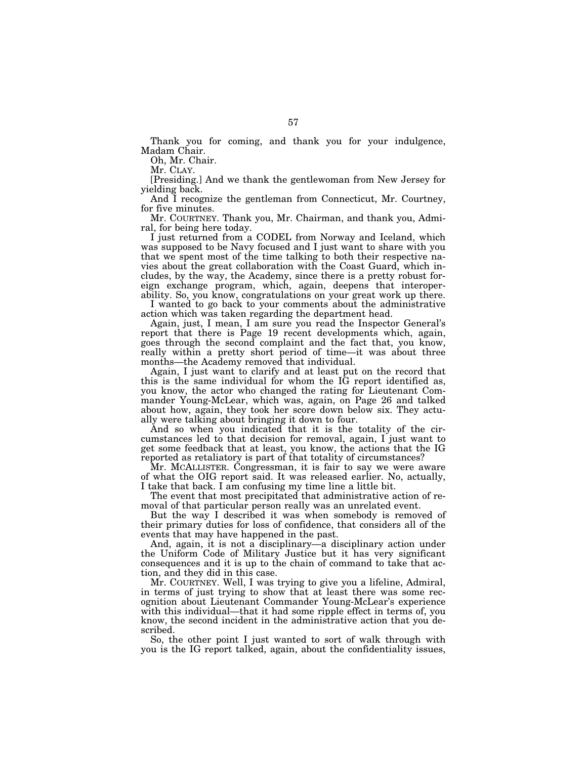Thank you for coming, and thank you for your indulgence, Madam Chair.

Oh, Mr. Chair.<br>Mr. CLAY.

[Presiding.] And we thank the gentlewoman from New Jersey for yielding back.

And I recognize the gentleman from Connecticut, Mr. Courtney, for five minutes.

Mr. COURTNEY. Thank you, Mr. Chairman, and thank you, Admiral, for being here today.

I just returned from a CODEL from Norway and Iceland, which was supposed to be Navy focused and I just want to share with you that we spent most of the time talking to both their respective navies about the great collaboration with the Coast Guard, which includes, by the way, the Academy, since there is a pretty robust foreign exchange program, which, again, deepens that interoperability. So, you know, congratulations on your great work up there.

I wanted to go back to your comments about the administrative action which was taken regarding the department head.

Again, just, I mean, I am sure you read the Inspector General's report that there is Page 19 recent developments which, again, goes through the second complaint and the fact that, you know, really within a pretty short period of time—it was about three months—the Academy removed that individual.

Again, I just want to clarify and at least put on the record that this is the same individual for whom the IG report identified as, you know, the actor who changed the rating for Lieutenant Commander Young-McLear, which was, again, on Page 26 and talked about how, again, they took her score down below six. They actually were talking about bringing it down to four.

And so when you indicated that it is the totality of the circumstances led to that decision for removal, again, I just want to get some feedback that at least, you know, the actions that the IG reported as retaliatory is part of that totality of circumstances?

Mr. MCALLISTER. Congressman, it is fair to say we were aware of what the OIG report said. It was released earlier. No, actually, I take that back. I am confusing my time line a little bit.

The event that most precipitated that administrative action of removal of that particular person really was an unrelated event.

But the way I described it was when somebody is removed of their primary duties for loss of confidence, that considers all of the events that may have happened in the past.

And, again, it is not a disciplinary—a disciplinary action under the Uniform Code of Military Justice but it has very significant consequences and it is up to the chain of command to take that action, and they did in this case.

Mr. COURTNEY. Well, I was trying to give you a lifeline, Admiral, in terms of just trying to show that at least there was some recognition about Lieutenant Commander Young-McLear's experience with this individual—that it had some ripple effect in terms of, you know, the second incident in the administrative action that you described.

So, the other point I just wanted to sort of walk through with you is the IG report talked, again, about the confidentiality issues,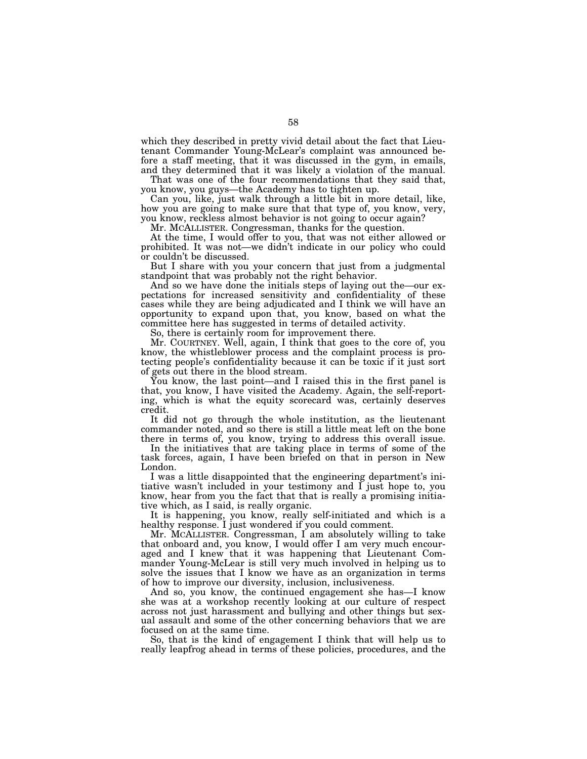which they described in pretty vivid detail about the fact that Lieutenant Commander Young-McLear's complaint was announced before a staff meeting, that it was discussed in the gym, in emails, and they determined that it was likely a violation of the manual.

That was one of the four recommendations that they said that, you know, you guys—the Academy has to tighten up.

Can you, like, just walk through a little bit in more detail, like, how you are going to make sure that that type of, you know, very, you know, reckless almost behavior is not going to occur again?

Mr. MCALLISTER. Congressman, thanks for the question.

At the time, I would offer to you, that was not either allowed or prohibited. It was not—we didn't indicate in our policy who could or couldn't be discussed.

But I share with you your concern that just from a judgmental standpoint that was probably not the right behavior.

And so we have done the initials steps of laying out the—our expectations for increased sensitivity and confidentiality of these cases while they are being adjudicated and I think we will have an opportunity to expand upon that, you know, based on what the committee here has suggested in terms of detailed activity.

So, there is certainly room for improvement there.

Mr. COURTNEY. Well, again, I think that goes to the core of, you know, the whistleblower process and the complaint process is protecting people's confidentiality because it can be toxic if it just sort of gets out there in the blood stream.

You know, the last point—and I raised this in the first panel is that, you know, I have visited the Academy. Again, the self-reporting, which is what the equity scorecard was, certainly deserves credit.

It did not go through the whole institution, as the lieutenant commander noted, and so there is still a little meat left on the bone there in terms of, you know, trying to address this overall issue.

In the initiatives that are taking place in terms of some of the task forces, again, I have been briefed on that in person in New London.

I was a little disappointed that the engineering department's initiative wasn't included in your testimony and I just hope to, you know, hear from you the fact that that is really a promising initiative which, as I said, is really organic.

It is happening, you know, really self-initiated and which is a healthy response. I just wondered if you could comment.

Mr. MCALLISTER. Congressman, I am absolutely willing to take that onboard and, you know, I would offer I am very much encouraged and I knew that it was happening that Lieutenant Commander Young-McLear is still very much involved in helping us to solve the issues that I know we have as an organization in terms of how to improve our diversity, inclusion, inclusiveness.

And so, you know, the continued engagement she has—I know she was at a workshop recently looking at our culture of respect across not just harassment and bullying and other things but sexual assault and some of the other concerning behaviors that we are focused on at the same time.

So, that is the kind of engagement I think that will help us to really leapfrog ahead in terms of these policies, procedures, and the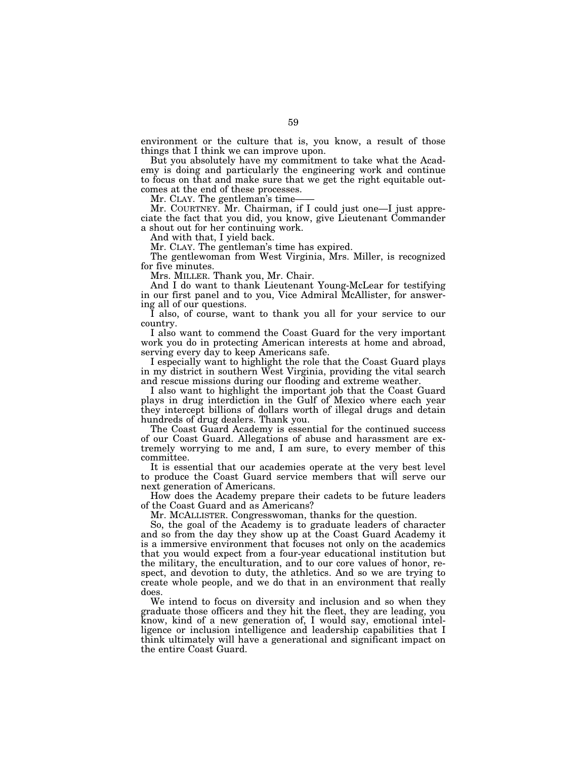environment or the culture that is, you know, a result of those things that I think we can improve upon.

But you absolutely have my commitment to take what the Academy is doing and particularly the engineering work and continue to focus on that and make sure that we get the right equitable outcomes at the end of these processes.

Mr. CLAY. The gentleman's time-

Mr. COURTNEY. Mr. Chairman, if I could just one—I just appreciate the fact that you did, you know, give Lieutenant Commander a shout out for her continuing work.

And with that, I yield back.

Mr. CLAY. The gentleman's time has expired.

The gentlewoman from West Virginia, Mrs. Miller, is recognized for five minutes.

Mrs. MILLER. Thank you, Mr. Chair.

And I do want to thank Lieutenant Young-McLear for testifying in our first panel and to you, Vice Admiral McAllister, for answering all of our questions.

I also, of course, want to thank you all for your service to our country.

I also want to commend the Coast Guard for the very important work you do in protecting American interests at home and abroad, serving every day to keep Americans safe.

I especially want to highlight the role that the Coast Guard plays in my district in southern West Virginia, providing the vital search and rescue missions during our flooding and extreme weather.

I also want to highlight the important job that the Coast Guard plays in drug interdiction in the Gulf of Mexico where each year they intercept billions of dollars worth of illegal drugs and detain hundreds of drug dealers. Thank you.

The Coast Guard Academy is essential for the continued success of our Coast Guard. Allegations of abuse and harassment are extremely worrying to me and, I am sure, to every member of this committee.

It is essential that our academies operate at the very best level to produce the Coast Guard service members that will serve our next generation of Americans.

How does the Academy prepare their cadets to be future leaders of the Coast Guard and as Americans?

Mr. MCALLISTER. Congresswoman, thanks for the question.

So, the goal of the Academy is to graduate leaders of character and so from the day they show up at the Coast Guard Academy it is a immersive environment that focuses not only on the academics that you would expect from a four-year educational institution but the military, the enculturation, and to our core values of honor, respect, and devotion to duty, the athletics. And so we are trying to create whole people, and we do that in an environment that really does.

We intend to focus on diversity and inclusion and so when they graduate those officers and they hit the fleet, they are leading, you know, kind of a new generation of, I would say, emotional intelligence or inclusion intelligence and leadership capabilities that I think ultimately will have a generational and significant impact on the entire Coast Guard.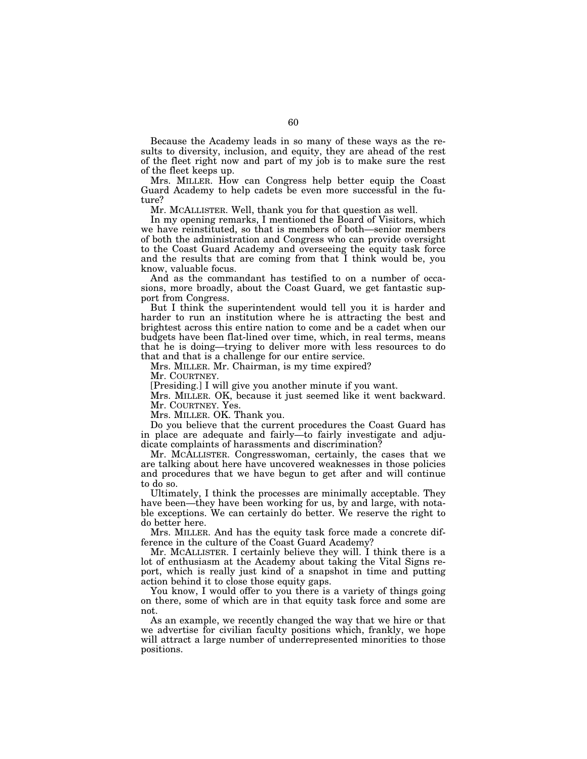Because the Academy leads in so many of these ways as the results to diversity, inclusion, and equity, they are ahead of the rest of the fleet right now and part of my job is to make sure the rest of the fleet keeps up.

Mrs. MILLER. How can Congress help better equip the Coast Guard Academy to help cadets be even more successful in the future?

Mr. MCALLISTER. Well, thank you for that question as well.

In my opening remarks, I mentioned the Board of Visitors, which we have reinstituted, so that is members of both—senior members of both the administration and Congress who can provide oversight to the Coast Guard Academy and overseeing the equity task force and the results that are coming from that I think would be, you know, valuable focus.

And as the commandant has testified to on a number of occasions, more broadly, about the Coast Guard, we get fantastic support from Congress.

But I think the superintendent would tell you it is harder and harder to run an institution where he is attracting the best and brightest across this entire nation to come and be a cadet when our budgets have been flat-lined over time, which, in real terms, means that he is doing—trying to deliver more with less resources to do that and that is a challenge for our entire service.

Mrs. MILLER. Mr. Chairman, is my time expired?

Mr. COURTNEY.

[Presiding.] I will give you another minute if you want.

Mrs. MILLER. OK, because it just seemed like it went backward. Mr. COURTNEY. Yes.

Mrs. MILLER. OK. Thank you.

Do you believe that the current procedures the Coast Guard has in place are adequate and fairly—to fairly investigate and adjudicate complaints of harassments and discrimination?

Mr. MCALLISTER. Congresswoman, certainly, the cases that we are talking about here have uncovered weaknesses in those policies and procedures that we have begun to get after and will continue to do so.

Ultimately, I think the processes are minimally acceptable. They have been—they have been working for us, by and large, with notable exceptions. We can certainly do better. We reserve the right to do better here.

Mrs. MILLER. And has the equity task force made a concrete difference in the culture of the Coast Guard Academy?

Mr. MCALLISTER. I certainly believe they will. I think there is a lot of enthusiasm at the Academy about taking the Vital Signs report, which is really just kind of a snapshot in time and putting action behind it to close those equity gaps.

You know, I would offer to you there is a variety of things going on there, some of which are in that equity task force and some are not.

As an example, we recently changed the way that we hire or that we advertise for civilian faculty positions which, frankly, we hope will attract a large number of underrepresented minorities to those positions.